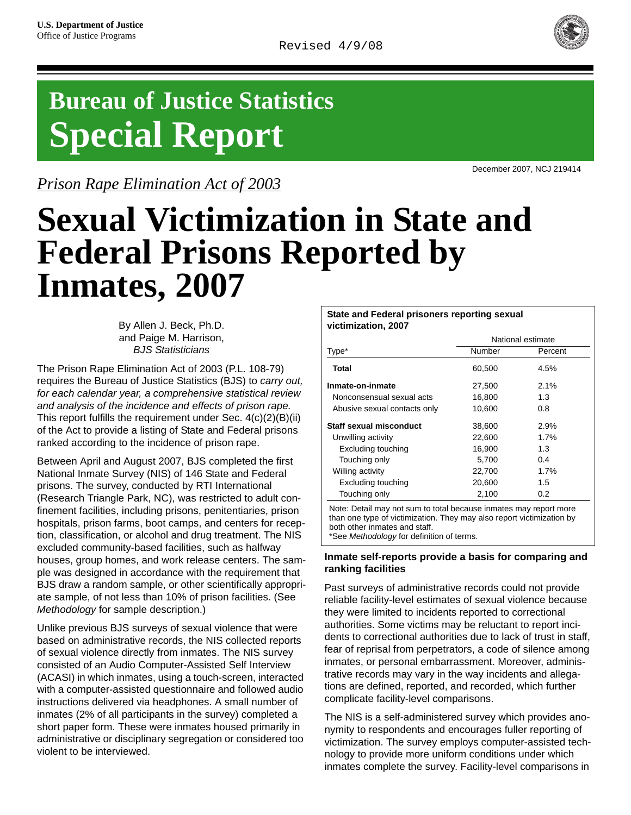

# **Bureau of Justice Statistics Special Report**

*Prison Rape Elimination Act of 2003*

December 2007, NCJ 219414

# **Sexual Victimization in State and Federal Prisons Reported by Inmates, 2007**

By Allen J. Beck, Ph.D. and Paige M. Harrison, *BJS Statisticians*

The Prison Rape Elimination Act of 2003 (P.L. 108-79) requires the Bureau of Justice Statistics (BJS) to *carry out, for each calendar year, a comprehensive statistical review and analysis of the incidence and effects of prison rape.*  This report fulfills the requirement under Sec. 4(c)(2)(B)(ii) of the Act to provide a listing of State and Federal prisons ranked according to the incidence of prison rape.

Between April and August 2007, BJS completed the first National Inmate Survey (NIS) of 146 State and Federal prisons. The survey, conducted by RTI International (Research Triangle Park, NC), was restricted to adult confinement facilities, including prisons, penitentiaries, prison hospitals, prison farms, boot camps, and centers for reception, classification, or alcohol and drug treatment. The NIS excluded community-based facilities, such as halfway houses, group homes, and work release centers. The sample was designed in accordance with the requirement that BJS draw a random sample, or other scientifically appropriate sample, of not less than 10% of prison facilities. (See *Methodology* for sample description.)

Unlike previous BJS surveys of sexual violence that were based on administrative records, the NIS collected reports of sexual violence directly from inmates. The NIS survey consisted of an Audio Computer-Assisted Self Interview (ACASI) in which inmates, using a touch-screen, interacted with a computer-assisted questionnaire and followed audio instructions delivered via headphones. A small number of inmates (2% of all participants in the survey) completed a short paper form. These were inmates housed primarily in administrative or disciplinary segregation or considered too violent to be interviewed.

#### **State and Federal prisoners reporting sexual victimization, 2007**

|                              | National estimate |         |  |  |
|------------------------------|-------------------|---------|--|--|
| Type*                        | Number            | Percent |  |  |
| Total                        | 60,500            | 4.5%    |  |  |
| Inmate-on-inmate             | 27,500            | 2.1%    |  |  |
| Nonconsensual sexual acts    | 16,800            | 1.3     |  |  |
| Abusive sexual contacts only | 10,600            | 0.8     |  |  |
| Staff sexual misconduct      | 38,600            | 2.9%    |  |  |
| Unwilling activity           | 22,600            | 1.7%    |  |  |
| <b>Excluding touching</b>    | 16,900            | 1.3     |  |  |
| Touching only                | 5.700             | 0.4     |  |  |
| Willing activity             | 22,700            | 1.7%    |  |  |
| Excluding touching           | 20.600            | 1.5     |  |  |
| Touching only                | 2,100             | 0.2     |  |  |

Note: Detail may not sum to total because inmates may report more than one type of victimization. They may also report victimization by both other inmates and staff. \*See *Methodology* for definition of terms.

#### **Inmate self-reports provide a basis for comparing and ranking facilities**

Past surveys of administrative records could not provide reliable facility-level estimates of sexual violence because they were limited to incidents reported to correctional authorities. Some victims may be reluctant to report incidents to correctional authorities due to lack of trust in staff, fear of reprisal from perpetrators, a code of silence among inmates, or personal embarrassment. Moreover, administrative records may vary in the way incidents and allegations are defined, reported, and recorded, which further complicate facility-level comparisons.

The NIS is a self-administered survey which provides anonymity to respondents and encourages fuller reporting of victimization. The survey employs computer-assisted technology to provide more uniform conditions under which inmates complete the survey. Facility-level comparisons in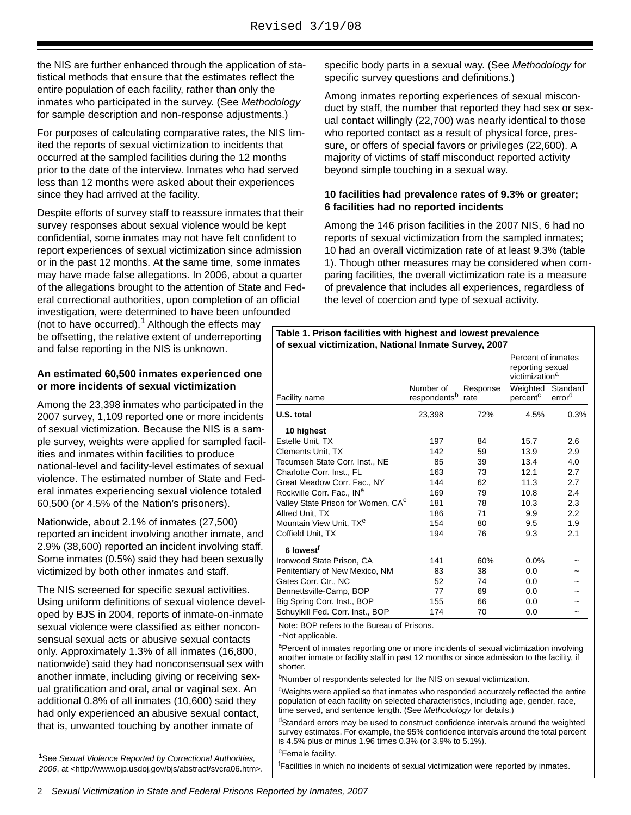the NIS are further enhanced through the application of statistical methods that ensure that the estimates reflect the entire population of each facility, rather than only the inmates who participated in the survey. (See *Methodology*  for sample description and non-response adjustments.)

For purposes of calculating comparative rates, the NIS limited the reports of sexual victimization to incidents that occurred at the sampled facilities during the 12 months prior to the date of the interview. Inmates who had served less than 12 months were asked about their experiences since they had arrived at the facility.

Despite efforts of survey staff to reassure inmates that their survey responses about sexual violence would be kept confidential, some inmates may not have felt confident to report experiences of sexual victimization since admission or in the past 12 months. At the same time, some inmates may have made false allegations. In 2006, about a quarter of the allegations brought to the attention of State and Federal correctional authorities, upon completion of an official investigation, were determined to have been unfounded

(not to have occurred).<sup>1</sup> Although the effects may be offsetting, the relative extent of underreporting and false reporting in the NIS is unknown.

#### **An estimated 60,500 inmates experienced one or more incidents of sexual victimization**

Among the 23,398 inmates who participated in the 2007 survey, 1,109 reported one or more incidents of sexual victimization. Because the NIS is a sample survey, weights were applied for sampled facilities and inmates within facilities to produce national-level and facility-level estimates of sexual violence. The estimated number of State and Federal inmates experiencing sexual violence totaled 60,500 (or 4.5% of the Nation's prisoners).

Nationwide, about 2.1% of inmates (27,500) reported an incident involving another inmate, and 2.9% (38,600) reported an incident involving staff. Some inmates (0.5%) said they had been sexually victimized by both other inmates and staff.

The NIS screened for specific sexual activities. Using uniform definitions of sexual violence developed by BJS in 2004, reports of inmate-on-inmate sexual violence were classified as either nonconsensual sexual acts or abusive sexual contacts only. Approximately 1.3% of all inmates (16,800, nationwide) said they had nonconsensual sex with another inmate, including giving or receiving sexual gratification and oral, anal or vaginal sex. An additional 0.8% of all inmates (10,600) said they had only experienced an abusive sexual contact, that is, unwanted touching by another inmate of

 $\overline{\phantom{a}}$ 

specific body parts in a sexual way. (See *Methodology* for specific survey questions and definitions.)

Among inmates reporting experiences of sexual misconduct by staff, the number that reported they had sex or sexual contact willingly (22,700) was nearly identical to those who reported contact as a result of physical force, pressure, or offers of special favors or privileges (22,600). A majority of victims of staff misconduct reported activity beyond simple touching in a sexual way.

# **10 facilities had prevalence rates of 9.3% or greater; 6 facilities had no reported incidents**

Among the 146 prison facilities in the 2007 NIS, 6 had no reports of sexual victimization from the sampled inmates; 10 had an overall victimization rate of at least 9.3% (table 1). Though other measures may be considered when comparing facilities, the overall victimization rate is a measure of prevalence that includes all experiences, regardless of the level of coercion and type of sexual activity.

#### **Table 1. Prison facilities with highest and lowest prevalence of sexual victimization, National Inmate Survey, 2007**

|                                                |                                       |                  | Percent of inmates<br>reporting sexual<br>victimization <sup>a</sup> |                                |
|------------------------------------------------|---------------------------------------|------------------|----------------------------------------------------------------------|--------------------------------|
| Facility name                                  | Number of<br>respondents <sup>b</sup> | Response<br>rate | Weighted<br>percent <sup>c</sup>                                     | Standard<br>error <sup>d</sup> |
| U.S. total                                     | 23,398                                | 72%              | 4.5%                                                                 | 0.3%                           |
| 10 highest                                     |                                       |                  |                                                                      |                                |
| Estelle Unit, TX                               | 197                                   | 84               | 15.7                                                                 | 2.6                            |
| <b>Clements Unit, TX</b>                       | 142                                   | 59               | 13.9                                                                 | 2.9                            |
| Tecumseh State Corr. Inst., NE                 | 85                                    | 39               | 13.4                                                                 | 4.0                            |
| Charlotte Corr. Inst., FL                      | 163                                   | 73               | 12.1                                                                 | 2.7                            |
| Great Meadow Corr. Fac., NY                    | 144                                   | 62               | 11.3                                                                 | 2.7                            |
| Rockville Corr. Fac., IN <sup>e</sup>          | 169                                   | 79               | 10.8                                                                 | 2.4                            |
| Valley State Prison for Women, CA <sup>e</sup> | 181                                   | 78               | 10.3                                                                 | 2.3                            |
| Allred Unit, TX                                | 186                                   | 71               | 9.9                                                                  | 2.2                            |
| Mountain View Unit, TX <sup>e</sup>            | 154                                   | 80               | 9.5                                                                  | 1.9                            |
| Coffield Unit, TX                              | 194                                   | 76               | 9.3                                                                  | 2.1                            |
| 6 lowest <sup>f</sup>                          |                                       |                  |                                                                      |                                |
| Ironwood State Prison, CA                      | 141                                   | 60%              | 0.0%                                                                 |                                |
| Penitentiary of New Mexico, NM                 | 83                                    | 38               | 0.0                                                                  |                                |
| Gates Corr. Ctr., NC                           | 52                                    | 74               | 0.0                                                                  |                                |
| Bennettsville-Camp, BOP                        | 77                                    | 69               | 0.0                                                                  |                                |
| Big Spring Corr. Inst., BOP                    | 155                                   | 66               | 0.0                                                                  |                                |
| Schuylkill Fed. Corr. Inst., BOP               | 174                                   | 70               | 0.0                                                                  |                                |

Note: BOP refers to the Bureau of Prisons.

~Not applicable.

aPercent of inmates reporting one or more incidents of sexual victimization involving another inmate or facility staff in past 12 months or since admission to the facility, if shorter.

<sup>b</sup>Number of respondents selected for the NIS on sexual victimization.

<sup>c</sup>Weights were applied so that inmates who responded accurately reflected the entire population of each facility on selected characteristics, including age, gender, race, time served, and sentence length. (See *Methodology* for details.)

<sup>d</sup>Standard errors may be used to construct confidence intervals around the weighted survey estimates. For example, the 95% confidence intervals around the total percent is 4.5% plus or minus 1.96 times 0.3% (or 3.9% to 5.1%).

eFemale facility.

<sup>f</sup>Facilities in which no incidents of sexual victimization were reported by inmates.

<sup>1</sup>See *Sexual Violence Reported by Correctional Authorities, 2006*, at <http://www.ojp.usdoj.gov/bjs/abstract/svcra06.htm>.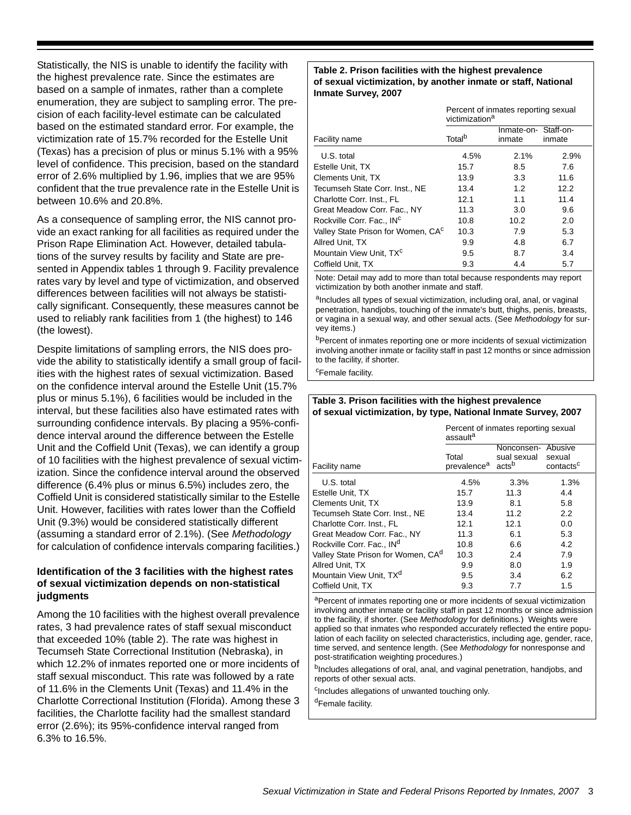Statistically, the NIS is unable to identify the facility with the highest prevalence rate. Since the estimates are based on a sample of inmates, rather than a complete enumeration, they are subject to sampling error. The precision of each facility-level estimate can be calculated based on the estimated standard error. For example, the victimization rate of 15.7% recorded for the Estelle Unit (Texas) has a precision of plus or minus 5.1% with a 95% level of confidence. This precision, based on the standard error of 2.6% multiplied by 1.96, implies that we are 95% confident that the true prevalence rate in the Estelle Unit is between 10.6% and 20.8%.

As a consequence of sampling error, the NIS cannot provide an exact ranking for all facilities as required under the Prison Rape Elimination Act. However, detailed tabulations of the survey results by facility and State are presented in Appendix tables 1 through 9. Facility prevalence rates vary by level and type of victimization, and observed differences between facilities will not always be statistically significant. Consequently, these measures cannot be used to reliably rank facilities from 1 (the highest) to 146 (the lowest).

Despite limitations of sampling errors, the NIS does provide the ability to statistically identify a small group of facilities with the highest rates of sexual victimization. Based on the confidence interval around the Estelle Unit (15.7% plus or minus 5.1%), 6 facilities would be included in the interval, but these facilities also have estimated rates with surrounding confidence intervals. By placing a 95%-confidence interval around the difference between the Estelle Unit and the Coffield Unit (Texas), we can identify a group of 10 facilities with the highest prevalence of sexual victimization. Since the confidence interval around the observed difference (6.4% plus or minus 6.5%) includes zero, the Coffield Unit is considered statistically similar to the Estelle Unit. However, facilities with rates lower than the Coffield Unit (9.3%) would be considered statistically different (assuming a standard error of 2.1%). (See *Methodology* for calculation of confidence intervals comparing facilities.)

# **Identification of the 3 facilities with the highest rates of sexual victimization depends on non-statistical judgments**

Among the 10 facilities with the highest overall prevalence rates, 3 had prevalence rates of staff sexual misconduct that exceeded 10% (table 2). The rate was highest in Tecumseh State Correctional Institution (Nebraska), in which 12.2% of inmates reported one or more incidents of staff sexual misconduct. This rate was followed by a rate of 11.6% in the Clements Unit (Texas) and 11.4% in the Charlotte Correctional Institution (Florida). Among these 3 facilities, the Charlotte facility had the smallest standard error (2.6%); its 95%-confidence interval ranged from 6.3% to 16.5%.

#### **Table 2. Prison facilities with the highest prevalence of sexual victimization, by another inmate or staff, National Inmate Survey, 2007**

|                                    | Percent of inmates reporting sexual<br>victimization <sup>a</sup> |                                |        |  |  |
|------------------------------------|-------------------------------------------------------------------|--------------------------------|--------|--|--|
| Facility name                      | Total <sup>b</sup>                                                | Inmate-on- Staff-on-<br>inmate | inmate |  |  |
| U.S. total                         | 4.5%                                                              | 2.1%                           | 2.9%   |  |  |
| Estelle Unit, TX                   | 15.7                                                              | 8.5                            | 7.6    |  |  |
| <b>Clements Unit, TX</b>           | 13.9                                                              | 3.3                            | 11.6   |  |  |
| Tecumseh State Corr. Inst., NE     | 13.4                                                              | 1.2                            | 12.2   |  |  |
| Charlotte Corr. Inst., FL          | 12.1                                                              | 1.1                            | 11.4   |  |  |
| Great Meadow Corr. Fac., NY        | 11.3                                                              | 3.0                            | 9.6    |  |  |
| Rockville Corr. Fac., INC          | 10.8                                                              | 10.2                           | 2.0    |  |  |
| Valley State Prison for Women, CAC | 10.3                                                              | 7.9                            | 5.3    |  |  |
| Allred Unit, TX                    | 9.9                                                               | 4.8                            | 6.7    |  |  |
| Mountain View Unit, TXC            | 9.5                                                               | 8.7                            | 3.4    |  |  |
| Coffield Unit, TX                  | 9.3                                                               | 4.4                            | 5.7    |  |  |

Note: Detail may add to more than total because respondents may report victimization by both another inmate and staff.

aIncludes all types of sexual victimization, including oral, anal, or vaginal penetration, handjobs, touching of the inmate's butt, thighs, penis, breasts, or vagina in a sexual way, and other sexual acts. (See *Methodology* for survey items.)

bPercent of inmates reporting one or more incidents of sexual victimization involving another inmate or facility staff in past 12 months or since admission to the facility, if shorter.

<sup>c</sup>Female facility.

## **Table 3. Prison facilities with the highest prevalence of sexual victimization, by type, National Inmate Survey, 2007**

|                                                | Percent of inmates reporting sexual<br>assaulta |                                                        |                                 |  |  |
|------------------------------------------------|-------------------------------------------------|--------------------------------------------------------|---------------------------------|--|--|
| Facility name                                  | Total<br>prevalence <sup>a</sup>                | Nonconsen- Abusive<br>sual sexual<br>acts <sup>b</sup> | sexual<br>contacts <sup>c</sup> |  |  |
| U.S. total                                     | 4.5%                                            | 3.3%                                                   | 1.3%                            |  |  |
| Estelle Unit. TX                               | 15.7                                            | 11.3                                                   | 4.4                             |  |  |
| <b>Clements Unit, TX</b>                       | 13.9                                            | 8.1                                                    | 5.8                             |  |  |
| Tecumseh State Corr. Inst., NE                 | 13.4                                            | 11.2                                                   | 2.2                             |  |  |
| Charlotte Corr. Inst., FL                      | 12.1                                            | 12.1                                                   | 0.0                             |  |  |
| Great Meadow Corr. Fac., NY                    | 11.3                                            | 6.1                                                    | 5.3                             |  |  |
| Rockville Corr. Fac., IN <sup>d</sup>          | 10.8                                            | 6.6                                                    | 4.2                             |  |  |
| Valley State Prison for Women, CA <sup>d</sup> | 10.3                                            | 2.4                                                    | 7.9                             |  |  |
| Allred Unit, TX                                | 9.9                                             | 8.0                                                    | 1.9                             |  |  |
| Mountain View Unit, TX <sup>d</sup>            | 9.5                                             | 3.4                                                    | 6.2                             |  |  |
| Coffield Unit, TX                              | 9.3                                             | 7.7                                                    | 1.5                             |  |  |

aPercent of inmates reporting one or more incidents of sexual victimization involving another inmate or facility staff in past 12 months or since admission to the facility, if shorter. (See *Methodology* for definitions.) Weights were applied so that inmates who responded accurately reflected the entire population of each facility on selected characteristics, including age, gender, race, time served, and sentence length. (See *Methodology* for nonresponse and post-stratification weighting procedures.)

<sup>b</sup>Includes allegations of oral, anal, and vaginal penetration, handjobs, and reports of other sexual acts.

<sup>c</sup>Includes allegations of unwanted touching only.

<sup>d</sup>Female facility.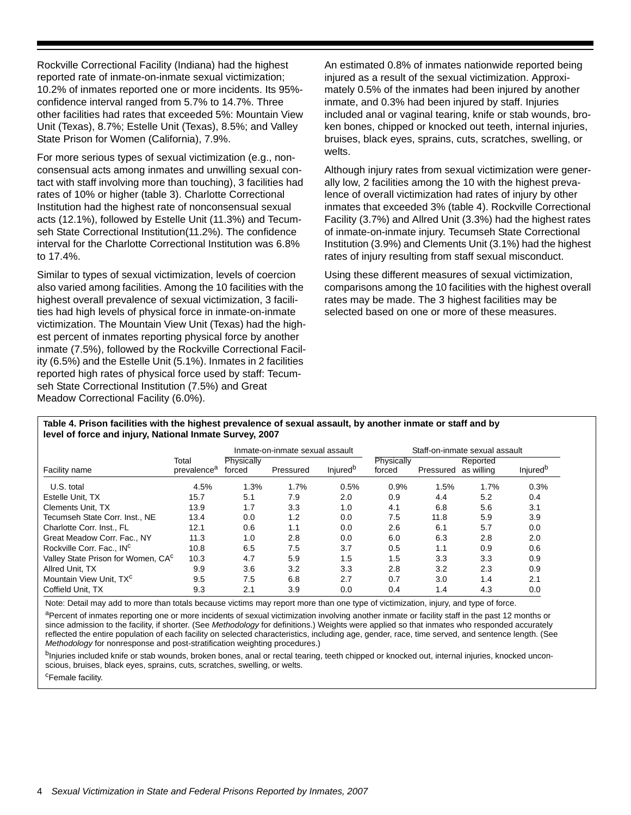Rockville Correctional Facility (Indiana) had the highest reported rate of inmate-on-inmate sexual victimization; 10.2% of inmates reported one or more incidents. Its 95% confidence interval ranged from 5.7% to 14.7%. Three other facilities had rates that exceeded 5%: Mountain View Unit (Texas), 8.7%; Estelle Unit (Texas), 8.5%; and Valley State Prison for Women (California), 7.9%.

For more serious types of sexual victimization (e.g., nonconsensual acts among inmates and unwilling sexual contact with staff involving more than touching), 3 facilities had rates of 10% or higher (table 3). Charlotte Correctional Institution had the highest rate of nonconsensual sexual acts (12.1%), followed by Estelle Unit (11.3%) and Tecumseh State Correctional Institution(11.2%). The confidence interval for the Charlotte Correctional Institution was 6.8% to 17.4%.

Similar to types of sexual victimization, levels of coercion also varied among facilities. Among the 10 facilities with the highest overall prevalence of sexual victimization, 3 facilities had high levels of physical force in inmate-on-inmate victimization. The Mountain View Unit (Texas) had the highest percent of inmates reporting physical force by another inmate (7.5%), followed by the Rockville Correctional Facility (6.5%) and the Estelle Unit (5.1%). Inmates in 2 facilities reported high rates of physical force used by staff: Tecumseh State Correctional Institution (7.5%) and Great Meadow Correctional Facility (6.0%).

An estimated 0.8% of inmates nationwide reported being injured as a result of the sexual victimization. Approximately 0.5% of the inmates had been injured by another inmate, and 0.3% had been injured by staff. Injuries included anal or vaginal tearing, knife or stab wounds, broken bones, chipped or knocked out teeth, internal injuries, bruises, black eyes, sprains, cuts, scratches, swelling, or welts.

Although injury rates from sexual victimization were generally low, 2 facilities among the 10 with the highest prevalence of overall victimization had rates of injury by other inmates that exceeded 3% (table 4). Rockville Correctional Facility (3.7%) and Allred Unit (3.3%) had the highest rates of inmate-on-inmate injury. Tecumseh State Correctional Institution (3.9%) and Clements Unit (3.1%) had the highest rates of injury resulting from staff sexual misconduct.

Using these different measures of sexual victimization, comparisons among the 10 facilities with the highest overall rates may be made. The 3 highest facilities may be selected based on one or more of these measures.

#### **Table 4. Prison facilities with the highest prevalence of sexual assault, by another inmate or staff and by level of force and injury, National Inmate Survey, 2007**

|                                    |                                  | Inmate-on-inmate sexual assault |           |                             | Staff-on-inmate sexual assault |                      |          |                             |
|------------------------------------|----------------------------------|---------------------------------|-----------|-----------------------------|--------------------------------|----------------------|----------|-----------------------------|
| Facility name                      | Total<br>prevalence <sup>a</sup> | Physically<br>forced            | Pressured | <b>Injured</b> <sup>b</sup> | Physically<br>forced           | Pressured as willing | Reported | <b>Injured</b> <sup>b</sup> |
| U.S. total                         | 4.5%                             | 1.3%                            | 1.7%      | 0.5%                        | 0.9%                           | 1.5%                 | 1.7%     | 0.3%                        |
| Estelle Unit. TX                   | 15.7                             | 5.1                             | 7.9       | 2.0                         | 0.9                            | 4.4                  | 5.2      | 0.4                         |
| Clements Unit, TX                  | 13.9                             | 1.7                             | 3.3       | 1.0                         | 4.1                            | 6.8                  | 5.6      | 3.1                         |
| Tecumseh State Corr. Inst., NE     | 13.4                             | 0.0                             | 1.2       | 0.0                         | 7.5                            | 11.8                 | 5.9      | 3.9                         |
| Charlotte Corr. Inst., FL          | 12.1                             | 0.6                             | 1.1       | 0.0                         | 2.6                            | 6.1                  | 5.7      | 0.0                         |
| Great Meadow Corr. Fac., NY        | 11.3                             | 1.0                             | 2.8       | 0.0                         | 6.0                            | 6.3                  | 2.8      | 2.0                         |
| Rockville Corr. Fac., INC          | 10.8                             | 6.5                             | 7.5       | 3.7                         | 0.5                            | 1.1                  | 0.9      | 0.6                         |
| Valley State Prison for Women, CAC | 10.3                             | 4.7                             | 5.9       | 1.5                         | 1.5                            | 3.3                  | 3.3      | 0.9                         |
| Allred Unit. TX                    | 9.9                              | 3.6                             | 3.2       | 3.3                         | 2.8                            | 3.2                  | 2.3      | 0.9                         |
| Mountain View Unit. TXC            | 9.5                              | 7.5                             | 6.8       | 2.7                         | 0.7                            | 3.0                  | 1.4      | 2.1                         |
| Coffield Unit. TX                  | 9.3                              | 2.1                             | 3.9       | 0.0                         | 0.4                            | 1.4                  | 4.3      | 0.0                         |

Note: Detail may add to more than totals because victims may report more than one type of victimization, injury, and type of force.

aPercent of inmates reporting one or more incidents of sexual victimization involving another inmate or facility staff in the past 12 months or since admission to the facility, if shorter. (See *Methodology* for definitions.) Weights were applied so that inmates who responded accurately reflected the entire population of each facility on selected characteristics, including age, gender, race, time served, and sentence length. (See *Methodology* for nonresponse and post-stratification weighting procedures.)

b<sub>Injuries included knife or stab wounds, broken bones, anal or rectal tearing, teeth chipped or knocked out, internal injuries, knocked uncon-</sub> scious, bruises, black eyes, sprains, cuts, scratches, swelling, or welts.

cFemale facility.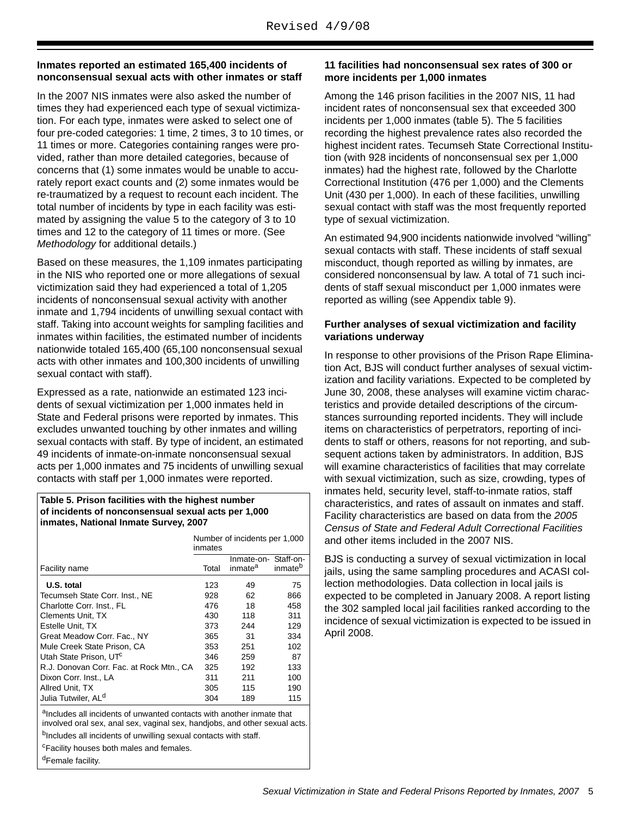# **Inmates reported an estimated 165,400 incidents of nonconsensual sexual acts with other inmates or staff**

In the 2007 NIS inmates were also asked the number of times they had experienced each type of sexual victimization. For each type, inmates were asked to select one of four pre-coded categories: 1 time, 2 times, 3 to 10 times, or 11 times or more. Categories containing ranges were provided, rather than more detailed categories, because of concerns that (1) some inmates would be unable to accurately report exact counts and (2) some inmates would be re-traumatized by a request to recount each incident. The total number of incidents by type in each facility was estimated by assigning the value 5 to the category of 3 to 10 times and 12 to the category of 11 times or more. (See *Methodology* for additional details.)

Based on these measures, the 1,109 inmates participating in the NIS who reported one or more allegations of sexual victimization said they had experienced a total of 1,205 incidents of nonconsensual sexual activity with another inmate and 1,794 incidents of unwilling sexual contact with staff. Taking into account weights for sampling facilities and inmates within facilities, the estimated number of incidents nationwide totaled 165,400 (65,100 nonconsensual sexual acts with other inmates and 100,300 incidents of unwilling sexual contact with staff).

Expressed as a rate, nationwide an estimated 123 incidents of sexual victimization per 1,000 inmates held in State and Federal prisons were reported by inmates. This excludes unwanted touching by other inmates and willing sexual contacts with staff. By type of incident, an estimated 49 incidents of inmate-on-inmate nonconsensual sexual acts per 1,000 inmates and 75 incidents of unwilling sexual contacts with staff per 1,000 inmates were reported.

#### **Table 5. Prison facilities with the highest number of incidents of nonconsensual sexual acts per 1,000 inmates, National Inmate Survey, 2007**

|                                                                                                                                                     | Number of incidents per 1,000<br>inmates |                                             |                     |  |  |  |
|-----------------------------------------------------------------------------------------------------------------------------------------------------|------------------------------------------|---------------------------------------------|---------------------|--|--|--|
|                                                                                                                                                     |                                          | Inmate-on- Staff-on-<br>inmate <sup>a</sup> | inmate <sup>p</sup> |  |  |  |
| Facility name                                                                                                                                       | Total                                    |                                             |                     |  |  |  |
| U.S. total                                                                                                                                          | 123                                      | 49                                          | 75                  |  |  |  |
| Tecumseh State Corr. Inst., NE                                                                                                                      | 928                                      | 62                                          | 866                 |  |  |  |
| Charlotte Corr. Inst., FL                                                                                                                           | 476                                      | 18                                          | 458                 |  |  |  |
| <b>Clements Unit, TX</b>                                                                                                                            | 430                                      | 118                                         | 311                 |  |  |  |
| Estelle Unit, TX                                                                                                                                    | 373                                      | 244                                         | 129                 |  |  |  |
| Great Meadow Corr. Fac., NY                                                                                                                         | 365                                      | 31                                          | 334                 |  |  |  |
| Mule Creek State Prison, CA                                                                                                                         | 353                                      | 251                                         | 102                 |  |  |  |
| Utah State Prison, UTC                                                                                                                              | 346                                      | 259                                         | 87                  |  |  |  |
| R.J. Donovan Corr. Fac. at Rock Mtn., CA                                                                                                            | 325                                      | 192                                         | 133                 |  |  |  |
| Dixon Corr. Inst., LA                                                                                                                               | 311                                      | 211                                         | 100                 |  |  |  |
| Allred Unit, TX                                                                                                                                     | 305                                      | 115                                         | 190                 |  |  |  |
| Julia Tutwiler, AL <sup>d</sup>                                                                                                                     | 304                                      | 189                                         | 115                 |  |  |  |
| alncludes all incidents of unwanted contacts with another inmate that<br>involved oral sex, anal sex, vaginal sex, handjobs, and other sexual acts. |                                          |                                             |                     |  |  |  |

<sup>b</sup>Includes all incidents of unwilling sexual contacts with staff.

c Facility houses both males and females.

dFemale facility.

# **11 facilities had nonconsensual sex rates of 300 or more incidents per 1,000 inmates**

Among the 146 prison facilities in the 2007 NIS, 11 had incident rates of nonconsensual sex that exceeded 300 incidents per 1,000 inmates (table 5). The 5 facilities recording the highest prevalence rates also recorded the highest incident rates. Tecumseh State Correctional Institution (with 928 incidents of nonconsensual sex per 1,000 inmates) had the highest rate, followed by the Charlotte Correctional Institution (476 per 1,000) and the Clements Unit (430 per 1,000). In each of these facilities, unwilling sexual contact with staff was the most frequently reported type of sexual victimization.

An estimated 94,900 incidents nationwide involved "willing" sexual contacts with staff. These incidents of staff sexual misconduct, though reported as willing by inmates, are considered nonconsensual by law. A total of 71 such incidents of staff sexual misconduct per 1,000 inmates were reported as willing (see Appendix table 9).

# **Further analyses of sexual victimization and facility variations underway**

In response to other provisions of the Prison Rape Elimination Act, BJS will conduct further analyses of sexual victimization and facility variations. Expected to be completed by June 30, 2008, these analyses will examine victim characteristics and provide detailed descriptions of the circumstances surrounding reported incidents. They will include items on characteristics of perpetrators, reporting of incidents to staff or others, reasons for not reporting, and subsequent actions taken by administrators. In addition, BJS will examine characteristics of facilities that may correlate with sexual victimization, such as size, crowding, types of inmates held, security level, staff-to-inmate ratios, staff characteristics, and rates of assault on inmates and staff. Facility characteristics are based on data from the *2005 Census of State and Federal Adult Correctional Facilities*  and other items included in the 2007 NIS.

BJS is conducting a survey of sexual victimization in local jails, using the same sampling procedures and ACASI collection methodologies. Data collection in local jails is expected to be completed in January 2008. A report listing the 302 sampled local jail facilities ranked according to the incidence of sexual victimization is expected to be issued in April 2008.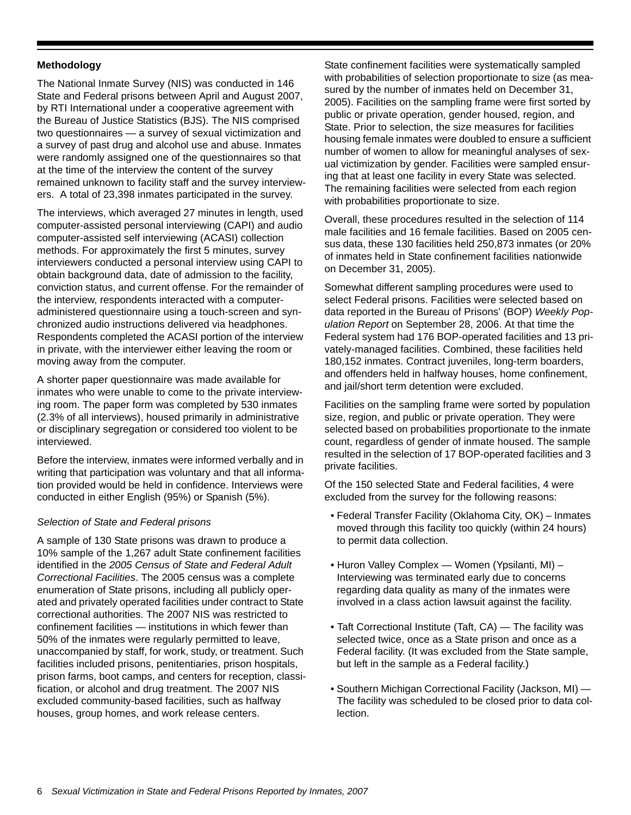# **Methodology**

The National Inmate Survey (NIS) was conducted in 146 State and Federal prisons between April and August 2007, by RTI International under a cooperative agreement with the Bureau of Justice Statistics (BJS). The NIS comprised two questionnaires — a survey of sexual victimization and a survey of past drug and alcohol use and abuse. Inmates were randomly assigned one of the questionnaires so that at the time of the interview the content of the survey remained unknown to facility staff and the survey interviewers. A total of 23,398 inmates participated in the survey.

The interviews, which averaged 27 minutes in length, used computer-assisted personal interviewing (CAPI) and audio computer-assisted self interviewing (ACASI) collection methods. For approximately the first 5 minutes, survey interviewers conducted a personal interview using CAPI to obtain background data, date of admission to the facility, conviction status, and current offense. For the remainder of the interview, respondents interacted with a computeradministered questionnaire using a touch-screen and synchronized audio instructions delivered via headphones. Respondents completed the ACASI portion of the interview in private, with the interviewer either leaving the room or moving away from the computer.

A shorter paper questionnaire was made available for inmates who were unable to come to the private interviewing room. The paper form was completed by 530 inmates (2.3% of all interviews), housed primarily in administrative or disciplinary segregation or considered too violent to be interviewed.

Before the interview, inmates were informed verbally and in writing that participation was voluntary and that all information provided would be held in confidence. Interviews were conducted in either English (95%) or Spanish (5%).

#### *Selection of State and Federal prisons*

A sample of 130 State prisons was drawn to produce a 10% sample of the 1,267 adult State confinement facilities identified in the *2005 Census of State and Federal Adult Correctional Facilities*. The 2005 census was a complete enumeration of State prisons, including all publicly operated and privately operated facilities under contract to State correctional authorities. The 2007 NIS was restricted to confinement facilities — institutions in which fewer than 50% of the inmates were regularly permitted to leave, unaccompanied by staff, for work, study, or treatment. Such facilities included prisons, penitentiaries, prison hospitals, prison farms, boot camps, and centers for reception, classification, or alcohol and drug treatment. The 2007 NIS excluded community-based facilities, such as halfway houses, group homes, and work release centers.

State confinement facilities were systematically sampled with probabilities of selection proportionate to size (as measured by the number of inmates held on December 31, 2005). Facilities on the sampling frame were first sorted by public or private operation, gender housed, region, and State. Prior to selection, the size measures for facilities housing female inmates were doubled to ensure a sufficient number of women to allow for meaningful analyses of sexual victimization by gender. Facilities were sampled ensuring that at least one facility in every State was selected. The remaining facilities were selected from each region with probabilities proportionate to size.

Overall, these procedures resulted in the selection of 114 male facilities and 16 female facilities. Based on 2005 census data, these 130 facilities held 250,873 inmates (or 20% of inmates held in State confinement facilities nationwide on December 31, 2005).

Somewhat different sampling procedures were used to select Federal prisons. Facilities were selected based on data reported in the Bureau of Prisons' (BOP) *Weekly Population Report* on September 28, 2006. At that time the Federal system had 176 BOP-operated facilities and 13 privately-managed facilities. Combined, these facilities held 180,152 inmates. Contract juveniles, long-term boarders, and offenders held in halfway houses, home confinement, and jail/short term detention were excluded.

Facilities on the sampling frame were sorted by population size, region, and public or private operation. They were selected based on probabilities proportionate to the inmate count, regardless of gender of inmate housed. The sample resulted in the selection of 17 BOP-operated facilities and 3 private facilities.

Of the 150 selected State and Federal facilities, 4 were excluded from the survey for the following reasons:

- Federal Transfer Facility (Oklahoma City, OK) Inmates moved through this facility too quickly (within 24 hours) to permit data collection.
- Huron Valley Complex Women (Ypsilanti, MI) Interviewing was terminated early due to concerns regarding data quality as many of the inmates were involved in a class action lawsuit against the facility.
- Taft Correctional Institute (Taft, CA) The facility was selected twice, once as a State prison and once as a Federal facility. (It was excluded from the State sample, but left in the sample as a Federal facility.)
- Southern Michigan Correctional Facility (Jackson, MI) The facility was scheduled to be closed prior to data collection.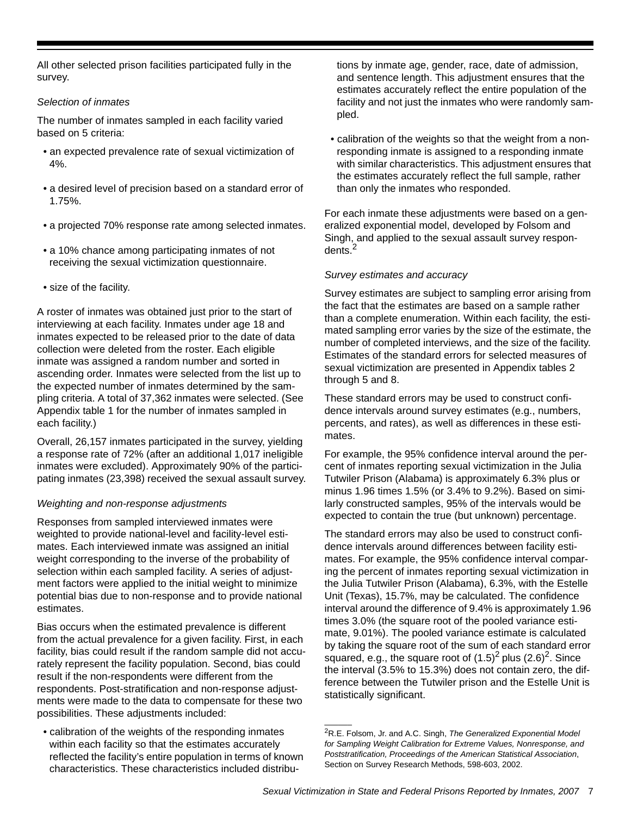All other selected prison facilities participated fully in the survey.

# *Selection of inmates*

The number of inmates sampled in each facility varied based on 5 criteria:

- an expected prevalence rate of sexual victimization of 4%.
- a desired level of precision based on a standard error of 1.75%.
- a projected 70% response rate among selected inmates.
- a 10% chance among participating inmates of not receiving the sexual victimization questionnaire.
- size of the facility.

A roster of inmates was obtained just prior to the start of interviewing at each facility. Inmates under age 18 and inmates expected to be released prior to the date of data collection were deleted from the roster. Each eligible inmate was assigned a random number and sorted in ascending order. Inmates were selected from the list up to the expected number of inmates determined by the sampling criteria. A total of 37,362 inmates were selected. (See Appendix table 1 for the number of inmates sampled in each facility.)

Overall, 26,157 inmates participated in the survey, yielding a response rate of 72% (after an additional 1,017 ineligible inmates were excluded). Approximately 90% of the participating inmates (23,398) received the sexual assault survey.

# *Weighting and non-response adjustments*

Responses from sampled interviewed inmates were weighted to provide national-level and facility-level estimates. Each interviewed inmate was assigned an initial weight corresponding to the inverse of the probability of selection within each sampled facility. A series of adjustment factors were applied to the initial weight to minimize potential bias due to non-response and to provide national estimates.

Bias occurs when the estimated prevalence is different from the actual prevalence for a given facility. First, in each facility, bias could result if the random sample did not accurately represent the facility population. Second, bias could result if the non-respondents were different from the respondents. Post-stratification and non-response adjustments were made to the data to compensate for these two possibilities. These adjustments included:

• calibration of the weights of the responding inmates within each facility so that the estimates accurately reflected the facility's entire population in terms of known characteristics. These characteristics included distributions by inmate age, gender, race, date of admission, and sentence length. This adjustment ensures that the estimates accurately reflect the entire population of the facility and not just the inmates who were randomly sampled.

• calibration of the weights so that the weight from a nonresponding inmate is assigned to a responding inmate with similar characteristics. This adjustment ensures that the estimates accurately reflect the full sample, rather than only the inmates who responded.

For each inmate these adjustments were based on a generalized exponential model, developed by Folsom and Singh, and applied to the sexual assault survey respondents.2

# *Survey estimates and accuracy*

Survey estimates are subject to sampling error arising from the fact that the estimates are based on a sample rather than a complete enumeration. Within each facility, the estimated sampling error varies by the size of the estimate, the number of completed interviews, and the size of the facility. Estimates of the standard errors for selected measures of sexual victimization are presented in Appendix tables 2 through 5 and 8.

These standard errors may be used to construct confidence intervals around survey estimates (e.g., numbers, percents, and rates), as well as differences in these estimates.

For example, the 95% confidence interval around the percent of inmates reporting sexual victimization in the Julia Tutwiler Prison (Alabama) is approximately 6.3% plus or minus 1.96 times 1.5% (or 3.4% to 9.2%). Based on similarly constructed samples, 95% of the intervals would be expected to contain the true (but unknown) percentage.

The standard errors may also be used to construct confidence intervals around differences between facility estimates. For example, the 95% confidence interval comparing the percent of inmates reporting sexual victimization in the Julia Tutwiler Prison (Alabama), 6.3%, with the Estelle Unit (Texas), 15.7%, may be calculated. The confidence interval around the difference of 9.4% is approximately 1.96 times 3.0% (the square root of the pooled variance estimate, 9.01%). The pooled variance estimate is calculated by taking the square root of the sum of each standard error squared, e.g., the square root of  $(1.5)^2$  plus  $(2.6)^2$ . Since the interval (3.5% to 15.3%) does not contain zero, the difference between the Tutwiler prison and the Estelle Unit is statistically significant.

 $\overline{\phantom{a}}$ 

<sup>2</sup>R.E. Folsom, Jr. and A.C. Singh, *The Generalized Exponential Model for Sampling Weight Calibration for Extreme Values, Nonresponse, and Poststratification, Proceedings of the American Statistical Association*, Section on Survey Research Methods, 598-603, 2002.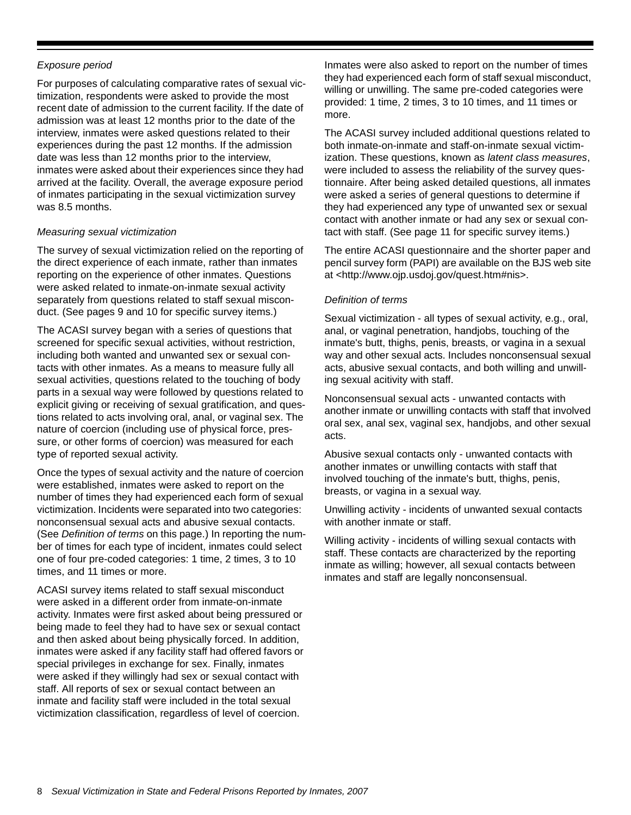# *Exposure period*

For purposes of calculating comparative rates of sexual victimization, respondents were asked to provide the most recent date of admission to the current facility. If the date of admission was at least 12 months prior to the date of the interview, inmates were asked questions related to their experiences during the past 12 months. If the admission date was less than 12 months prior to the interview, inmates were asked about their experiences since they had arrived at the facility. Overall, the average exposure period of inmates participating in the sexual victimization survey was 8.5 months.

# *Measuring sexual victimization*

The survey of sexual victimization relied on the reporting of the direct experience of each inmate, rather than inmates reporting on the experience of other inmates. Questions were asked related to inmate-on-inmate sexual activity separately from questions related to staff sexual misconduct. (See pages 9 and 10 for specific survey items.)

The ACASI survey began with a series of questions that screened for specific sexual activities, without restriction, including both wanted and unwanted sex or sexual contacts with other inmates. As a means to measure fully all sexual activities, questions related to the touching of body parts in a sexual way were followed by questions related to explicit giving or receiving of sexual gratification, and questions related to acts involving oral, anal, or vaginal sex. The nature of coercion (including use of physical force, pressure, or other forms of coercion) was measured for each type of reported sexual activity.

Once the types of sexual activity and the nature of coercion were established, inmates were asked to report on the number of times they had experienced each form of sexual victimization. Incidents were separated into two categories: nonconsensual sexual acts and abusive sexual contacts. (See *Definition of terms* on this page.) In reporting the number of times for each type of incident, inmates could select one of four pre-coded categories: 1 time, 2 times, 3 to 10 times, and 11 times or more.

ACASI survey items related to staff sexual misconduct were asked in a different order from inmate-on-inmate activity. Inmates were first asked about being pressured or being made to feel they had to have sex or sexual contact and then asked about being physically forced. In addition, inmates were asked if any facility staff had offered favors or special privileges in exchange for sex. Finally, inmates were asked if they willingly had sex or sexual contact with staff. All reports of sex or sexual contact between an inmate and facility staff were included in the total sexual victimization classification, regardless of level of coercion.

Inmates were also asked to report on the number of times they had experienced each form of staff sexual misconduct, willing or unwilling. The same pre-coded categories were provided: 1 time, 2 times, 3 to 10 times, and 11 times or more.

The ACASI survey included additional questions related to both inmate-on-inmate and staff-on-inmate sexual victimization. These questions, known as *latent class measures*, were included to assess the reliability of the survey questionnaire. After being asked detailed questions, all inmates were asked a series of general questions to determine if they had experienced any type of unwanted sex or sexual contact with another inmate or had any sex or sexual contact with staff. (See page 11 for specific survey items.)

The entire ACASI questionnaire and the shorter paper and pencil survey form (PAPI) are available on the BJS web site at <http://www.ojp.usdoj.gov/quest.htm#nis>.

# *Definition of terms*

Sexual victimization - all types of sexual activity, e.g., oral, anal, or vaginal penetration, handjobs, touching of the inmate's butt, thighs, penis, breasts, or vagina in a sexual way and other sexual acts. Includes nonconsensual sexual acts, abusive sexual contacts, and both willing and unwilling sexual acitivity with staff.

Nonconsensual sexual acts - unwanted contacts with another inmate or unwilling contacts with staff that involved oral sex, anal sex, vaginal sex, handjobs, and other sexual acts.

Abusive sexual contacts only - unwanted contacts with another inmates or unwilling contacts with staff that involved touching of the inmate's butt, thighs, penis, breasts, or vagina in a sexual way.

Unwilling activity - incidents of unwanted sexual contacts with another inmate or staff.

Willing activity - incidents of willing sexual contacts with staff. These contacts are characterized by the reporting inmate as willing; however, all sexual contacts between inmates and staff are legally nonconsensual.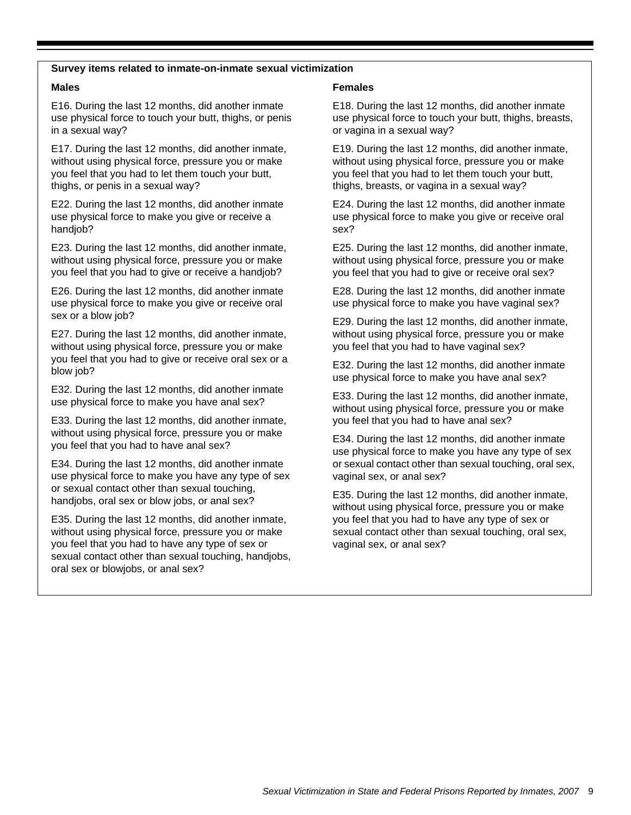#### **Survey items related to inmate-on-inmate sexual victimization**

#### **Males**

E16. During the last 12 months, did another inmate use physical force to touch your butt, thighs, or penis in a sexual way?

E17. During the last 12 months, did another inmate, without using physical force, pressure you or make you feel that you had to let them touch your butt, thighs, or penis in a sexual way?

E22. During the last 12 months, did another inmate use physical force to make you give or receive a handjob?

E23. During the last 12 months, did another inmate, without using physical force, pressure you or make you feel that you had to give or receive a handjob?

E26. During the last 12 months, did another inmate use physical force to make you give or receive oral sex or a blow job?

E27. During the last 12 months, did another inmate, without using physical force, pressure you or make you feel that you had to give or receive oral sex or a blow job?

E32. During the last 12 months, did another inmate use physical force to make you have anal sex?

E33. During the last 12 months, did another inmate, without using physical force, pressure you or make you feel that you had to have anal sex?

E34. During the last 12 months, did another inmate use physical force to make you have any type of sex or sexual contact other than sexual touching, handjobs, oral sex or blow jobs, or anal sex?

E35. During the last 12 months, did another inmate, without using physical force, pressure you or make you feel that you had to have any type of sex or sexual contact other than sexual touching, handjobs, oral sex or blowjobs, or anal sex?

#### **Females**

E18. During the last 12 months, did another inmate use physical force to touch your butt, thighs, breasts, or vagina in a sexual way?

E19. During the last 12 months, did another inmate, without using physical force, pressure you or make you feel that you had to let them touch your butt, thighs, breasts, or vagina in a sexual way?

E24. During the last 12 months, did another inmate use physical force to make you give or receive oral sex?

E25. During the last 12 months, did another inmate, without using physical force, pressure you or make you feel that you had to give or receive oral sex?

E28. During the last 12 months, did another inmate use physical force to make you have vaginal sex?

E29. During the last 12 months, did another inmate, without using physical force, pressure you or make you feel that you had to have vaginal sex?

E32. During the last 12 months, did another inmate use physical force to make you have anal sex?

E33. During the last 12 months, did another inmate, without using physical force, pressure you or make you feel that you had to have anal sex?

E34. During the last 12 months, did another inmate use physical force to make you have any type of sex or sexual contact other than sexual touching, oral sex, vaginal sex, or anal sex?

E35. During the last 12 months, did another inmate, without using physical force, pressure you or make you feel that you had to have any type of sex or sexual contact other than sexual touching, oral sex, vaginal sex, or anal sex?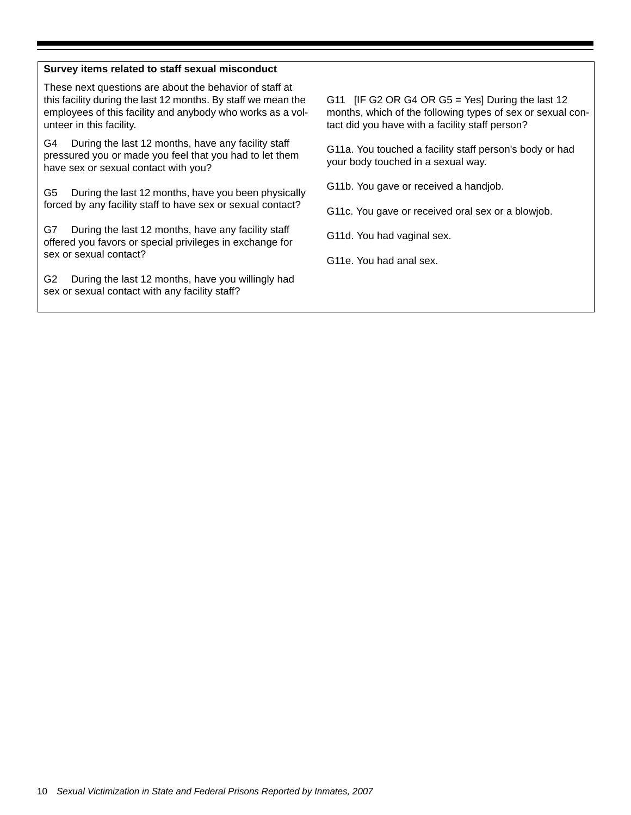# **Survey items related to staff sexual misconduct**

These next questions are about the behavior of staff at this facility during the last 12 months. By staff we mean the employees of this facility and anybody who works as a volunteer in this facility.

G4 During the last 12 months, have any facility staff pressured you or made you feel that you had to let them have sex or sexual contact with you?

G5 During the last 12 months, have you been physically forced by any facility staff to have sex or sexual contact?

G7 During the last 12 months, have any facility staff offered you favors or special privileges in exchange for sex or sexual contact?

G2 During the last 12 months, have you willingly had sex or sexual contact with any facility staff?

G11 [IF G2 OR G4 OR G5 = Yes] During the last 12 months, which of the following types of sex or sexual contact did you have with a facility staff person?

G11a. You touched a facility staff person's body or had your body touched in a sexual way.

G11b. You gave or received a handjob.

G11c. You gave or received oral sex or a blowjob.

G11d. You had vaginal sex.

G11e. You had anal sex.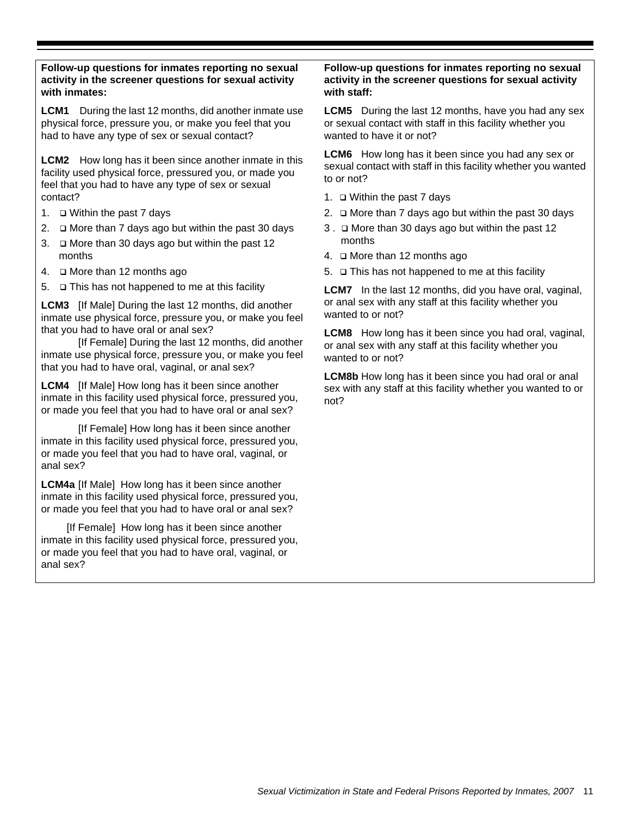# **Follow-up questions for inmates reporting no sexual activity in the screener questions for sexual activity with inmates:**

**LCM1** During the last 12 months, did another inmate use physical force, pressure you, or make you feel that you had to have any type of sex or sexual contact?

**LCM2** How long has it been since another inmate in this facility used physical force, pressured you, or made you feel that you had to have any type of sex or sexual contact?

- 1. Within the past 7 days
- 2.  $\Box$  More than 7 days ago but within the past 30 days
- 3. More than 30 days ago but within the past 12 months
- 4. More than 12 months ago
- 5.  $\Box$  This has not happened to me at this facility

**LCM3** [If Male] During the last 12 months, did another inmate use physical force, pressure you, or make you feel that you had to have oral or anal sex?

[If Female] During the last 12 months, did another inmate use physical force, pressure you, or make you feel that you had to have oral, vaginal, or anal sex?

**LCM4** [If Male] How long has it been since another inmate in this facility used physical force, pressured you, or made you feel that you had to have oral or anal sex?

[If Female] How long has it been since another inmate in this facility used physical force, pressured you, or made you feel that you had to have oral, vaginal, or anal sex?

**LCM4a** [If Male] How long has it been since another inmate in this facility used physical force, pressured you, or made you feel that you had to have oral or anal sex?

[If Female] How long has it been since another inmate in this facility used physical force, pressured you, or made you feel that you had to have oral, vaginal, or anal sex?

# **Follow-up questions for inmates reporting no sexual activity in the screener questions for sexual activity with staff:**

**LCM5** During the last 12 months, have you had any sex or sexual contact with staff in this facility whether you wanted to have it or not?

**LCM6** How long has it been since you had any sex or sexual contact with staff in this facility whether you wanted to or not?

- 1. Within the past 7 days
- 2.  $\Box$  More than 7 days ago but within the past 30 days
- 3 . More than 30 days ago but within the past 12 months
- 4. More than 12 months ago
- 5.  $\Box$  This has not happened to me at this facility

**LCM7** In the last 12 months, did you have oral, vaginal, or anal sex with any staff at this facility whether you wanted to or not?

**LCM8** How long has it been since you had oral, vaginal, or anal sex with any staff at this facility whether you wanted to or not?

**LCM8b** How long has it been since you had oral or anal sex with any staff at this facility whether you wanted to or not?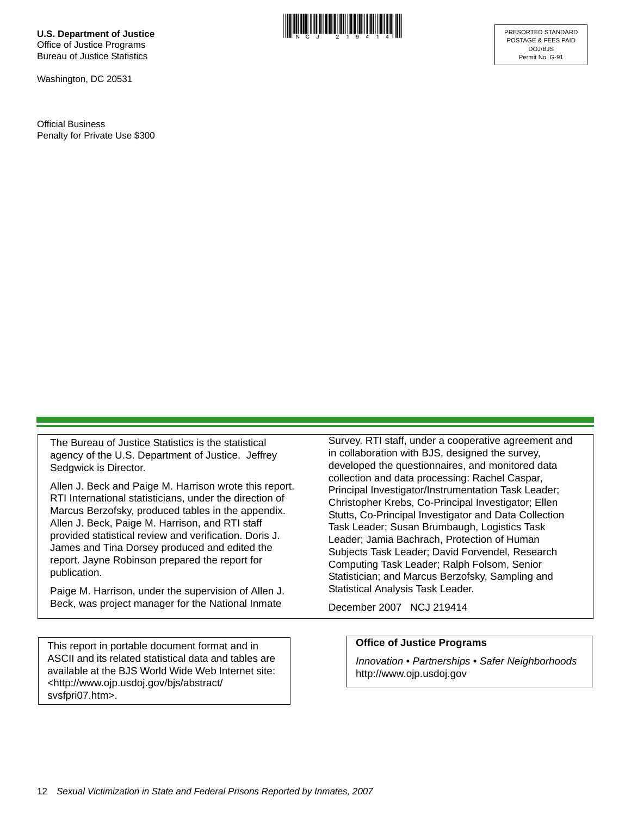**U.S. Department of Justice** Office of Justice Programs Bureau of Justice Statistics

Washington, DC 20531

Official Business Penalty for Private Use \$300



The Bureau of Justice Statistics is the statistical agency of the U.S. Department of Justice. Jeffrey Sedgwick is Director.

Allen J. Beck and Paige M. Harrison wrote this report. RTI International statisticians, under the direction of Marcus Berzofsky, produced tables in the appendix. Allen J. Beck, Paige M. Harrison, and RTI staff provided statistical review and verification. Doris J. James and Tina Dorsey produced and edited the report. Jayne Robinson prepared the report for publication.

Paige M. Harrison, under the supervision of Allen J. Beck, was project manager for the National Inmate

This report in portable document format and in ASCII and its related statistical data and tables are available at the BJS World Wide Web Internet site: <http://www.ojp.usdoj.gov/bjs/abstract/ svsfpri07.htm>.

Survey. RTI staff, under a cooperative agreement and in collaboration with BJS, designed the survey, developed the questionnaires, and monitored data collection and data processing: Rachel Caspar, Principal Investigator/Instrumentation Task Leader; Christopher Krebs, Co-Principal Investigator; Ellen Stutts, Co-Principal Investigator and Data Collection Task Leader; Susan Brumbaugh, Logistics Task Leader; Jamia Bachrach, Protection of Human Subjects Task Leader; David Forvendel, Research Computing Task Leader; Ralph Folsom, Senior Statistician; and Marcus Berzofsky, Sampling and Statistical Analysis Task Leader.

December 2007 NCJ 219414

#### **Office of Justice Programs**

*Innovation • Partnerships • Safer Neighborhoods* http://www.ojp.usdoj.gov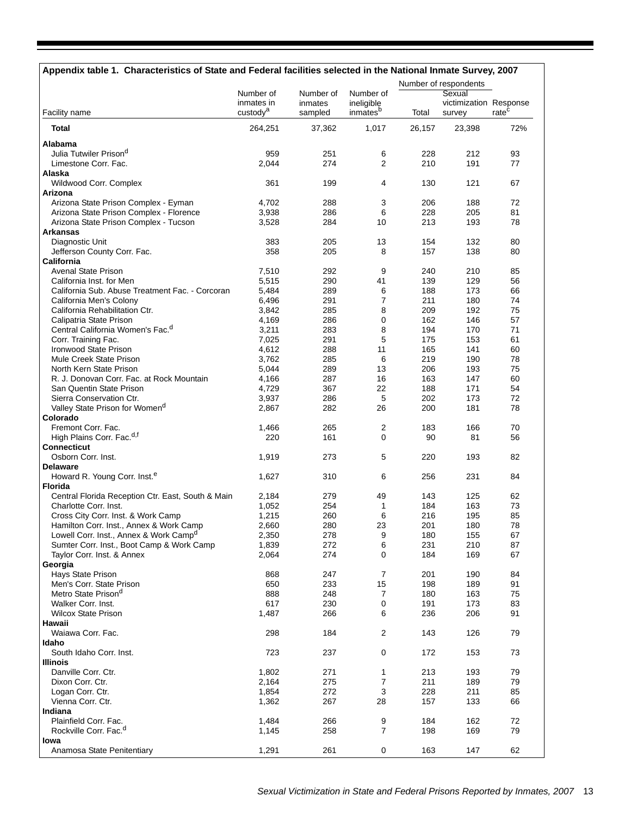| Appendix table 1. Characteristics of State and Federal facilities selected in the National Inmate Survey, 2007 |                                    |                    |                                    |            |                                  |                   |
|----------------------------------------------------------------------------------------------------------------|------------------------------------|--------------------|------------------------------------|------------|----------------------------------|-------------------|
|                                                                                                                |                                    |                    |                                    |            | Number of respondents            |                   |
|                                                                                                                | Number of                          | Number of          | Number of                          |            | Sexual                           |                   |
| Facility name                                                                                                  | inmates in<br>custody <sup>a</sup> | inmates<br>sampled | ineligible<br>inmates <sup>b</sup> | Total      | victimization Response<br>survey | rate <sup>c</sup> |
| <b>Total</b>                                                                                                   | 264,251                            | 37,362             | 1,017                              | 26.157     | 23,398                           | 72%               |
| Alabama                                                                                                        |                                    |                    |                                    |            |                                  |                   |
| Julia Tutwiler Prison <sup>d</sup>                                                                             | 959                                | 251                | 6                                  | 228        | 212                              | 93                |
| Limestone Corr. Fac.                                                                                           | 2,044                              | 274                | 2                                  | 210        | 191                              | 77                |
| Alaska                                                                                                         |                                    |                    |                                    |            |                                  |                   |
| Wildwood Corr. Complex                                                                                         | 361                                | 199                | 4                                  | 130        | 121                              | 67                |
| Arizona                                                                                                        |                                    |                    |                                    |            |                                  |                   |
| Arizona State Prison Complex - Eyman<br>Arizona State Prison Complex - Florence                                | 4,702<br>3,938                     | 288<br>286         | 3<br>6                             | 206<br>228 | 188<br>205                       | 72<br>81          |
| Arizona State Prison Complex - Tucson                                                                          | 3,528                              | 284                | 10                                 | 213        | 193                              | 78                |
| <b>Arkansas</b>                                                                                                |                                    |                    |                                    |            |                                  |                   |
| Diagnostic Unit                                                                                                | 383                                | 205                | 13                                 | 154        | 132                              | 80                |
| Jefferson County Corr. Fac.                                                                                    | 358                                | 205                | 8                                  | 157        | 138                              | 80                |
| California                                                                                                     |                                    |                    |                                    |            |                                  |                   |
| <b>Avenal State Prison</b>                                                                                     | 7,510                              | 292                | 9                                  | 240        | 210                              | 85                |
| California Inst. for Men                                                                                       | 5,515                              | 290                | 41                                 | 139        | 129                              | 56                |
| California Sub. Abuse Treatment Fac. - Corcoran                                                                | 5,484                              | 289                | 6                                  | 188        | 173                              | 66                |
| California Men's Colony                                                                                        | 6,496                              | 291                | $\overline{7}$                     | 211        | 180                              | 74                |
| California Rehabilitation Ctr.                                                                                 | 3,842                              | 285                | 8                                  | 209        | 192                              | 75                |
| Calipatria State Prison<br>Central California Women's Fac. <sup>d</sup>                                        | 4,169<br>3,211                     | 286<br>283         | 0<br>8                             | 162<br>194 | 146<br>170                       | 57<br>71          |
| Corr. Training Fac.                                                                                            | 7,025                              | 291                | 5                                  | 175        | 153                              | 61                |
| Ironwood State Prison                                                                                          | 4,612                              | 288                | 11                                 | 165        | 141                              | 60                |
| Mule Creek State Prison                                                                                        | 3,762                              | 285                | 6                                  | 219        | 190                              | 78                |
| North Kern State Prison                                                                                        | 5,044                              | 289                | 13                                 | 206        | 193                              | 75                |
| R. J. Donovan Corr. Fac. at Rock Mountain                                                                      | 4,166                              | 287                | 16                                 | 163        | 147                              | 60                |
| San Quentin State Prison                                                                                       | 4,729                              | 367                | 22                                 | 188        | 171                              | 54                |
| Sierra Conservation Ctr.                                                                                       | 3,937                              | 286                | 5                                  | 202        | 173                              | 72                |
| Valley State Prison for Women <sup>d</sup>                                                                     | 2,867                              | 282                | 26                                 | 200        | 181                              | 78                |
| Colorado                                                                                                       |                                    |                    |                                    |            |                                  |                   |
| Fremont Corr. Fac.                                                                                             | 1,466                              | 265                | 2                                  | 183        | 166                              | 70                |
| High Plains Corr. Fac. <sup>d,f</sup><br><b>Connecticut</b>                                                    | 220                                | 161                | 0                                  | 90         | 81                               | 56                |
| Osborn Corr. Inst.                                                                                             | 1,919                              | 273                | 5                                  | 220        | 193                              | 82                |
| <b>Delaware</b>                                                                                                |                                    |                    |                                    |            |                                  |                   |
| Howard R. Young Corr. Inst. <sup>e</sup>                                                                       | 1,627                              | 310                | 6                                  | 256        | 231                              | 84                |
| <b>Florida</b>                                                                                                 |                                    |                    |                                    |            |                                  |                   |
| Central Florida Reception Ctr. East, South & Main                                                              | 2,184                              | 279                | 49                                 | 143        | 125                              | 62                |
| Charlotte Corr. Inst.                                                                                          | 1,052                              | 254                | 1                                  | 184        | 163                              | 73                |
| Cross City Corr. Inst. & Work Camp                                                                             | 1,215                              | 260                | 6                                  | 216        | 195                              | 85                |
| Hamilton Corr. Inst., Annex & Work Camp                                                                        | 2,660                              | 280                | 23                                 | 201        | 180                              | 78                |
| Lowell Corr. Inst., Annex & Work Campd<br>Sumter Corr. Inst., Boot Camp & Work Camp                            | 2,350<br>1,839                     | 278<br>272         | 9<br>6                             | 180<br>231 | 155<br>210                       | 67<br>87          |
| Taylor Corr. Inst. & Annex                                                                                     | 2,064                              | 274                | 0                                  | 184        | 169                              | 67                |
| Georgia                                                                                                        |                                    |                    |                                    |            |                                  |                   |
| Hays State Prison                                                                                              | 868                                | 247                | 7                                  | 201        | 190                              | 84                |
| Men's Corr. State Prison                                                                                       | 650                                | 233                | 15                                 | 198        | 189                              | 91                |
| Metro State Prison <sup>d</sup>                                                                                | 888                                | 248                | 7                                  | 180        | 163                              | 75                |
| Walker Corr. Inst.                                                                                             | 617                                | 230                | 0                                  | 191        | 173                              | 83                |
| <b>Wilcox State Prison</b>                                                                                     | 1,487                              | 266                | 6                                  | 236        | 206                              | 91                |
| Hawaii                                                                                                         |                                    |                    |                                    |            |                                  |                   |
| Waiawa Corr. Fac.<br>Idaho                                                                                     | 298                                | 184                | $\overline{2}$                     | 143        | 126                              | 79                |
| South Idaho Corr. Inst.                                                                                        | 723                                | 237                | 0                                  | 172        | 153                              | 73                |
| <b>Illinois</b>                                                                                                |                                    |                    |                                    |            |                                  |                   |
| Danville Corr. Ctr.                                                                                            | 1,802                              | 271                | 1                                  | 213        | 193                              | 79                |
| Dixon Corr. Ctr.                                                                                               | 2,164                              | 275                | $\overline{7}$                     | 211        | 189                              | 79                |
| Logan Corr. Ctr.                                                                                               | 1,854                              | 272                | 3                                  | 228        | 211                              | 85                |
| Vienna Corr. Ctr.                                                                                              | 1,362                              | 267                | 28                                 | 157        | 133                              | 66                |
| Indiana                                                                                                        |                                    |                    |                                    |            |                                  |                   |
| Plainfield Corr. Fac.                                                                                          | 1,484                              | 266                | 9                                  | 184        | 162                              | 72                |
| Rockville Corr. Fac. <sup>d</sup>                                                                              | 1,145                              | 258                | 7                                  | 198        | 169                              | 79                |
| lowa<br>Anamosa State Penitentiary                                                                             | 1,291                              | 261                | 0                                  | 163        | 147                              | 62                |
|                                                                                                                |                                    |                    |                                    |            |                                  |                   |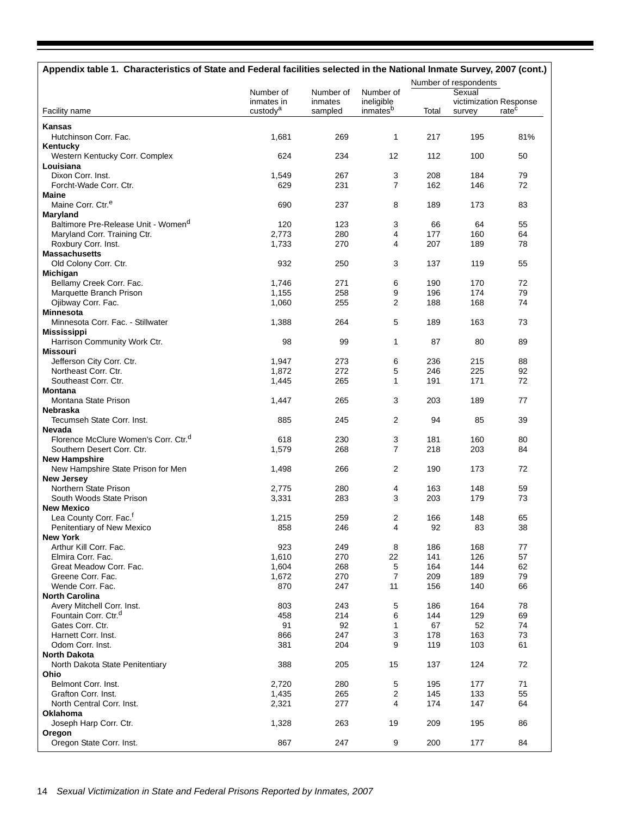| Appendix table 1. Characteristics of State and Federal facilities selected in the National Inmate Survey, 2007 (cont.) |                                    |                    |                        |            |                                  |                   |
|------------------------------------------------------------------------------------------------------------------------|------------------------------------|--------------------|------------------------|------------|----------------------------------|-------------------|
|                                                                                                                        |                                    |                    |                        |            | Number of respondents            |                   |
|                                                                                                                        | Number of                          | Number of          | Number of              |            | Sexual                           |                   |
| Facility name                                                                                                          | inmates in<br>custody <sup>a</sup> | inmates<br>sampled | ineligible<br>inmatesb | Total      | victimization Response<br>survey | rate <sup>c</sup> |
| Kansas                                                                                                                 |                                    |                    |                        |            |                                  |                   |
| Hutchinson Corr. Fac.                                                                                                  | 1,681                              | 269                | 1                      | 217        | 195                              | 81%               |
| Kentucky                                                                                                               |                                    |                    |                        |            |                                  |                   |
| Western Kentucky Corr. Complex                                                                                         | 624                                | 234                | 12                     | 112        | 100                              | 50                |
| Louisiana                                                                                                              |                                    |                    |                        |            |                                  |                   |
| Dixon Corr. Inst.                                                                                                      | 1,549                              | 267                | 3                      | 208        | 184                              | 79                |
| Forcht-Wade Corr. Ctr.                                                                                                 | 629                                | 231                | $\overline{7}$         | 162        | 146                              | 72                |
| <b>Maine</b>                                                                                                           |                                    |                    |                        |            |                                  |                   |
| Maine Corr. Ctr. <sup>e</sup>                                                                                          | 690                                | 237                | 8                      | 189        | 173                              | 83                |
| Maryland                                                                                                               |                                    |                    |                        |            |                                  |                   |
| Baltimore Pre-Release Unit - Women <sup>d</sup>                                                                        | 120                                | 123                | 3                      | 66         | 64                               | 55                |
| Maryland Corr. Training Ctr.                                                                                           | 2,773                              | 280                | 4                      | 177        | 160                              | 64                |
| Roxbury Corr. Inst.                                                                                                    | 1,733                              | 270                | 4                      | 207        | 189                              | 78                |
| <b>Massachusetts</b><br>Old Colony Corr. Ctr.                                                                          | 932                                | 250                | 3                      | 137        | 119                              | 55                |
| Michigan                                                                                                               |                                    |                    |                        |            |                                  |                   |
| Bellamy Creek Corr. Fac.                                                                                               | 1,746                              | 271                | 6                      | 190        | 170                              | 72                |
| Marquette Branch Prison                                                                                                | 1,155                              | 258                | 9                      | 196        | 174                              | 79                |
| Ojibway Corr. Fac.                                                                                                     | 1,060                              | 255                | 2                      | 188        | 168                              | 74                |
| <b>Minnesota</b>                                                                                                       |                                    |                    |                        |            |                                  |                   |
| Minnesota Corr. Fac. - Stillwater                                                                                      | 1,388                              | 264                | 5                      | 189        | 163                              | 73                |
| <b>Mississippi</b>                                                                                                     |                                    |                    |                        |            |                                  |                   |
| Harrison Community Work Ctr.                                                                                           | 98                                 | 99                 | 1                      | 87         | 80                               | 89                |
| <b>Missouri</b>                                                                                                        |                                    |                    |                        |            |                                  |                   |
| Jefferson City Corr. Ctr.                                                                                              | 1,947                              | 273                | 6                      | 236        | 215                              | 88                |
| Northeast Corr. Ctr.                                                                                                   | 1,872                              | 272                | 5                      | 246        | 225                              | 92                |
| Southeast Corr. Ctr.                                                                                                   | 1,445                              | 265                | 1                      | 191        | 171                              | 72                |
| <b>Montana</b>                                                                                                         |                                    |                    |                        |            |                                  |                   |
| Montana State Prison                                                                                                   | 1,447                              | 265                | 3                      | 203        | 189                              | 77                |
| Nebraska                                                                                                               |                                    |                    |                        |            |                                  |                   |
| Tecumseh State Corr. Inst.                                                                                             | 885                                | 245                | 2                      | 94         | 85                               | 39                |
| Nevada                                                                                                                 |                                    |                    |                        |            |                                  |                   |
| Florence McClure Women's Corr. Ctr. <sup>d</sup>                                                                       | 618                                | 230                | 3                      | 181        | 160                              | 80                |
| Southern Desert Corr. Ctr.                                                                                             | 1,579                              | 268                | $\overline{7}$         | 218        | 203                              | 84                |
| <b>New Hampshire</b>                                                                                                   |                                    |                    |                        |            |                                  | 72                |
| New Hampshire State Prison for Men                                                                                     | 1,498                              | 266                | 2                      | 190        | 173                              |                   |
| <b>New Jersey</b><br>Northern State Prison                                                                             | 2,775                              | 280                | 4                      | 163        | 148                              | 59                |
| South Woods State Prison                                                                                               | 3,331                              | 283                | 3                      | 203        | 179                              | 73                |
| <b>New Mexico</b>                                                                                                      |                                    |                    |                        |            |                                  |                   |
| Lea County Corr. Fac. <sup>f</sup>                                                                                     | 1,215                              | 259                | 2                      | 166        | 148                              | 65                |
| Penitentiary of New Mexico                                                                                             | 858                                | 246                | 4                      | 92         | 83                               | 38                |
| <b>New York</b>                                                                                                        |                                    |                    |                        |            |                                  |                   |
| Arthur Kill Corr. Fac.                                                                                                 | 923                                | 249                | 8                      | 186        | 168                              | 77                |
| Elmira Corr. Fac.                                                                                                      | 1,610                              | 270                | 22                     | 141        | 126                              | 57                |
| Great Meadow Corr. Fac.                                                                                                | 1,604                              | 268                | 5                      | 164        | 144                              | 62                |
| Greene Corr. Fac.                                                                                                      | 1,672                              | 270                | 7                      | 209        | 189                              | 79                |
| Wende Corr. Fac.                                                                                                       | 870                                | 247                | 11                     | 156        | 140                              | 66                |
| <b>North Carolina</b>                                                                                                  |                                    |                    |                        |            |                                  |                   |
| Avery Mitchell Corr. Inst.                                                                                             | 803                                | 243                | 5                      | 186        | 164                              | 78                |
| Fountain Corr. Ctr. <sup>d</sup>                                                                                       | 458                                | 214                | 6                      | 144        | 129                              | 69                |
| Gates Corr. Ctr.                                                                                                       | 91                                 | 92                 | 1                      | 67         | 52                               | 74                |
| Harnett Corr. Inst.                                                                                                    | 866                                | 247                | 3                      | 178        | 163                              | 73                |
| Odom Corr. Inst.                                                                                                       | 381                                | 204                | 9                      | 119        | 103                              | 61                |
| <b>North Dakota</b>                                                                                                    |                                    |                    |                        |            |                                  |                   |
| North Dakota State Penitentiary                                                                                        | 388                                | 205                | 15                     | 137        | 124                              | 72                |
| Ohio                                                                                                                   |                                    |                    |                        |            |                                  |                   |
| Belmont Corr. Inst.<br>Grafton Corr. Inst.                                                                             | 2,720<br>1,435                     | 280<br>265         | 5<br>2                 | 195<br>145 | 177<br>133                       | 71<br>55          |
| North Central Corr. Inst.                                                                                              | 2,321                              | 277                | 4                      | 174        | 147                              | 64                |
| Oklahoma                                                                                                               |                                    |                    |                        |            |                                  |                   |
| Joseph Harp Corr. Ctr.                                                                                                 | 1,328                              | 263                | 19                     | 209        | 195                              | 86                |
| Oregon                                                                                                                 |                                    |                    |                        |            |                                  |                   |
| Oregon State Corr. Inst.                                                                                               | 867                                | 247                | 9                      | 200        | 177                              | 84                |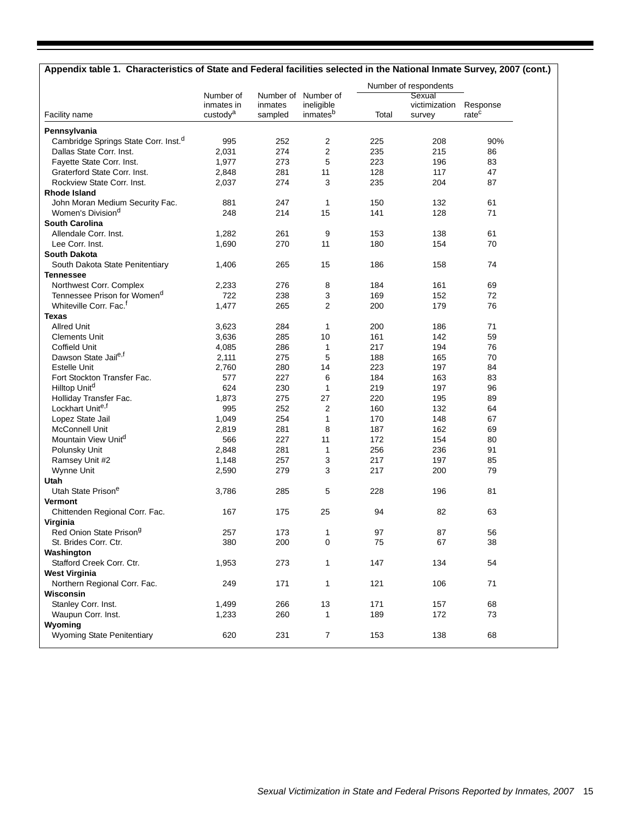# **Appendix table 1. Characteristics of State and Federal facilities selected in the National Inmate Survey, 2007 (cont.)**

|                                                  |                         |         |                                   |       | Number of respondents   |                   |  |
|--------------------------------------------------|-------------------------|---------|-----------------------------------|-------|-------------------------|-------------------|--|
|                                                  | Number of<br>inmates in | inmates | Number of Number of<br>ineligible |       | Sexual<br>victimization | Response          |  |
| Facility name                                    | custody <sup>a</sup>    | sampled | inmates <sup>b</sup>              | Total | survey                  | rate <sup>c</sup> |  |
| Pennsylvania                                     |                         |         |                                   |       |                         |                   |  |
| Cambridge Springs State Corr. Inst. <sup>d</sup> | 995                     | 252     | 2                                 | 225   | 208                     | 90%               |  |
| Dallas State Corr. Inst.                         | 2,031                   | 274     | $\overline{2}$                    | 235   | 215                     | 86                |  |
| Fayette State Corr. Inst.                        | 1,977                   | 273     | 5                                 | 223   | 196                     | 83                |  |
| Graterford State Corr. Inst.                     | 2,848                   | 281     | 11                                | 128   | 117                     | 47                |  |
| Rockview State Corr. Inst.                       | 2,037                   | 274     | 3                                 | 235   | 204                     | 87                |  |
| <b>Rhode Island</b>                              |                         |         |                                   |       |                         |                   |  |
| John Moran Medium Security Fac.                  | 881                     | 247     | 1                                 | 150   | 132                     | 61                |  |
| Women's Division <sup>d</sup>                    | 248                     | 214     | 15                                | 141   | 128                     | 71                |  |
| <b>South Carolina</b>                            |                         |         |                                   |       |                         |                   |  |
| Allendale Corr. Inst.                            | 1,282                   | 261     | 9                                 | 153   | 138                     | 61                |  |
| Lee Corr. Inst.                                  | 1,690                   | 270     | 11                                | 180   | 154                     | 70                |  |
| <b>South Dakota</b>                              |                         |         |                                   |       |                         |                   |  |
| South Dakota State Penitentiary                  | 1,406                   | 265     | 15                                | 186   | 158                     | 74                |  |
| <b>Tennessee</b>                                 |                         |         |                                   |       |                         |                   |  |
| Northwest Corr. Complex                          | 2,233                   | 276     | 8                                 | 184   | 161                     | 69                |  |
| Tennessee Prison for Women <sup>d</sup>          | 722                     | 238     | 3                                 | 169   | 152                     | 72                |  |
| Whiteville Corr. Fac. <sup>f</sup>               | 1,477                   | 265     | $\overline{2}$                    | 200   | 179                     | 76                |  |
| Texas                                            |                         |         |                                   |       |                         |                   |  |
| <b>Allred Unit</b>                               | 3,623                   | 284     | 1                                 | 200   | 186                     | 71                |  |
| <b>Clements Unit</b>                             | 3,636                   | 285     | 10                                | 161   | 142                     | 59                |  |
| Coffield Unit                                    | 4,085                   | 286     | 1                                 | 217   | 194                     | 76                |  |
| Dawson State Jail <sup>e,f</sup>                 | 2,111                   | 275     | 5                                 | 188   | 165                     | 70                |  |
| Estelle Unit                                     | 2,760                   | 280     | 14                                | 223   | 197                     | 84                |  |
| Fort Stockton Transfer Fac.                      | 577                     | 227     | 6                                 | 184   | 163                     | 83                |  |
| Hilltop Unit <sup>d</sup>                        | 624                     | 230     | 1                                 | 219   | 197                     | 96                |  |
| Holliday Transfer Fac.                           | 1,873                   | 275     | 27                                | 220   | 195                     | 89                |  |
| Lockhart Unite,t                                 | 995                     | 252     | 2                                 | 160   | 132                     | 64                |  |
| Lopez State Jail                                 | 1,049                   | 254     | 1                                 | 170   | 148                     | 67                |  |
| <b>McConnell Unit</b>                            | 2,819                   | 281     | 8                                 | 187   | 162                     | 69                |  |
| Mountain View Unit <sup>a</sup>                  | 566                     | 227     | 11                                | 172   | 154                     | 80                |  |
| Polunsky Unit                                    | 2,848                   | 281     | 1                                 | 256   | 236                     | 91                |  |
| Ramsey Unit #2                                   | 1,148                   | 257     | 3                                 | 217   | 197                     | 85                |  |
| Wynne Unit                                       | 2,590                   | 279     | 3                                 | 217   | 200                     | 79                |  |
| Utah                                             |                         |         |                                   |       |                         |                   |  |
| Utah State Prison <sup>e</sup>                   | 3,786                   | 285     | 5                                 | 228   | 196                     | 81                |  |
| <b>Vermont</b>                                   |                         |         |                                   |       |                         |                   |  |
| Chittenden Regional Corr. Fac.                   | 167                     | 175     | 25                                | 94    | 82                      | 63                |  |
| Virginia                                         |                         |         |                                   |       |                         |                   |  |
| Red Onion State Prison <sup>g</sup>              | 257                     | 173     | 1                                 | 97    | 87                      | 56                |  |
| St. Brides Corr. Ctr.                            | 380                     | 200     | 0                                 | 75    | 67                      | 38                |  |
| Washington                                       |                         |         |                                   |       |                         |                   |  |
| Stafford Creek Corr. Ctr.                        | 1,953                   | 273     | $\mathbf{1}$                      | 147   | 134                     | 54                |  |
| <b>West Virginia</b>                             |                         |         |                                   |       |                         |                   |  |
| Northern Regional Corr. Fac.                     | 249                     | 171     | $\mathbf{1}$                      | 121   | 106                     | 71                |  |
| Wisconsin                                        |                         |         |                                   |       |                         |                   |  |
| Stanley Corr. Inst.                              | 1,499                   | 266     | 13                                | 171   | 157                     | 68                |  |
| Waupun Corr. Inst.                               | 1,233                   | 260     | $\mathbf{1}$                      | 189   | 172                     | 73                |  |
| Wyoming                                          |                         |         |                                   |       |                         |                   |  |
| Wyoming State Penitentiary                       | 620                     | 231     | $\overline{7}$                    | 153   | 138                     | 68                |  |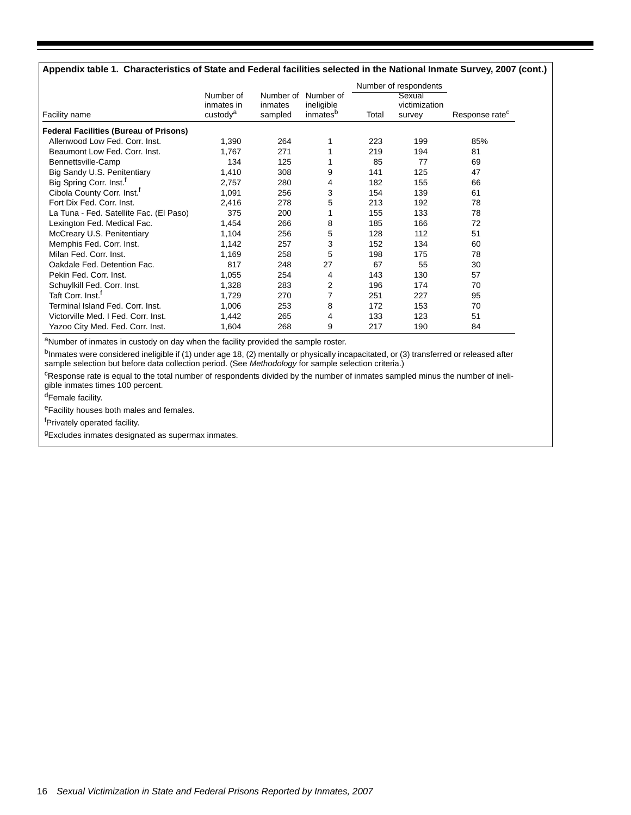#### **Appendix table 1. Characteristics of State and Federal facilities selected in the National Inmate Survey, 2007 (cont.)**

|                                               |                                    |                    |                        |       | Number of respondents   |                            |
|-----------------------------------------------|------------------------------------|--------------------|------------------------|-------|-------------------------|----------------------------|
|                                               | Number of                          |                    | Number of Number of    |       | Sexual                  |                            |
| Facility name                                 | inmates in<br>custody <sup>a</sup> | inmates<br>sampled | ineligible<br>inmatesb | Total | victimization<br>survey | Response rate <sup>c</sup> |
|                                               |                                    |                    |                        |       |                         |                            |
| <b>Federal Facilities (Bureau of Prisons)</b> |                                    |                    |                        |       |                         |                            |
| Allenwood Low Fed. Corr. Inst.                | 1,390                              | 264                |                        | 223   | 199                     | 85%                        |
| Beaumont Low Fed. Corr. Inst.                 | 1,767                              | 271                |                        | 219   | 194                     | 81                         |
| Bennettsville-Camp                            | 134                                | 125                |                        | 85    | 77                      | 69                         |
| Big Sandy U.S. Penitentiary                   | 1,410                              | 308                | 9                      | 141   | 125                     | 47                         |
| Big Spring Corr. Inst. <sup>1</sup>           | 2,757                              | 280                | 4                      | 182   | 155                     | 66                         |
| Cibola County Corr. Inst. <sup>1</sup>        | 1,091                              | 256                | 3                      | 154   | 139                     | 61                         |
| Fort Dix Fed. Corr. Inst.                     | 2,416                              | 278                | 5                      | 213   | 192                     | 78                         |
| La Tuna - Fed. Satellite Fac. (El Paso)       | 375                                | 200                | 1                      | 155   | 133                     | 78                         |
| Lexington Fed. Medical Fac.                   | 1,454                              | 266                | 8                      | 185   | 166                     | 72                         |
| McCreary U.S. Penitentiary                    | 1,104                              | 256                | 5                      | 128   | 112                     | 51                         |
| Memphis Fed. Corr. Inst.                      | 1,142                              | 257                | 3                      | 152   | 134                     | 60                         |
| Milan Fed. Corr. Inst.                        | 1,169                              | 258                | 5                      | 198   | 175                     | 78                         |
| Oakdale Fed. Detention Fac.                   | 817                                | 248                | 27                     | 67    | 55                      | 30                         |
| Pekin Fed. Corr. Inst.                        | 1,055                              | 254                | 4                      | 143   | 130                     | 57                         |
| Schuylkill Fed. Corr. Inst.                   | 1,328                              | 283                | 2                      | 196   | 174                     | 70                         |
| Taft Corr. Inst. <sup>1</sup>                 | 1,729                              | 270                | 7                      | 251   | 227                     | 95                         |
| Terminal Island Fed. Corr. Inst.              | 1,006                              | 253                | 8                      | 172   | 153                     | 70                         |
| Victorville Med. I Fed. Corr. Inst.           | 1,442                              | 265                | 4                      | 133   | 123                     | 51                         |
| Yazoo City Med. Fed. Corr. Inst.              | 1,604                              | 268                | 9                      | 217   | 190                     | 84                         |

aNumber of inmates in custody on day when the facility provided the sample roster.

bInmates were considered ineligible if (1) under age 18, (2) mentally or physically incapacitated, or (3) transferred or released after sample selection but before data collection period. (See *Methodology* for sample selection criteria.)

<sup>c</sup>Response rate is equal to the total number of respondents divided by the number of inmates sampled minus the number of ineligible inmates times 100 percent.

dFemale facility.

eFacility houses both males and females.

<sup>f</sup>Privately operated facility.

gExcludes inmates designated as supermax inmates.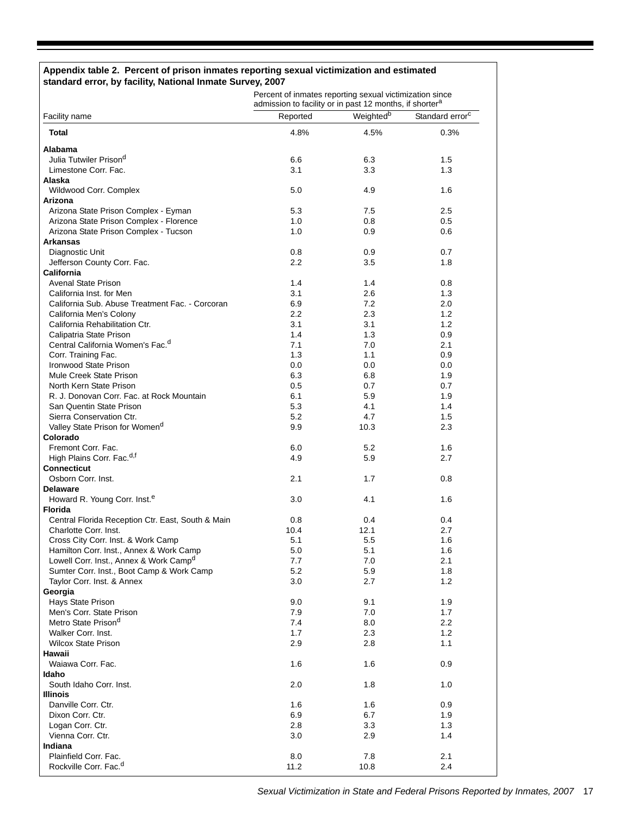#### **Appendix table 2. Percent of prison inmates reporting sexual victimization and estimated standard error, by facility, National Inmate Survey, 2007**

Percent of inmates reporting sexual victimization since<br>admission to facility or in past 12 months, if shorter<sup>a</sup>

| Facility name                                          | Reported   | Weighted <sup>b</sup> | Standard error <sup>c</sup> |
|--------------------------------------------------------|------------|-----------------------|-----------------------------|
| <b>Total</b>                                           | 4.8%       | 4.5%                  | 0.3%                        |
| Alabama                                                |            |                       |                             |
| Julia Tutwiler Prison <sup>d</sup>                     | 6.6        | 6.3                   | 1.5                         |
| Limestone Corr. Fac.                                   | 3.1        | 3.3                   | 1.3                         |
| Alaska                                                 |            |                       |                             |
| Wildwood Corr. Complex                                 | 5.0        | 4.9                   | 1.6                         |
| Arizona                                                |            |                       |                             |
| Arizona State Prison Complex - Eyman                   | 5.3        | 7.5                   | 2.5                         |
| Arizona State Prison Complex - Florence                | 1.0        | 0.8                   | 0.5                         |
| Arizona State Prison Complex - Tucson                  | 1.0        | 0.9                   | 0.6                         |
| <b>Arkansas</b>                                        | 0.8        | 0.9                   | 0.7                         |
| Diagnostic Unit<br>Jefferson County Corr. Fac.         | $2.2\,$    | 3.5                   | 1.8                         |
| California                                             |            |                       |                             |
| <b>Avenal State Prison</b>                             | 1.4        | 1.4                   | 0.8                         |
| California Inst. for Men                               | 3.1        | 2.6                   | 1.3                         |
| California Sub. Abuse Treatment Fac. - Corcoran        | 6.9        | 7.2                   | 2.0                         |
| California Men's Colony                                | 2.2        | 2.3                   | 1.2                         |
| California Rehabilitation Ctr.                         | 3.1        | 3.1                   | 1.2                         |
| Calipatria State Prison                                | 1.4        | 1.3                   | 0.9                         |
| Central California Women's Fac. <sup>d</sup>           | 7.1        | 7.0                   | 2.1                         |
| Corr. Training Fac.                                    | 1.3        | 1.1                   | 0.9                         |
| Ironwood State Prison                                  | 0.0        | 0.0                   | 0.0                         |
| Mule Creek State Prison                                | 6.3        | 6.8                   | 1.9                         |
| North Kern State Prison                                | 0.5        | 0.7                   | 0.7                         |
| R. J. Donovan Corr. Fac. at Rock Mountain              | 6.1        | 5.9                   | 1.9                         |
| San Quentin State Prison                               | 5.3        | 4.1                   | 1.4                         |
| Sierra Conservation Ctr.                               | 5.2        | 4.7                   | 1.5                         |
| Valley State Prison for Women <sup>d</sup><br>Colorado | 9.9        | 10.3                  | 2.3                         |
| Fremont Corr. Fac.                                     | 6.0        | 5.2                   | 1.6                         |
| High Plains Corr. Fac. <sup>d,f</sup>                  | 4.9        | 5.9                   | 2.7                         |
| <b>Connecticut</b>                                     |            |                       |                             |
| Osborn Corr. Inst.                                     | 2.1        | 1.7                   | 0.8                         |
| <b>Delaware</b>                                        |            |                       |                             |
| Howard R. Young Corr. Inst. <sup>e</sup>               | 3.0        | 4.1                   | 1.6                         |
| <b>Florida</b>                                         |            |                       |                             |
| Central Florida Reception Ctr. East, South & Main      | 0.8        | 0.4                   | 0.4                         |
| Charlotte Corr. Inst.                                  | 10.4       | 12.1                  | 2.7                         |
| Cross City Corr. Inst. & Work Camp                     | 5.1        | 5.5                   | 1.6                         |
| Hamilton Corr. Inst., Annex & Work Camp                | 5.0        | 5.1                   | 1.6                         |
| Lowell Corr. Inst., Annex & Work Camp <sup>d</sup>     | 7.7        | 7.0                   | 2.1                         |
| Sumter Corr. Inst., Boot Camp & Work Camp              | 5.2        | 5.9                   | 1.8                         |
| Taylor Corr. Inst. & Annex                             | 3.0        | 2.7                   | 1.2                         |
| Georgia                                                |            |                       |                             |
| Hays State Prison<br>Men's Corr. State Prison          | 9.0<br>7.9 | 9.1<br>7.0            | 1.9<br>1.7                  |
| Metro State Prison <sup>d</sup>                        | 7.4        | 8.0                   | 2.2                         |
| Walker Corr. Inst.                                     | 1.7        | 2.3                   | 1.2                         |
| <b>Wilcox State Prison</b>                             | 2.9        | 2.8                   | 1.1                         |
| Hawaii                                                 |            |                       |                             |
| Waiawa Corr. Fac.                                      | 1.6        | 1.6                   | 0.9                         |
| Idaho                                                  |            |                       |                             |
| South Idaho Corr. Inst.                                | 2.0        | 1.8                   | 1.0                         |
| <b>Illinois</b>                                        |            |                       |                             |
| Danville Corr. Ctr.                                    | 1.6        | 1.6                   | 0.9                         |
| Dixon Corr. Ctr.                                       | 6.9        | 6.7                   | 1.9                         |
| Logan Corr. Ctr.                                       | 2.8        | 3.3                   | 1.3                         |
| Vienna Corr. Ctr.                                      | 3.0        | 2.9                   | 1.4                         |
| Indiana                                                |            |                       |                             |
| Plainfield Corr. Fac.                                  | 8.0        | 7.8                   | 2.1                         |
| Rockville Corr. Fac. <sup>d</sup>                      | 11.2       | 10.8                  | 2.4                         |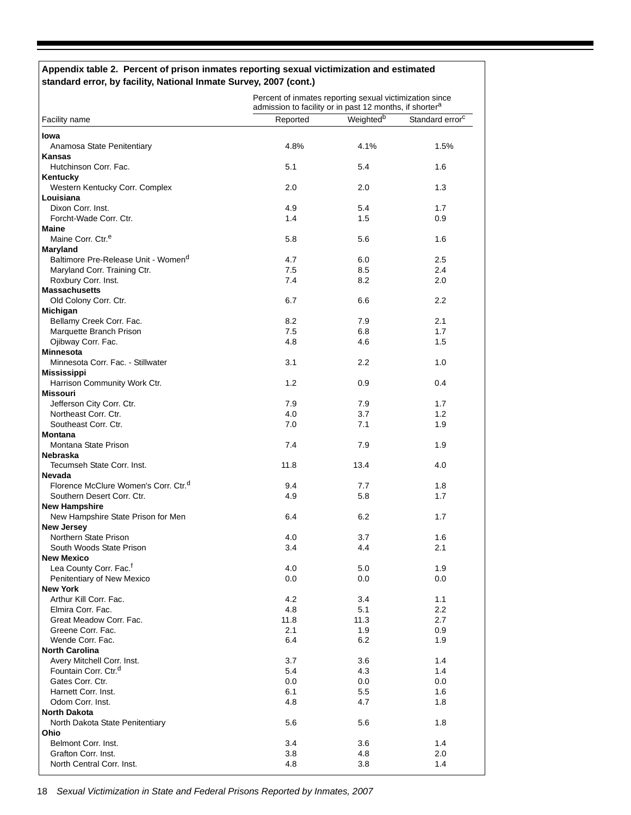#### **Appendix table 2. Percent of prison inmates reporting sexual victimization and estimated standard error, by facility, National Inmate Survey, 2007 (cont.)**

|                                                         | Percent of inmates reporting sexual victimization since<br>admission to facility or in past 12 months, if shorter <sup>a</sup> |                       |                             |  |  |
|---------------------------------------------------------|--------------------------------------------------------------------------------------------------------------------------------|-----------------------|-----------------------------|--|--|
| Facility name                                           | Reported                                                                                                                       | Weighted <sup>b</sup> | Standard error <sup>c</sup> |  |  |
| Iowa                                                    |                                                                                                                                |                       |                             |  |  |
| Anamosa State Penitentiary                              | 4.8%                                                                                                                           | 4.1%                  | 1.5%                        |  |  |
| Kansas                                                  |                                                                                                                                |                       |                             |  |  |
| Hutchinson Corr. Fac.                                   | 5.1                                                                                                                            | 5.4                   | 1.6                         |  |  |
| Kentucky                                                |                                                                                                                                |                       |                             |  |  |
| Western Kentucky Corr. Complex                          | 2.0                                                                                                                            | 2.0                   | 1.3                         |  |  |
| Louisiana                                               |                                                                                                                                |                       |                             |  |  |
| Dixon Corr. Inst.                                       | 4.9                                                                                                                            | 5.4                   | 1.7                         |  |  |
| Forcht-Wade Corr. Ctr.                                  | 1.4                                                                                                                            | 1.5                   | 0.9                         |  |  |
| <b>Maine</b>                                            |                                                                                                                                |                       |                             |  |  |
| Maine Corr. Ctr. <sup>e</sup>                           | 5.8                                                                                                                            | 5.6                   | 1.6                         |  |  |
| Maryland                                                |                                                                                                                                |                       |                             |  |  |
| Baltimore Pre-Release Unit - Women <sup>d</sup>         | 4.7                                                                                                                            | 6.0                   | 2.5                         |  |  |
| Maryland Corr. Training Ctr.<br>Roxbury Corr. Inst.     | 7.5<br>7.4                                                                                                                     | 8.5<br>8.2            | 2.4<br>2.0                  |  |  |
| <b>Massachusetts</b>                                    |                                                                                                                                |                       |                             |  |  |
| Old Colony Corr. Ctr.                                   | 6.7                                                                                                                            | 6.6                   | $2.2\phantom{0}$            |  |  |
| <b>Michigan</b>                                         |                                                                                                                                |                       |                             |  |  |
| Bellamy Creek Corr. Fac.                                | 8.2                                                                                                                            | 7.9                   | 2.1                         |  |  |
| Marquette Branch Prison                                 | 7.5                                                                                                                            | 6.8                   | 1.7                         |  |  |
| Ojibway Corr. Fac.                                      | 4.8                                                                                                                            | 4.6                   | 1.5                         |  |  |
| <b>Minnesota</b>                                        |                                                                                                                                |                       |                             |  |  |
| Minnesota Corr. Fac. - Stillwater                       | 3.1                                                                                                                            | 2.2                   | 1.0                         |  |  |
| <b>Mississippi</b>                                      |                                                                                                                                |                       |                             |  |  |
| Harrison Community Work Ctr.                            | 1.2                                                                                                                            | 0.9                   | 0.4                         |  |  |
| <b>Missouri</b>                                         |                                                                                                                                |                       |                             |  |  |
| Jefferson City Corr. Ctr.                               | 7.9                                                                                                                            | 7.9                   | 1.7                         |  |  |
| Northeast Corr. Ctr.                                    | 4.0                                                                                                                            | 3.7                   | 1.2                         |  |  |
| Southeast Corr. Ctr.                                    | 7.0                                                                                                                            | 7.1                   | 1.9                         |  |  |
| <b>Montana</b>                                          |                                                                                                                                |                       |                             |  |  |
| Montana State Prison                                    | 7.4                                                                                                                            | 7.9                   | 1.9                         |  |  |
| <b>Nebraska</b>                                         |                                                                                                                                |                       |                             |  |  |
| Tecumseh State Corr. Inst.                              | 11.8                                                                                                                           | 13.4                  | 4.0                         |  |  |
| Nevada                                                  |                                                                                                                                |                       |                             |  |  |
| Florence McClure Women's Corr. Ctr. <sup>d</sup>        | 9.4                                                                                                                            | 7.7                   | 1.8                         |  |  |
| Southern Desert Corr. Ctr.                              | 4.9                                                                                                                            | 5.8                   | 1.7                         |  |  |
| <b>New Hampshire</b>                                    |                                                                                                                                |                       |                             |  |  |
| New Hampshire State Prison for Men                      | 6.4                                                                                                                            | 6.2                   | 1.7                         |  |  |
| New Jersey                                              |                                                                                                                                |                       |                             |  |  |
| Northern State Prison                                   | 4.0                                                                                                                            | 3.7                   | 1.6                         |  |  |
| South Woods State Prison                                | 3.4                                                                                                                            | 4.4                   | 2.1                         |  |  |
| <b>New Mexico</b><br>Lea County Corr. Fac. <sup>f</sup> | 4.0                                                                                                                            |                       | 1.9                         |  |  |
| Penitentiary of New Mexico                              | 0.0                                                                                                                            | 5.0<br>0.0            | 0.0                         |  |  |
| <b>New York</b>                                         |                                                                                                                                |                       |                             |  |  |
| Arthur Kill Corr. Fac.                                  | 4.2                                                                                                                            | 3.4                   | 1.1                         |  |  |
| Elmira Corr. Fac.                                       | 4.8                                                                                                                            | 5.1                   | $2.2\,$                     |  |  |
| Great Meadow Corr. Fac.                                 | 11.8                                                                                                                           | 11.3                  | 2.7                         |  |  |
| Greene Corr. Fac.                                       | 2.1                                                                                                                            | 1.9                   | 0.9                         |  |  |
| Wende Corr. Fac.                                        | 6.4                                                                                                                            | 6.2                   | 1.9                         |  |  |
| <b>North Carolina</b>                                   |                                                                                                                                |                       |                             |  |  |
| Avery Mitchell Corr. Inst.                              | 3.7                                                                                                                            | 3.6                   | 1.4                         |  |  |
| Fountain Corr. Ctr. <sup>d</sup>                        | 5.4                                                                                                                            | 4.3                   | 1.4                         |  |  |
| Gates Corr. Ctr.                                        | 0.0                                                                                                                            | 0.0                   | 0.0                         |  |  |
| Harnett Corr. Inst.                                     | 6.1                                                                                                                            | 5.5                   | 1.6                         |  |  |
| Odom Corr. Inst.                                        | 4.8                                                                                                                            | 4.7                   | 1.8                         |  |  |
| <b>North Dakota</b>                                     |                                                                                                                                |                       |                             |  |  |
| North Dakota State Penitentiary                         | 5.6                                                                                                                            | 5.6                   | 1.8                         |  |  |
| Ohio                                                    |                                                                                                                                |                       |                             |  |  |
| Belmont Corr. Inst.                                     | 3.4                                                                                                                            | 3.6                   | 1.4                         |  |  |
| Grafton Corr. Inst.                                     | 3.8                                                                                                                            | 4.8                   | 2.0                         |  |  |
| North Central Corr. Inst.                               | 4.8                                                                                                                            | 3.8                   | 1.4                         |  |  |

18 *Sexual Victimization in State and Federal Prisons Reported by Inmates, 2007*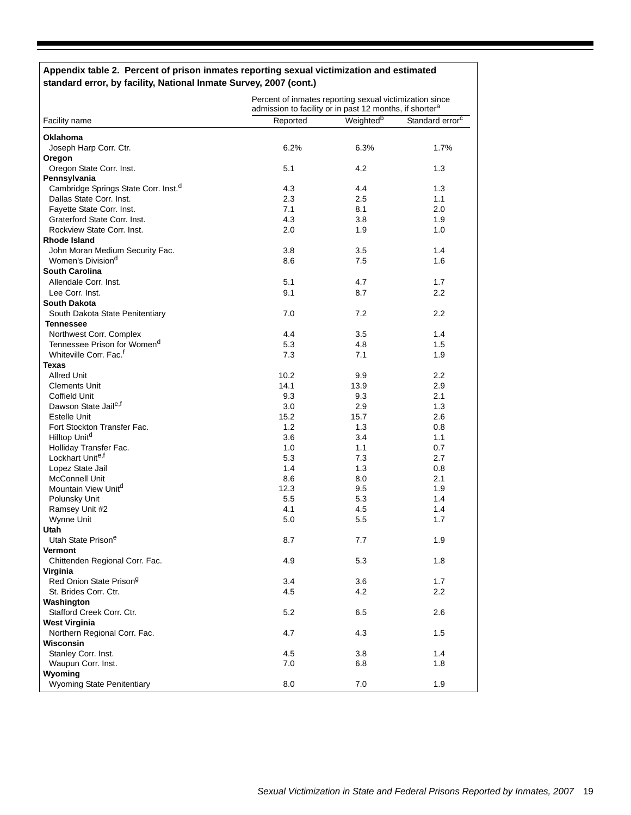#### **Appendix table 2. Percent of prison inmates reporting sexual victimization and estimated standard error, by facility, National Inmate Survey, 2007 (cont.)**

|                                                  | Percent of inmates reporting sexual victimization since<br>admission to facility or in past 12 months, if shorter <sup>a</sup> |                       |                             |  |  |
|--------------------------------------------------|--------------------------------------------------------------------------------------------------------------------------------|-----------------------|-----------------------------|--|--|
| Facility name                                    | Reported                                                                                                                       | Weighted <sup>b</sup> | Standard error <sup>c</sup> |  |  |
| Oklahoma                                         |                                                                                                                                |                       |                             |  |  |
| Joseph Harp Corr. Ctr.                           | 6.2%                                                                                                                           | 6.3%                  | 1.7%                        |  |  |
| Oregon                                           |                                                                                                                                |                       |                             |  |  |
| Oregon State Corr. Inst.                         | 5.1                                                                                                                            | 4.2                   | 1.3                         |  |  |
| Pennsylvania                                     |                                                                                                                                |                       |                             |  |  |
| Cambridge Springs State Corr. Inst. <sup>d</sup> | 4.3                                                                                                                            | 4.4                   | 1.3                         |  |  |
| Dallas State Corr. Inst.                         | 2.3                                                                                                                            | 2.5                   | 1.1                         |  |  |
| Fayette State Corr. Inst.                        | 7.1                                                                                                                            | 8.1                   | 2.0                         |  |  |
| Graterford State Corr. Inst.                     | 4.3                                                                                                                            | 3.8                   | 1.9                         |  |  |
| Rockview State Corr. Inst.                       | 2.0                                                                                                                            | 1.9                   | 1.0                         |  |  |
| Rhode Island                                     |                                                                                                                                |                       |                             |  |  |
| John Moran Medium Security Fac.                  | 3.8                                                                                                                            | 3.5                   | 1.4                         |  |  |
| Women's Division <sup>d</sup>                    | 8.6                                                                                                                            | 7.5                   | 1.6                         |  |  |
| <b>South Carolina</b>                            |                                                                                                                                |                       |                             |  |  |
| Allendale Corr. Inst.                            | 5.1                                                                                                                            | 4.7                   | 1.7                         |  |  |
| Lee Corr. Inst.                                  | 9.1                                                                                                                            | 8.7                   | $2.2\,$                     |  |  |
| South Dakota                                     |                                                                                                                                |                       |                             |  |  |
| South Dakota State Penitentiary                  | 7.0                                                                                                                            | 7.2                   | 2.2                         |  |  |
| <b>Tennessee</b>                                 |                                                                                                                                |                       |                             |  |  |
| Northwest Corr. Complex                          | 4.4                                                                                                                            | $3.5\,$               | 1.4                         |  |  |
| Tennessee Prison for Women <sup>d</sup>          | 5.3                                                                                                                            | 4.8                   | 1.5                         |  |  |
| Whiteville Corr. Fac. <sup>f</sup>               | 7.3                                                                                                                            | 7.1                   | 1.9                         |  |  |
| <b>Texas</b>                                     |                                                                                                                                |                       |                             |  |  |
| <b>Allred Unit</b>                               | 10.2                                                                                                                           | 9.9                   | $2.2\,$                     |  |  |
| <b>Clements Unit</b>                             | 14.1                                                                                                                           | 13.9                  | 2.9                         |  |  |
| Coffield Unit                                    | 9.3                                                                                                                            | 9.3                   | 2.1                         |  |  |
| Dawson State Jaile,f                             | 3.0                                                                                                                            | 2.9                   | 1.3                         |  |  |
| Estelle Unit                                     | 15.2                                                                                                                           | 15.7                  | 2.6                         |  |  |
| Fort Stockton Transfer Fac.                      | 1.2                                                                                                                            | 1.3                   | 0.8                         |  |  |
| Hilltop Unit <sup>d</sup>                        | 3.6                                                                                                                            | 3.4                   | 1.1                         |  |  |
| Holliday Transfer Fac.                           | 1.0                                                                                                                            | 1.1                   | 0.7                         |  |  |
| Lockhart Unite,f                                 | 5.3                                                                                                                            | 7.3                   | 2.7                         |  |  |
| Lopez State Jail                                 | 1.4                                                                                                                            | 1.3                   | 0.8                         |  |  |
| <b>McConnell Unit</b>                            | 8.6                                                                                                                            | 8.0                   | 2.1                         |  |  |
| Mountain View Unit <sup>d</sup>                  | 12.3                                                                                                                           | 9.5                   | 1.9                         |  |  |
| Polunsky Unit                                    | 5.5                                                                                                                            | 5.3                   | 1.4                         |  |  |
| Ramsey Unit #2                                   | 4.1                                                                                                                            | 4.5                   | 1.4                         |  |  |
| Wynne Unit                                       | 5.0                                                                                                                            | 5.5                   | 1.7                         |  |  |
| Utah                                             |                                                                                                                                |                       |                             |  |  |
| Utah State Prison <sup>e</sup>                   | 8.7                                                                                                                            | 7.7                   | 1.9                         |  |  |
| <b>Vermont</b>                                   |                                                                                                                                |                       |                             |  |  |
| Chittenden Regional Corr. Fac.                   | 4.9                                                                                                                            | 5.3                   | 1.8                         |  |  |
| Virginia                                         |                                                                                                                                |                       |                             |  |  |
| Red Onion State Prison <sup>g</sup>              | 3.4                                                                                                                            | 3.6                   | 1.7                         |  |  |
| St. Brides Corr. Ctr.                            | 4.5                                                                                                                            | 4.2                   | 2.2                         |  |  |
| Washington                                       |                                                                                                                                |                       |                             |  |  |
| Stafford Creek Corr. Ctr.                        | 5.2                                                                                                                            | 6.5                   | 2.6                         |  |  |
| <b>West Virginia</b>                             |                                                                                                                                |                       |                             |  |  |
| Northern Regional Corr. Fac.                     | 4.7                                                                                                                            | 4.3                   | 1.5                         |  |  |
| Wisconsin                                        |                                                                                                                                |                       |                             |  |  |
| Stanley Corr. Inst.                              | 4.5                                                                                                                            | 3.8                   | 1.4                         |  |  |
| Waupun Corr. Inst.                               | 7.0                                                                                                                            | 6.8                   | 1.8                         |  |  |
| Wyoming                                          |                                                                                                                                |                       |                             |  |  |
| <b>Wyoming State Penitentiary</b>                | 8.0                                                                                                                            | 7.0                   | 1.9                         |  |  |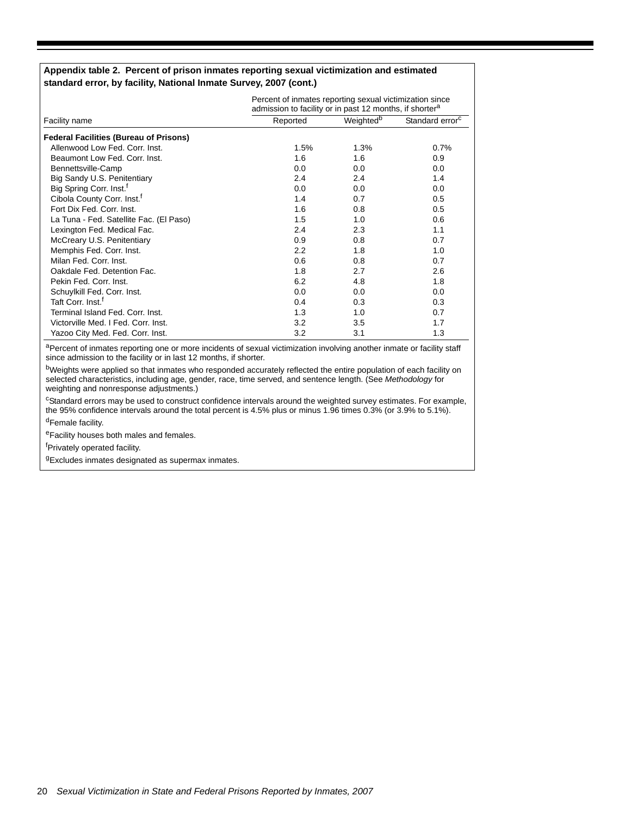#### **Appendix table 2. Percent of prison inmates reporting sexual victimization and estimated standard error, by facility, National Inmate Survey, 2007 (cont.)**

|                                               | Percent of inmates reporting sexual victimization since<br>admission to facility or in past 12 months, if shorter <sup>a</sup> |                       |                             |  |  |
|-----------------------------------------------|--------------------------------------------------------------------------------------------------------------------------------|-----------------------|-----------------------------|--|--|
| Facility name                                 | Reported                                                                                                                       | Weighted <sup>b</sup> | Standard error <sup>c</sup> |  |  |
| <b>Federal Facilities (Bureau of Prisons)</b> |                                                                                                                                |                       |                             |  |  |
| Allenwood Low Fed. Corr. Inst.                | 1.5%                                                                                                                           | 1.3%                  | 0.7%                        |  |  |
| Beaumont Low Fed. Corr. Inst.                 | 1.6                                                                                                                            | 1.6                   | 0.9                         |  |  |
| Bennettsville-Camp                            | 0.0                                                                                                                            | 0.0                   | 0.0                         |  |  |
| Big Sandy U.S. Penitentiary                   | 2.4                                                                                                                            | 2.4                   | 1.4                         |  |  |
| Big Spring Corr. Inst. <sup>f</sup>           | 0.0                                                                                                                            | 0.0                   | 0.0                         |  |  |
| Cibola County Corr. Inst. <sup>1</sup>        | 1.4                                                                                                                            | 0.7                   | 0.5                         |  |  |
| Fort Dix Fed. Corr. Inst.                     | 1.6                                                                                                                            | 0.8                   | 0.5                         |  |  |
| La Tuna - Fed. Satellite Fac. (El Paso)       | 1.5                                                                                                                            | 1.0                   | 0.6                         |  |  |
| Lexington Fed. Medical Fac.                   | 2.4                                                                                                                            | 2.3                   | 1.1                         |  |  |
| McCreary U.S. Penitentiary                    | 0.9                                                                                                                            | 0.8                   | 0.7                         |  |  |
| Memphis Fed. Corr. Inst.                      | $2.2\phantom{0}$                                                                                                               | 1.8                   | 1.0                         |  |  |
| Milan Fed. Corr. Inst.                        | 0.6                                                                                                                            | 0.8                   | 0.7                         |  |  |
| Oakdale Fed. Detention Fac.                   | 1.8                                                                                                                            | 2.7                   | 2.6                         |  |  |
| Pekin Fed. Corr. Inst.                        | 6.2                                                                                                                            | 4.8                   | 1.8                         |  |  |
| Schuylkill Fed. Corr. Inst.                   | 0.0                                                                                                                            | 0.0                   | 0.0                         |  |  |
| Taft Corr. Inst. <sup>f</sup>                 | 0.4                                                                                                                            | 0.3                   | 0.3 <sub>2</sub>            |  |  |
| Terminal Island Fed. Corr. Inst.              | 1.3                                                                                                                            | 1.0                   | 0.7                         |  |  |
| Victorville Med. I Fed. Corr. Inst.           | 3.2                                                                                                                            | 3.5                   | 1.7                         |  |  |
| Yazoo City Med. Fed. Corr. Inst.              | 3.2                                                                                                                            | 3.1                   | 1.3                         |  |  |

aPercent of inmates reporting one or more incidents of sexual victimization involving another inmate or facility staff since admission to the facility or in last 12 months, if shorter.

<sup>b</sup>Weights were applied so that inmates who responded accurately reflected the entire population of each facility on selected characteristics, including age, gender, race, time served, and sentence length. (See *Methodology* for weighting and nonresponse adjustments.)

<sup>c</sup>Standard errors may be used to construct confidence intervals around the weighted survey estimates. For example, the 95% confidence intervals around the total percent is 4.5% plus or minus 1.96 times 0.3% (or 3.9% to 5.1%). dFemale facility.

eFacility houses both males and females.

<sup>f</sup>Privately operated facility.

<sup>g</sup>Excludes inmates designated as supermax inmates.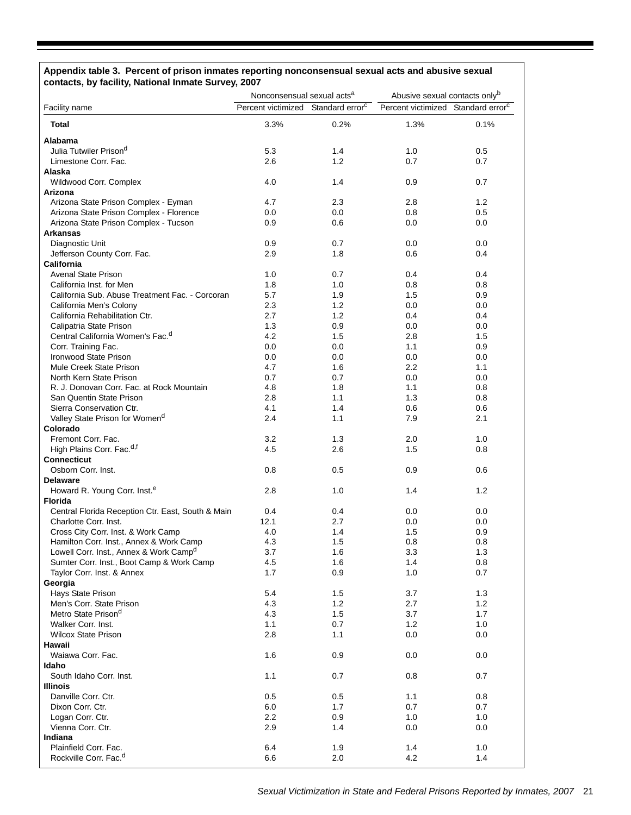### **Appendix table 3. Percent of prison inmates reporting nonconsensual sexual acts and abusive sexual contacts, by facility, National Inmate Survey, 2007**

|                                                    | Nonconsensual sexual acts <sup>a</sup>         |            | Abusive sexual contacts onlyb                  |            |
|----------------------------------------------------|------------------------------------------------|------------|------------------------------------------------|------------|
| <b>Facility name</b>                               | Percent victimized Standard error <sup>c</sup> |            | Percent victimized Standard error <sup>c</sup> |            |
| <b>Total</b>                                       | 3.3%                                           | 0.2%       | 1.3%                                           | 0.1%       |
| Alabama                                            |                                                |            |                                                |            |
| Julia Tutwiler Prison <sup>d</sup>                 | 5.3                                            | 1.4        | 1.0                                            | 0.5        |
| Limestone Corr. Fac.                               | 2.6                                            | 1.2        | 0.7                                            | 0.7        |
| Alaska                                             |                                                |            |                                                |            |
| Wildwood Corr. Complex                             | 4.0                                            | 1.4        | 0.9                                            | 0.7        |
| Arizona                                            |                                                |            |                                                |            |
| Arizona State Prison Complex - Eyman               | 4.7                                            | 2.3        | 2.8                                            | 1.2        |
| Arizona State Prison Complex - Florence            | 0.0                                            | 0.0        | 0.8                                            | 0.5        |
| Arizona State Prison Complex - Tucson              | 0.9                                            | 0.6        | 0.0                                            | 0.0        |
| <b>Arkansas</b>                                    |                                                |            |                                                |            |
| Diagnostic Unit                                    | 0.9                                            | 0.7        | 0.0                                            | 0.0        |
| Jefferson County Corr. Fac.<br><b>California</b>   | 2.9                                            | 1.8        | 0.6                                            | 0.4        |
| <b>Avenal State Prison</b>                         | 1.0                                            | 0.7        | 0.4                                            | 0.4        |
| California Inst. for Men                           | 1.8                                            | 1.0        | 0.8                                            | 0.8        |
| California Sub. Abuse Treatment Fac. - Corcoran    | 5.7                                            | 1.9        | 1.5                                            | 0.9        |
| California Men's Colony                            | 2.3                                            | 1.2        | 0.0                                            | 0.0        |
| California Rehabilitation Ctr.                     | 2.7                                            | 1.2        | 0.4                                            | 0.4        |
| Calipatria State Prison                            | 1.3                                            | 0.9        | 0.0                                            | 0.0        |
| Central California Women's Fac. <sup>d</sup>       | 4.2                                            | 1.5        | 2.8                                            | 1.5        |
| Corr. Training Fac.                                | 0.0                                            | 0.0        | 1.1                                            | 0.9        |
| Ironwood State Prison                              | 0.0                                            | 0.0        | 0.0                                            | 0.0        |
| Mule Creek State Prison                            | 4.7                                            | 1.6        | 2.2                                            | 1.1        |
| North Kern State Prison                            | 0.7                                            | 0.7        | 0.0                                            | 0.0        |
| R. J. Donovan Corr. Fac. at Rock Mountain          | 4.8                                            | 1.8        | 1.1                                            | 0.8        |
| San Quentin State Prison                           | 2.8                                            | 1.1        | 1.3                                            | 0.8        |
| Sierra Conservation Ctr.                           | 4.1                                            | 1.4        | 0.6                                            | 0.6        |
| Valley State Prison for Womend                     | 2.4                                            | 1.1        | 7.9                                            | 2.1        |
| Colorado                                           |                                                |            |                                                |            |
| Fremont Corr. Fac.                                 | 3.2                                            | 1.3        | 2.0                                            | 1.0        |
| High Plains Corr. Fac. <sup>d,f</sup>              | 4.5                                            | 2.6        | 1.5                                            | 0.8        |
| <b>Connecticut</b>                                 |                                                |            |                                                |            |
| Osborn Corr. Inst.                                 | 0.8                                            | 0.5        | 0.9                                            | 0.6        |
| <b>Delaware</b>                                    |                                                |            |                                                |            |
| Howard R. Young Corr. Inst. <sup>e</sup>           | 2.8                                            | 1.0        | 1.4                                            | 1.2        |
| <b>Florida</b>                                     |                                                |            |                                                |            |
| Central Florida Reception Ctr. East, South & Main  | 0.4                                            | 0.4        | 0.0                                            | 0.0        |
| Charlotte Corr. Inst.                              | 12.1                                           | 2.7        | 0.0                                            | 0.0        |
| Cross City Corr. Inst. & Work Camp                 | 4.0                                            | 1.4        | 1.5                                            | 0.9        |
| Hamilton Corr. Inst., Annex & Work Camp            | 4.3                                            | 1.5        | 0.8                                            | 0.8        |
| Lowell Corr. Inst., Annex & Work Camp <sup>u</sup> | 3.7                                            | 1.6        | 3.3                                            | 1.3        |
| Sumter Corr. Inst., Boot Camp & Work Camp          | 4.5                                            | 1.6        | 1.4                                            | 0.8        |
| Taylor Corr. Inst. & Annex                         | 1.7                                            | 0.9        | 1.0                                            | 0.7        |
| Georgia                                            |                                                |            |                                                |            |
| Hays State Prison<br>Men's Corr. State Prison      | 5.4<br>4.3                                     | 1.5        | 3.7<br>2.7                                     | 1.3<br>1.2 |
| Metro State Prison <sup>d</sup>                    |                                                | 1.2        | 3.7                                            | 1.7        |
| Walker Corr. Inst.                                 | 4.3<br>1.1                                     | 1.5<br>0.7 | 1.2                                            | 1.0        |
| <b>Wilcox State Prison</b>                         | 2.8                                            | 1.1        | 0.0                                            | 0.0        |
| Hawaii                                             |                                                |            |                                                |            |
| Waiawa Corr. Fac.                                  | 1.6                                            | 0.9        | 0.0                                            | 0.0        |
| Idaho                                              |                                                |            |                                                |            |
| South Idaho Corr. Inst.                            | 1.1                                            | 0.7        | 0.8                                            | 0.7        |
| <b>Illinois</b>                                    |                                                |            |                                                |            |
| Danville Corr. Ctr.                                | 0.5                                            | 0.5        | 1.1                                            | 0.8        |
| Dixon Corr. Ctr.                                   | 6.0                                            | 1.7        | 0.7                                            | 0.7        |
| Logan Corr. Ctr.                                   | 2.2                                            | 0.9        | 1.0                                            | 1.0        |
| Vienna Corr. Ctr.                                  | 2.9                                            | 1.4        | 0.0                                            | 0.0        |
| Indiana                                            |                                                |            |                                                |            |
| Plainfield Corr. Fac.                              | 6.4                                            | 1.9        | 1.4                                            | 1.0        |
| Rockville Corr. Fac. <sup>d</sup>                  | 6.6                                            | 2.0        | 4.2                                            | 1.4        |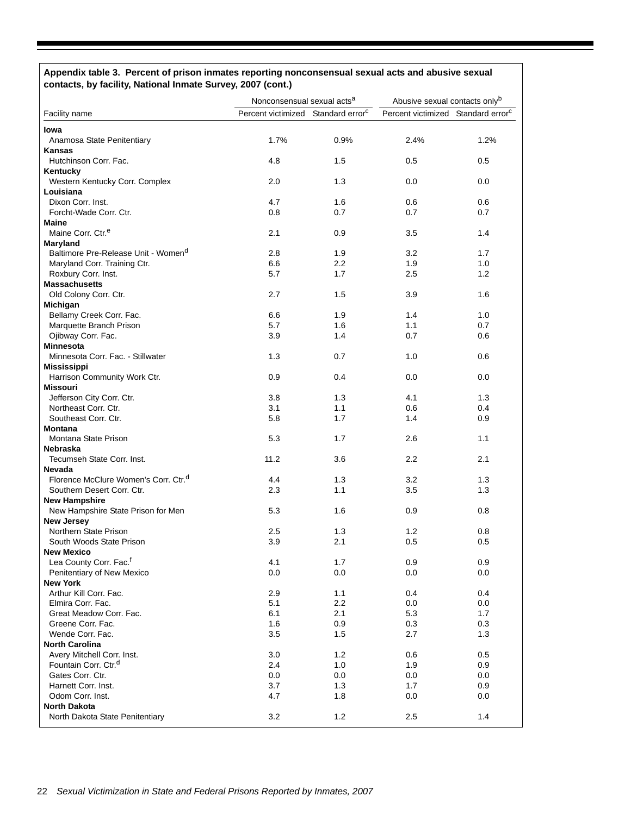# **Appendix table 3. Percent of prison inmates reporting nonconsensual sexual acts and abusive sexual contacts, by facility, National Inmate Survey, 2007 (cont.)**

|                                                  | Nonconsensual sexual acts <sup>a</sup>         |         | Abusive sexual contacts onlyb                  |      |
|--------------------------------------------------|------------------------------------------------|---------|------------------------------------------------|------|
| Facility name                                    | Percent victimized Standard error <sup>c</sup> |         | Percent victimized Standard error <sup>c</sup> |      |
| Iowa                                             |                                                |         |                                                |      |
| Anamosa State Penitentiary                       | 1.7%                                           | 0.9%    | 2.4%                                           | 1.2% |
| Kansas                                           |                                                |         |                                                |      |
| Hutchinson Corr. Fac.                            | 4.8                                            | 1.5     | 0.5                                            | 0.5  |
| Kentucky                                         |                                                |         |                                                |      |
| Western Kentucky Corr. Complex                   | 2.0                                            | 1.3     | 0.0                                            | 0.0  |
| Louisiana                                        |                                                |         |                                                |      |
| Dixon Corr. Inst.                                | 4.7                                            | 1.6     | 0.6                                            | 0.6  |
| Forcht-Wade Corr. Ctr.                           | 0.8                                            | 0.7     | 0.7                                            | 0.7  |
| <b>Maine</b>                                     |                                                |         |                                                |      |
| Maine Corr. Ctr. <sup>e</sup>                    | 2.1                                            | 0.9     | 3.5                                            | 1.4  |
| Maryland                                         |                                                |         |                                                |      |
| Baltimore Pre-Release Unit - Women <sup>d</sup>  | 2.8                                            | 1.9     | 3.2                                            | 1.7  |
| Maryland Corr. Training Ctr.                     | 6.6                                            | $2.2\,$ | 1.9                                            | 1.0  |
| Roxbury Corr. Inst.                              | 5.7                                            | 1.7     | 2.5                                            | 1.2  |
| <b>Massachusetts</b>                             |                                                |         |                                                |      |
| Old Colony Corr. Ctr.                            | 2.7                                            | 1.5     | 3.9                                            | 1.6  |
| Michigan                                         |                                                |         |                                                |      |
| Bellamy Creek Corr. Fac.                         | 6.6                                            | 1.9     | 1.4                                            | 1.0  |
| Marquette Branch Prison                          | 5.7                                            | 1.6     | 1.1                                            | 0.7  |
| Ojibway Corr. Fac.                               | 3.9                                            | 1.4     | 0.7                                            | 0.6  |
| <b>Minnesota</b>                                 |                                                |         |                                                |      |
| Minnesota Corr. Fac. - Stillwater                | 1.3                                            | 0.7     | 1.0                                            | 0.6  |
| <b>Mississippi</b>                               |                                                |         |                                                |      |
| Harrison Community Work Ctr.                     | 0.9                                            | 0.4     | 0.0                                            | 0.0  |
| Missouri                                         |                                                |         |                                                |      |
| Jefferson City Corr. Ctr.                        | 3.8                                            | 1.3     | 4.1                                            | 1.3  |
| Northeast Corr. Ctr.                             | 3.1                                            | 1.1     | 0.6                                            | 0.4  |
| Southeast Corr. Ctr.                             | 5.8                                            | 1.7     | 1.4                                            | 0.9  |
| <b>Montana</b>                                   |                                                |         |                                                |      |
| Montana State Prison                             | 5.3                                            | 1.7     | 2.6                                            | 1.1  |
| Nebraska                                         |                                                |         |                                                |      |
| Tecumseh State Corr. Inst.                       | 11.2                                           | 3.6     | 2.2                                            | 2.1  |
| Nevada                                           |                                                |         |                                                |      |
| Florence McClure Women's Corr. Ctr. <sup>d</sup> | 4.4                                            | 1.3     | 3.2                                            | 1.3  |
| Southern Desert Corr. Ctr.                       | 2.3                                            | 1.1     | 3.5                                            | 1.3  |
| <b>New Hampshire</b>                             |                                                |         |                                                |      |
| New Hampshire State Prison for Men               | 5.3                                            | 1.6     | 0.9                                            | 0.8  |
| <b>New Jersey</b>                                |                                                |         |                                                |      |
| Northern State Prison                            | 2.5                                            | 1.3     | 1.2                                            | 0.8  |
| South Woods State Prison                         | 3.9                                            | 2.1     | 0.5                                            | 0.5  |
| New Mexico                                       |                                                |         |                                                |      |
| Lea County Corr. Fac. <sup>f</sup>               | 4.1                                            | 1.7     | 0.9                                            | 0.9  |
| Penitentiary of New Mexico                       | 0.0                                            | 0.0     | 0.0                                            | 0.0  |
| <b>New York</b>                                  |                                                |         |                                                |      |
| Arthur Kill Corr. Fac.                           | 2.9                                            | 1.1     | 0.4                                            | 0.4  |
| Elmira Corr. Fac.                                | 5.1                                            | 2.2     | 0.0                                            | 0.0  |
| Great Meadow Corr. Fac.                          | 6.1                                            | 2.1     | 5.3                                            | 1.7  |
| Greene Corr. Fac.                                | 1.6                                            | 0.9     | 0.3                                            | 0.3  |
| Wende Corr. Fac.                                 | 3.5                                            | 1.5     | 2.7                                            | 1.3  |
| <b>North Carolina</b>                            |                                                |         |                                                |      |
| Avery Mitchell Corr. Inst.                       | 3.0                                            | 1.2     | 0.6                                            | 0.5  |
| Fountain Corr. Ctr. <sup>d</sup>                 | 2.4                                            | 1.0     | 1.9                                            | 0.9  |
| Gates Corr. Ctr.                                 | 0.0                                            | 0.0     | 0.0                                            | 0.0  |
| Harnett Corr. Inst.                              | 3.7                                            | 1.3     | 1.7                                            | 0.9  |
| Odom Corr. Inst.                                 | 4.7                                            | 1.8     | 0.0                                            | 0.0  |
| <b>North Dakota</b>                              |                                                |         |                                                |      |
| North Dakota State Penitentiary                  | 3.2                                            | 1.2     | 2.5                                            | 1.4  |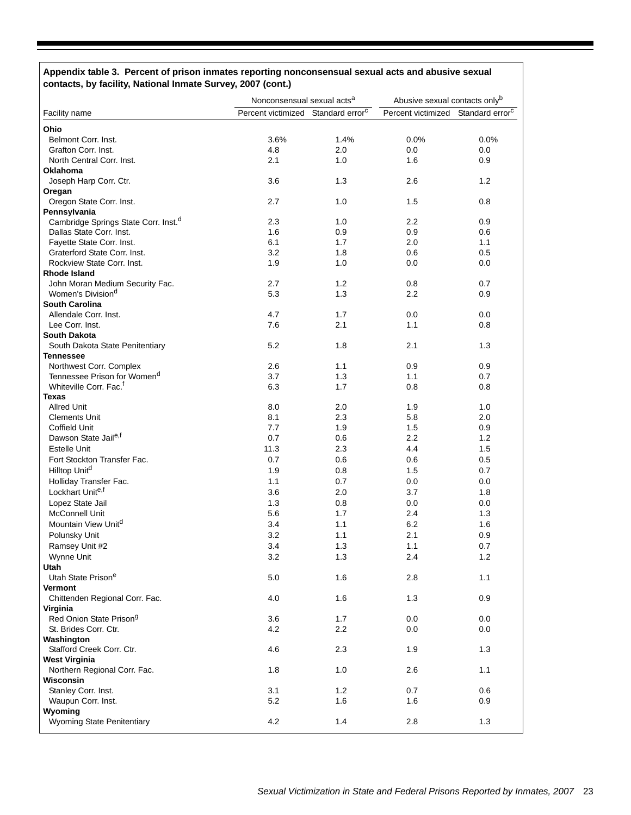# **Appendix table 3. Percent of prison inmates reporting nonconsensual sexual acts and abusive sexual contacts, by facility, National Inmate Survey, 2007 (cont.)**

|                                                  | Nonconsensual sexual acts <sup>a</sup>         |                  | Abusive sexual contacts onlyb                  |       |
|--------------------------------------------------|------------------------------------------------|------------------|------------------------------------------------|-------|
| Facility name                                    | Percent victimized Standard error <sup>c</sup> |                  | Percent victimized Standard error <sup>c</sup> |       |
| Ohio                                             |                                                |                  |                                                |       |
| Belmont Corr. Inst.                              | 3.6%                                           | 1.4%             | 0.0%                                           | 0.0%  |
| Grafton Corr. Inst.                              | 4.8                                            | 2.0              | 0.0                                            | 0.0   |
| North Central Corr. Inst.                        | 2.1                                            | 1.0              | 1.6                                            | 0.9   |
| <b>Oklahoma</b>                                  |                                                |                  |                                                |       |
| Joseph Harp Corr. Ctr.                           | 3.6                                            | 1.3              | 2.6                                            | 1.2   |
| Oregan                                           |                                                |                  |                                                |       |
| Oregon State Corr. Inst.                         | 2.7                                            | 1.0              | 1.5                                            | 0.8   |
| Pennsylvania                                     |                                                |                  |                                                |       |
| Cambridge Springs State Corr. Inst. <sup>d</sup> | 2.3                                            | 1.0              | 2.2                                            | 0.9   |
| Dallas State Corr. Inst.                         | 1.6                                            | 0.9              | 0.9                                            | 0.6   |
| Fayette State Corr. Inst.                        | 6.1                                            | 1.7              | 2.0                                            | 1.1   |
| Graterford State Corr. Inst.                     | 3.2                                            | 1.8              | 0.6                                            | 0.5   |
| Rockview State Corr. Inst.                       | 1.9                                            | 1.0              | 0.0                                            | 0.0   |
| Rhode Island                                     |                                                |                  |                                                |       |
| John Moran Medium Security Fac.                  | 2.7                                            | 1.2              | 0.8                                            | 0.7   |
| Women's Division <sup>d</sup>                    | 5.3                                            | 1.3              | 2.2                                            | 0.9   |
| <b>South Carolina</b>                            |                                                |                  |                                                |       |
| Allendale Corr. Inst.                            | 4.7                                            | 1.7              | 0.0                                            | 0.0   |
| Lee Corr. Inst.                                  | 7.6                                            | 2.1              | 1.1                                            | 0.8   |
| South Dakota                                     |                                                |                  |                                                |       |
| South Dakota State Penitentiary                  | 5.2                                            | 1.8              | 2.1                                            | 1.3   |
| Tennessee                                        |                                                |                  |                                                |       |
| Northwest Corr. Complex                          | 2.6                                            | 1.1              | 0.9                                            | 0.9   |
| Tennessee Prison for Women <sup>d</sup>          | 3.7                                            | 1.3              | 1.1                                            | 0.7   |
| Whiteville Corr. Fac. <sup>f</sup>               | 6.3                                            | 1.7              | 0.8                                            | 0.8   |
| Texas                                            |                                                |                  |                                                |       |
| <b>Allred Unit</b>                               | 8.0                                            | 2.0              | 1.9                                            | 1.0   |
| <b>Clements Unit</b>                             | 8.1                                            | 2.3              | 5.8                                            | 2.0   |
| <b>Coffield Unit</b>                             | 7.7                                            | 1.9              | 1.5                                            | 0.9   |
| Dawson State Jaile,f                             | 0.7                                            | 0.6              | 2.2                                            | 1.2   |
| <b>Estelle Unit</b>                              | 11.3                                           | 2.3              | 4.4                                            | 1.5   |
| Fort Stockton Transfer Fac.                      | 0.7                                            | 0.6              | 0.6                                            | 0.5   |
| Hilltop Unit <sup>d</sup>                        | 1.9                                            | 0.8              | 1.5                                            | 0.7   |
| Holliday Transfer Fac.                           | 1.1                                            | 0.7              | 0.0                                            | 0.0   |
| Lockhart Unite,f                                 | 3.6                                            | 2.0              | 3.7                                            | 1.8   |
|                                                  |                                                |                  |                                                |       |
| Lopez State Jail                                 | 1.3                                            | 0.8              | 0.0                                            | 0.0   |
| McConnell Unit                                   | 5.6                                            | 1.7              | 2.4                                            | 1.3   |
| Mountain View Unitd                              | 3.4                                            | 1.1              | 6.2                                            | 1.6   |
| Polunsky Unit                                    | 3.2                                            | 1.1              | 2.1                                            | 0.9   |
| Ramsey Unit #2                                   | 3.4                                            | 1.3              | 1.1                                            | 0.7   |
| Wynne Unit                                       | 3.2                                            | 1.3              | 2.4                                            | $1.2$ |
| Utah                                             |                                                |                  |                                                |       |
| Utah State Prison <sup>e</sup>                   | 5.0                                            | 1.6              | 2.8                                            | 1.1   |
| Vermont                                          |                                                |                  |                                                |       |
| Chittenden Regional Corr. Fac.                   | 4.0                                            | 1.6              | 1.3                                            | 0.9   |
| Virginia                                         |                                                |                  |                                                |       |
| Red Onion State Prison <sup>g</sup>              | 3.6                                            | 1.7              | 0.0                                            | 0.0   |
| St. Brides Corr. Ctr.                            | 4.2                                            | $2.2\phantom{0}$ | 0.0                                            | 0.0   |
| Washington                                       |                                                |                  |                                                |       |
| Stafford Creek Corr. Ctr.                        | 4.6                                            | 2.3              | 1.9                                            | 1.3   |
| <b>West Virginia</b>                             |                                                |                  |                                                |       |
| Northern Regional Corr. Fac.                     | 1.8                                            | 1.0              | 2.6                                            | 1.1   |
| Wisconsin                                        |                                                |                  |                                                |       |
| Stanley Corr. Inst.                              | 3.1                                            | 1.2              | 0.7                                            | 0.6   |
| Waupun Corr. Inst.                               | 5.2                                            | 1.6              | 1.6                                            | 0.9   |
| Wyoming                                          |                                                |                  |                                                |       |
| Wyoming State Penitentiary                       | 4.2                                            | 1.4              | 2.8                                            | 1.3   |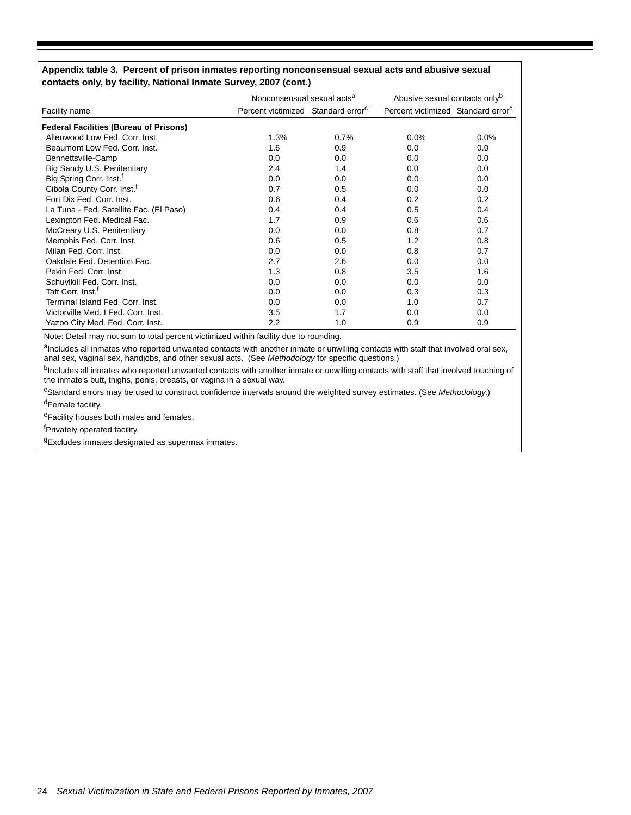#### **Appendix table 3. Percent of prison inmates reporting nonconsensual sexual acts and abusive sexual contacts only, by facility, National Inmate Survey, 2007 (cont.)**

|                                               | Nonconsensual sexual acts <sup>a</sup>         |      | Abusive sexual contacts only <sup>b</sup>      |         |
|-----------------------------------------------|------------------------------------------------|------|------------------------------------------------|---------|
| Facility name                                 | Percent victimized Standard error <sup>c</sup> |      | Percent victimized Standard error <sup>c</sup> |         |
| <b>Federal Facilities (Bureau of Prisons)</b> |                                                |      |                                                |         |
| Allenwood Low Fed. Corr. Inst.                | 1.3%                                           | 0.7% | $0.0\%$                                        | $0.0\%$ |
| Beaumont Low Fed. Corr. Inst.                 | 1.6                                            | 0.9  | 0.0                                            | 0.0     |
| Bennettsville-Camp                            | 0.0                                            | 0.0  | 0.0                                            | 0.0     |
| Big Sandy U.S. Penitentiary                   | 2.4                                            | 1.4  | 0.0                                            | 0.0     |
| Big Spring Corr. Inst. <sup>f</sup>           | 0.0                                            | 0.0  | 0.0                                            | 0.0     |
| Cibola County Corr. Inst. <sup>f</sup>        | 0.7                                            | 0.5  | 0.0                                            | 0.0     |
| Fort Dix Fed. Corr. Inst.                     | 0.6                                            | 0.4  | 0.2                                            | 0.2     |
| La Tuna - Fed. Satellite Fac. (El Paso)       | 0.4                                            | 0.4  | 0.5                                            | 0.4     |
| Lexington Fed. Medical Fac.                   | 1.7                                            | 0.9  | 0.6                                            | 0.6     |
| McCreary U.S. Penitentiary                    | 0.0                                            | 0.0  | 0.8                                            | 0.7     |
| Memphis Fed. Corr. Inst.                      | 0.6                                            | 0.5  | 1.2                                            | 0.8     |
| Milan Fed. Corr. Inst.                        | 0.0                                            | 0.0  | 0.8                                            | 0.7     |
| Oakdale Fed. Detention Fac.                   | 2.7                                            | 2.6  | 0.0                                            | 0.0     |
| Pekin Fed. Corr. Inst.                        | 1.3                                            | 0.8  | 3.5                                            | 1.6     |
| Schuylkill Fed. Corr. Inst.                   | 0.0                                            | 0.0  | 0.0                                            | 0.0     |
| Taft Corr. Inst. <sup>f</sup>                 | 0.0                                            | 0.0  | 0.3                                            | 0.3     |
| Terminal Island Fed. Corr. Inst.              | 0.0                                            | 0.0  | 1.0                                            | 0.7     |
| Victorville Med. I Fed. Corr. Inst.           | 3.5                                            | 1.7  | 0.0                                            | 0.0     |
| Yazoo City Med. Fed. Corr. Inst.              | $2.2\,$                                        | 1.0  | 0.9                                            | 0.9     |

Note: Detail may not sum to total percent victimized within facility due to rounding.

aIncludes all inmates who reported unwanted contacts with another inmate or unwilling contacts with staff that involved oral sex, anal sex, vaginal sex, handjobs, and other sexual acts. (See *Methodology* for specific questions.)

bIncludes all inmates who reported unwanted contacts with another inmate or unwilling contacts with staff that involved touching of the inmate's butt, thighs, penis, breasts, or vagina in a sexual way.

c Standard errors may be used to construct confidence intervals around the weighted survey estimates. (See *Methodology*.) dFemale facility.

eFacility houses both males and females.

<sup>f</sup>Privately operated facility.

<sup>g</sup>Excludes inmates designated as supermax inmates.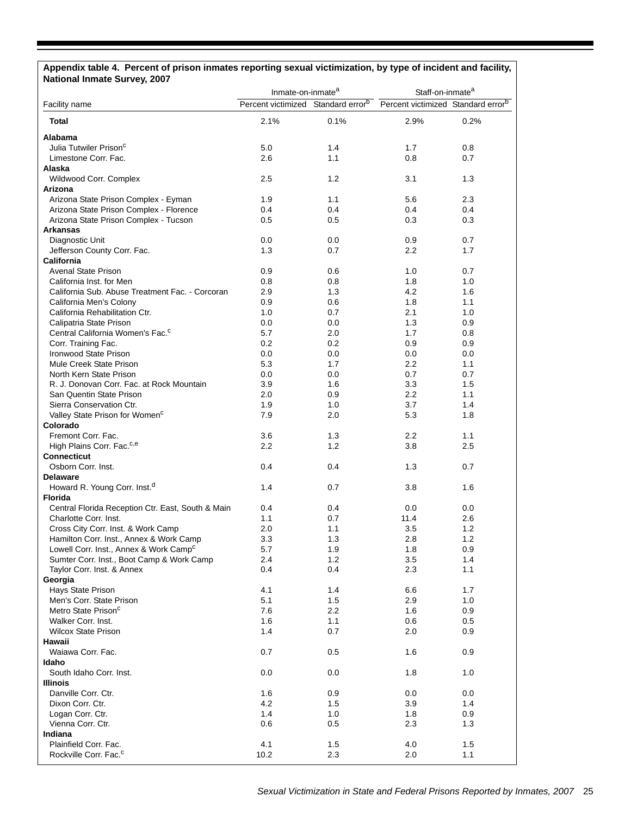| Appendix table 4. Percent of prison inmates reporting sexual victimization, by type of incident and facility,<br><b>National Inmate Survey, 2007</b> |                                                |      |                                                |      |  |
|------------------------------------------------------------------------------------------------------------------------------------------------------|------------------------------------------------|------|------------------------------------------------|------|--|
|                                                                                                                                                      | Inmate-on-inmate <sup>a</sup>                  |      | Staff-on-inmate <sup>a</sup>                   |      |  |
| Facility name                                                                                                                                        | Percent victimized Standard error <sup>b</sup> |      | Percent victimized Standard error <sup>b</sup> |      |  |
| <b>Total</b>                                                                                                                                         | 2.1%                                           | 0.1% | 2.9%                                           | 0.2% |  |
| Alabama                                                                                                                                              |                                                |      |                                                |      |  |
| Julia Tutwiler Prison <sup>c</sup>                                                                                                                   | 5.0                                            | 1.4  | 1.7                                            | 0.8  |  |
| Limestone Corr. Fac.                                                                                                                                 | 2.6                                            | 1.1  | 0.8                                            | 0.7  |  |
| Alaska                                                                                                                                               |                                                |      |                                                |      |  |
| Wildwood Corr. Complex                                                                                                                               | 2.5                                            | 1.2  | 3.1                                            | 1.3  |  |
| Arizona                                                                                                                                              |                                                |      |                                                |      |  |
| Arizona State Prison Complex - Eyman                                                                                                                 | 1.9                                            | 1.1  | 5.6                                            | 2.3  |  |
| Arizona State Prison Complex - Florence                                                                                                              | 0.4                                            | 0.4  | 0.4                                            | 0.4  |  |
| Arizona State Prison Complex - Tucson                                                                                                                | 0.5                                            | 0.5  | 0.3                                            | 0.3  |  |
| <b>Arkansas</b>                                                                                                                                      |                                                |      |                                                |      |  |
| Diagnostic Unit                                                                                                                                      | 0.0                                            | 0.0  | 0.9                                            | 0.7  |  |
| Jefferson County Corr. Fac.                                                                                                                          | 1.3                                            | 0.7  | 2.2                                            | 1.7  |  |
| <b>California</b>                                                                                                                                    |                                                |      |                                                |      |  |
| <b>Avenal State Prison</b>                                                                                                                           | 0.9                                            | 0.6  | 1.0                                            | 0.7  |  |
| California Inst. for Men                                                                                                                             | 0.8                                            | 0.8  | 1.8                                            | 1.0  |  |
| California Sub. Abuse Treatment Fac. - Corcoran                                                                                                      | 2.9                                            | 1.3  | 4.2                                            | 1.6  |  |
| California Men's Colony                                                                                                                              | 0.9                                            | 0.6  | 1.8                                            | 1.1  |  |
| California Rehabilitation Ctr.                                                                                                                       | 1.0                                            | 0.7  | 2.1                                            | 1.0  |  |
| Calipatria State Prison                                                                                                                              | 0.0                                            | 0.0  | 1.3                                            | 0.9  |  |
| Central California Women's Fac. <sup>c</sup>                                                                                                         | 5.7                                            | 2.0  | 1.7                                            | 0.8  |  |
| Corr. Training Fac.                                                                                                                                  | 0.2                                            | 0.2  | 0.9                                            | 0.9  |  |
| <b>Ironwood State Prison</b>                                                                                                                         | 0.0                                            | 0.0  | 0.0                                            | 0.0  |  |
| Mule Creek State Prison                                                                                                                              | 5.3                                            | 1.7  | $2.2\,$                                        | 1.1  |  |
| North Kern State Prison                                                                                                                              | 0.0                                            |      | 0.7                                            | 0.7  |  |
|                                                                                                                                                      |                                                | 0.0  |                                                |      |  |
| R. J. Donovan Corr. Fac. at Rock Mountain                                                                                                            | 3.9                                            | 1.6  | 3.3                                            | 1.5  |  |
| San Quentin State Prison                                                                                                                             | 2.0                                            | 0.9  | $2.2\,$                                        | 1.1  |  |
| Sierra Conservation Ctr.                                                                                                                             | 1.9                                            | 1.0  | 3.7                                            | 1.4  |  |
| Valley State Prison for Women <sup>c</sup>                                                                                                           | 7.9                                            | 2.0  | 5.3                                            | 1.8  |  |
| Colorado                                                                                                                                             |                                                |      |                                                |      |  |
| Fremont Corr. Fac.                                                                                                                                   | 3.6                                            | 1.3  | 2.2                                            | 1.1  |  |
| High Plains Corr. Fac. <sup>c,e</sup>                                                                                                                | $2.2\,$                                        | 1.2  | 3.8                                            | 2.5  |  |
| <b>Connecticut</b>                                                                                                                                   |                                                |      |                                                |      |  |
| Osborn Corr. Inst.                                                                                                                                   | 0.4                                            | 0.4  | 1.3                                            | 0.7  |  |
| <b>Delaware</b>                                                                                                                                      |                                                |      |                                                |      |  |
| Howard R. Young Corr. Inst. <sup>d</sup>                                                                                                             | 1.4                                            | 0.7  | 3.8                                            | 1.6  |  |
| <b>Florida</b>                                                                                                                                       |                                                |      |                                                |      |  |
| Central Florida Reception Ctr. East, South & Main                                                                                                    | 0.4                                            | 0.4  | 0.0                                            | 0.0  |  |
| Charlotte Corr. Inst.                                                                                                                                | 1.1                                            | 0.7  | 11.4                                           | 2.6  |  |
| Cross City Corr. Inst. & Work Camp                                                                                                                   | 2.0                                            | 1.1  | 3.5                                            | 1.2  |  |
| Hamilton Corr. Inst., Annex & Work Camp                                                                                                              | 3.3                                            | 1.3  | 2.8                                            | 1.2  |  |
| Lowell Corr. Inst., Annex & Work Camp <sup>c</sup>                                                                                                   | 5.7                                            | 1.9  | 1.8                                            | 0.9  |  |
| Sumter Corr. Inst., Boot Camp & Work Camp                                                                                                            | 2.4                                            | 1.2  | 3.5                                            | 1.4  |  |
| Taylor Corr. Inst. & Annex                                                                                                                           | 0.4                                            | 0.4  | 2.3                                            | 1.1  |  |
| Georgia                                                                                                                                              |                                                |      |                                                |      |  |
| Hays State Prison                                                                                                                                    | 4.1                                            | 1.4  | 6.6                                            | 1.7  |  |
| Men's Corr. State Prison                                                                                                                             | 5.1                                            | 1.5  | 2.9                                            | 1.0  |  |
| Metro State Prison <sup>c</sup>                                                                                                                      | 7.6                                            | 2.2  | 1.6                                            | 0.9  |  |
| Walker Corr. Inst.                                                                                                                                   | 1.6                                            | 1.1  | 0.6                                            | 0.5  |  |
| <b>Wilcox State Prison</b>                                                                                                                           | 1.4                                            | 0.7  | 2.0                                            | 0.9  |  |
| Hawaii                                                                                                                                               |                                                |      |                                                |      |  |
| Waiawa Corr. Fac.                                                                                                                                    | 0.7                                            | 0.5  | 1.6                                            | 0.9  |  |
| Idaho                                                                                                                                                |                                                |      |                                                |      |  |
| South Idaho Corr. Inst.                                                                                                                              | 0.0                                            | 0.0  | 1.8                                            | 1.0  |  |
| Illinois                                                                                                                                             |                                                |      |                                                |      |  |
| Danville Corr. Ctr.                                                                                                                                  | 1.6                                            | 0.9  | 0.0                                            | 0.0  |  |
| Dixon Corr. Ctr.                                                                                                                                     | 4.2                                            | 1.5  | 3.9                                            | 1.4  |  |
| Logan Corr. Ctr.                                                                                                                                     | 1.4                                            | 1.0  | 1.8                                            | 0.9  |  |
| Vienna Corr. Ctr.                                                                                                                                    | 0.6                                            | 0.5  | 2.3                                            | 1.3  |  |
| Indiana                                                                                                                                              |                                                |      |                                                |      |  |
| Plainfield Corr. Fac.                                                                                                                                | 4.1                                            | 1.5  | 4.0                                            | 1.5  |  |
| Rockville Corr. Fac. <sup>c</sup>                                                                                                                    | 10.2                                           | 2.3  | 2.0                                            | 1.1  |  |
|                                                                                                                                                      |                                                |      |                                                |      |  |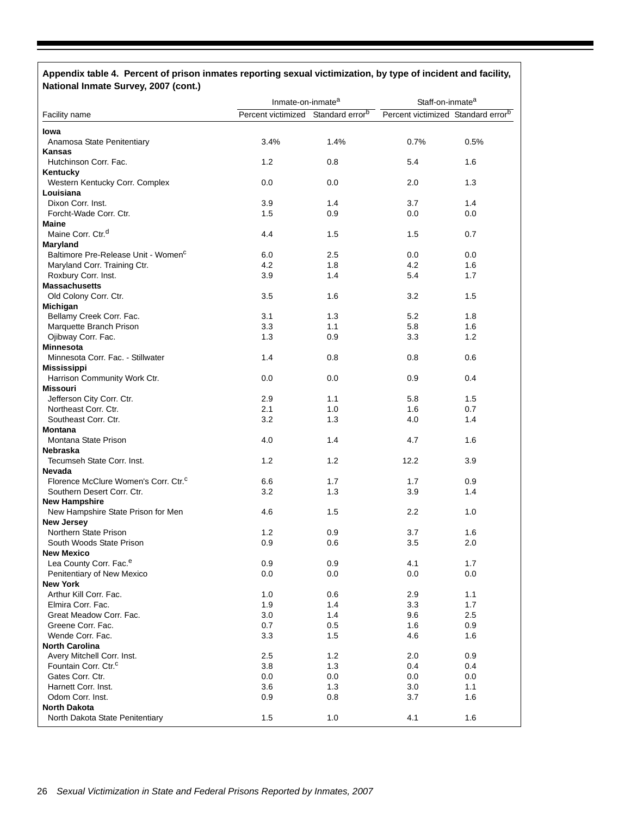# **Appendix table 4. Percent of prison inmates reporting sexual victimization, by type of incident and facility, National Inmate Survey, 2007 (cont.)**

|                                                  | Inmate-on-inmate <sup>a</sup>                  |            | Staff-on-inmate <sup>a</sup>                   |            |
|--------------------------------------------------|------------------------------------------------|------------|------------------------------------------------|------------|
| Facility name                                    | Percent victimized Standard error <sup>b</sup> |            | Percent victimized Standard error <sup>b</sup> |            |
| lowa                                             |                                                |            |                                                |            |
| Anamosa State Penitentiary                       | 3.4%                                           | 1.4%       | 0.7%                                           | 0.5%       |
| Kansas                                           |                                                |            |                                                |            |
| Hutchinson Corr. Fac.                            | 1.2                                            | 0.8        | 5.4                                            | 1.6        |
| Kentucky                                         |                                                |            |                                                |            |
| Western Kentucky Corr. Complex                   | 0.0                                            | 0.0        | 2.0                                            | 1.3        |
| Louisiana                                        |                                                |            |                                                |            |
| Dixon Corr. Inst.                                | 3.9                                            | 1.4        | 3.7                                            | 1.4        |
| Forcht-Wade Corr. Ctr.                           | 1.5                                            | 0.9        | 0.0                                            | 0.0        |
| <b>Maine</b>                                     |                                                |            |                                                |            |
| Maine Corr. Ctr. <sup>d</sup>                    | 4.4                                            | 1.5        | 1.5                                            | 0.7        |
| Maryland                                         |                                                |            |                                                |            |
| Baltimore Pre-Release Unit - Women <sup>c</sup>  | 6.0                                            | 2.5        | 0.0                                            | 0.0        |
| Maryland Corr. Training Ctr.                     | 4.2                                            | 1.8        | 4.2                                            | 1.6<br>1.7 |
| Roxbury Corr. Inst.<br><b>Massachusetts</b>      | 3.9                                            | 1.4        | 5.4                                            |            |
| Old Colony Corr. Ctr.                            | 3.5                                            | 1.6        | 3.2                                            | 1.5        |
| Michigan                                         |                                                |            |                                                |            |
| Bellamy Creek Corr. Fac.                         | 3.1                                            | 1.3        | 5.2                                            | 1.8        |
| Marquette Branch Prison                          | 3.3                                            | 1.1        | 5.8                                            | 1.6        |
| Ojibway Corr. Fac.                               | 1.3                                            | 0.9        | 3.3                                            | 1.2        |
| <b>Minnesota</b>                                 |                                                |            |                                                |            |
| Minnesota Corr. Fac. - Stillwater                | 1.4                                            | 0.8        | 0.8                                            | 0.6        |
| <b>Mississippi</b>                               |                                                |            |                                                |            |
| Harrison Community Work Ctr.                     | 0.0                                            | 0.0        | 0.9                                            | 0.4        |
| Missouri                                         |                                                |            |                                                |            |
| Jefferson City Corr. Ctr.                        | 2.9                                            | 1.1        | 5.8                                            | 1.5        |
| Northeast Corr. Ctr.                             | 2.1                                            | 1.0        | 1.6                                            | 0.7        |
| Southeast Corr. Ctr.                             | 3.2                                            | 1.3        | 4.0                                            | 1.4        |
| <b>Montana</b>                                   |                                                |            |                                                |            |
| Montana State Prison                             | 4.0                                            | 1.4        | 4.7                                            | 1.6        |
| Nebraska                                         |                                                |            |                                                |            |
| Tecumseh State Corr. Inst.                       | 1.2                                            | 1.2        | 12.2                                           | 3.9        |
| Nevada                                           |                                                |            |                                                |            |
| Florence McClure Women's Corr. Ctr. <sup>c</sup> | 6.6                                            | 1.7        | 1.7                                            | 0.9        |
| Southern Desert Corr. Ctr.                       | 3.2                                            | 1.3        | 3.9                                            | 1.4        |
| <b>New Hampshire</b>                             |                                                |            |                                                |            |
| New Hampshire State Prison for Men               | 4.6                                            | 1.5        | 2.2                                            | 1.0        |
| <b>New Jersey</b>                                |                                                |            |                                                |            |
| Northern State Prison                            | 1.2                                            | 0.9        | 3.7                                            | 1.6        |
| South Woods State Prison                         | 0.9                                            | 0.6        | 3.5                                            | 2.0        |
| <b>New Mexico</b>                                |                                                |            |                                                |            |
| Lea County Corr. Fac. <sup>e</sup>               | 0.9<br>0.0                                     | 0.9<br>0.0 | 4.1<br>0.0                                     | 1.7<br>0.0 |
| Penitentiary of New Mexico<br><b>New York</b>    |                                                |            |                                                |            |
| Arthur Kill Corr. Fac.                           | 1.0                                            | 0.6        | 2.9                                            | 1.1        |
| Elmira Corr. Fac.                                | 1.9                                            | 1.4        | 3.3                                            | 1.7        |
| Great Meadow Corr. Fac.                          | 3.0                                            | 1.4        | 9.6                                            | 2.5        |
| Greene Corr. Fac.                                | 0.7                                            | 0.5        | 1.6                                            | 0.9        |
| Wende Corr. Fac.                                 | 3.3                                            | 1.5        | 4.6                                            | 1.6        |
| <b>North Carolina</b>                            |                                                |            |                                                |            |
| Avery Mitchell Corr. Inst.                       | 2.5                                            | 1.2        | 2.0                                            | 0.9        |
| Fountain Corr. Ctr. <sup>c</sup>                 | 3.8                                            | 1.3        | 0.4                                            | 0.4        |
| Gates Corr. Ctr.                                 | 0.0                                            | 0.0        | 0.0                                            | 0.0        |
| Harnett Corr. Inst.                              | 3.6                                            | 1.3        | 3.0                                            | 1.1        |
| Odom Corr. Inst.                                 | 0.9                                            | 0.8        | 3.7                                            | 1.6        |
| <b>North Dakota</b>                              |                                                |            |                                                |            |
| North Dakota State Penitentiary                  | 1.5                                            | 1.0        | 4.1                                            | 1.6        |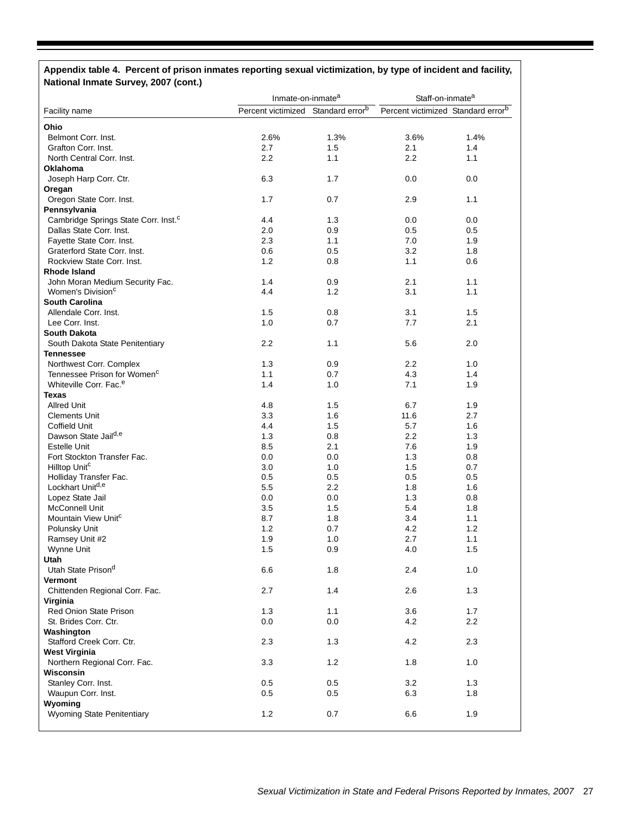# **Appendix table 4. Percent of prison inmates reporting sexual victimization, by type of incident and facility, National Inmate Survey, 2007 (cont.)**

|                                                  | Inmate-on-inmate <sup>a</sup>                  |            | Staff-on-inmate <sup>a</sup> |                                                |
|--------------------------------------------------|------------------------------------------------|------------|------------------------------|------------------------------------------------|
| Facility name                                    | Percent victimized Standard error <sup>b</sup> |            |                              | Percent victimized Standard error <sup>b</sup> |
| Ohio                                             |                                                |            |                              |                                                |
| Belmont Corr. Inst.                              | 2.6%                                           | 1.3%       | 3.6%                         | 1.4%                                           |
| Grafton Corr. Inst.                              | 2.7                                            | 1.5        | 2.1                          | 1.4                                            |
| North Central Corr. Inst.                        | 2.2                                            | 1.1        | 2.2                          | 1.1                                            |
| Oklahoma                                         |                                                |            |                              |                                                |
| Joseph Harp Corr. Ctr.                           | 6.3                                            | 1.7        | 0.0                          | 0.0                                            |
| Oregan                                           |                                                |            |                              |                                                |
| Oregon State Corr. Inst.                         | 1.7                                            | 0.7        | 2.9                          | 1.1                                            |
| Pennsylvania                                     |                                                |            |                              |                                                |
| Cambridge Springs State Corr. Inst. <sup>c</sup> | 4.4                                            | 1.3        | 0.0                          | 0.0                                            |
| Dallas State Corr. Inst.                         | 2.0                                            | 0.9        | 0.5                          | 0.5                                            |
| Fayette State Corr. Inst.                        | 2.3                                            | 1.1        | 7.0                          | 1.9                                            |
| Graterford State Corr. Inst.                     | 0.6                                            | 0.5        | 3.2                          | 1.8                                            |
| Rockview State Corr. Inst.                       | 1.2                                            | 0.8        | 1.1                          | 0.6                                            |
| Rhode Island                                     |                                                |            |                              |                                                |
| John Moran Medium Security Fac.                  | 1.4                                            | 0.9        | 2.1                          | 1.1                                            |
| Women's Division <sup>c</sup>                    | 4.4                                            | 1.2        | 3.1                          | 1.1                                            |
| <b>South Carolina</b>                            |                                                |            |                              |                                                |
| Allendale Corr. Inst.                            | 1.5                                            | 0.8        | 3.1                          | 1.5                                            |
| Lee Corr. Inst.                                  | 1.0                                            | 0.7        | 7.7                          | 2.1                                            |
| <b>South Dakota</b>                              |                                                |            |                              |                                                |
| South Dakota State Penitentiary                  | 2.2                                            | 1.1        | 5.6                          | 2.0                                            |
| <b>Tennessee</b>                                 |                                                |            |                              |                                                |
| Northwest Corr. Complex                          | 1.3                                            | 0.9        | 2.2                          | 1.0                                            |
| Tennessee Prison for Women <sup>c</sup>          | 1.1                                            | 0.7        | 4.3                          | 1.4                                            |
| Whiteville Corr. Fac. <sup>e</sup>               | 1.4                                            | 1.0        | 7.1                          | 1.9                                            |
| Texas                                            |                                                |            |                              |                                                |
| <b>Allred Unit</b>                               | 4.8                                            | 1.5        | 6.7                          | 1.9                                            |
| <b>Clements Unit</b>                             | 3.3                                            | 1.6        | 11.6                         | 2.7                                            |
| Coffield Unit                                    | 4.4                                            | 1.5        | 5.7                          | 1.6                                            |
| Dawson State Jail <sup>d,e</sup>                 | 1.3                                            | 0.8        | 2.2                          | 1.3                                            |
| <b>Estelle Unit</b>                              | 8.5                                            | 2.1        | 7.6                          | 1.9                                            |
| Fort Stockton Transfer Fac.                      | 0.0                                            | 0.0        | 1.3                          | 0.8                                            |
| Hilltop Unit <sup>c</sup>                        | 3.0                                            | 1.0        | 1.5                          | 0.7                                            |
| Holliday Transfer Fac.                           | 0.5                                            | 0.5        | 0.5                          | 0.5                                            |
| Lockhart Unitd,e                                 | 5.5                                            | 2.2        | 1.8                          | 1.6                                            |
| Lopez State Jail                                 | 0.0                                            | 0.0        | 1.3                          | 0.8                                            |
| <b>McConnell Unit</b>                            | 3.5                                            | 1.5        | 5.4                          | 1.8                                            |
| Mountain View Unit <sup>c</sup>                  | 8.7                                            | 1.8        | 3.4                          | 1.1                                            |
| Polunsky Unit                                    | 1.2<br>1.9                                     | 0.7        | 4.2                          | 1.2<br>1.1                                     |
| Ramsey Unit #2                                   | 1.5                                            | 1.0<br>0.9 | 2.7<br>4.0                   | 1.5                                            |
| Wynne Unit<br>Utah                               |                                                |            |                              |                                                |
| Utah State Prison <sup>d</sup>                   | 6.6                                            | 1.8        | 2.4                          | 1.0                                            |
| Vermont                                          |                                                |            |                              |                                                |
| Chittenden Regional Corr. Fac.                   | 2.7                                            | 1.4        | 2.6                          | 1.3                                            |
| Virginia                                         |                                                |            |                              |                                                |
| <b>Red Onion State Prison</b>                    | 1.3                                            | 1.1        | 3.6                          | 1.7                                            |
| St. Brides Corr. Ctr.                            | 0.0                                            | 0.0        | 4.2                          | 2.2                                            |
| Washington                                       |                                                |            |                              |                                                |
| Stafford Creek Corr. Ctr.                        | 2.3                                            | 1.3        | 4.2                          | 2.3                                            |
| <b>West Virginia</b>                             |                                                |            |                              |                                                |
| Northern Regional Corr. Fac.                     | 3.3                                            | 1.2        | 1.8                          | 1.0                                            |
| Wisconsin                                        |                                                |            |                              |                                                |
| Stanley Corr. Inst.                              | 0.5                                            | 0.5        | 3.2                          | 1.3                                            |
| Waupun Corr. Inst.                               | 0.5                                            | 0.5        | 6.3                          | 1.8                                            |
| Wyoming                                          |                                                |            |                              |                                                |
| Wyoming State Penitentiary                       | 1.2                                            | 0.7        | 6.6                          | 1.9                                            |
|                                                  |                                                |            |                              |                                                |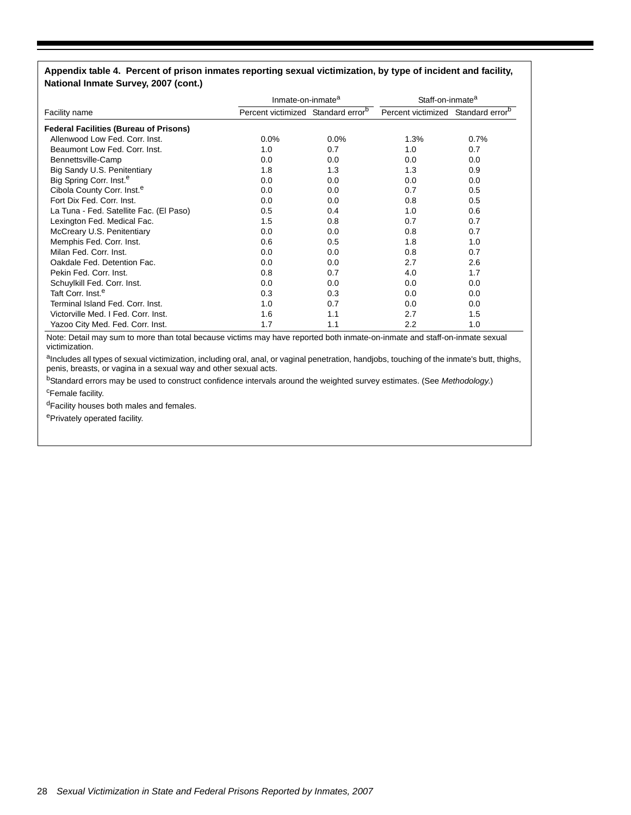#### **Appendix table 4. Percent of prison inmates reporting sexual victimization, by type of incident and facility, National Inmate Survey, 2007 (cont.)**

|                                               | Inmate-on-inmate <sup>a</sup>                  |      | Staff-on-inmate <sup>a</sup>                   |      |
|-----------------------------------------------|------------------------------------------------|------|------------------------------------------------|------|
| Facility name                                 | Percent victimized Standard error <sup>b</sup> |      | Percent victimized Standard error <sup>b</sup> |      |
| <b>Federal Facilities (Bureau of Prisons)</b> |                                                |      |                                                |      |
| Allenwood Low Fed. Corr. Inst.                | $0.0\%$                                        | 0.0% | 1.3%                                           | 0.7% |
| Beaumont Low Fed. Corr. Inst.                 | 1.0                                            | 0.7  | 1.0                                            | 0.7  |
| Bennettsville-Camp                            | 0.0                                            | 0.0  | 0.0                                            | 0.0  |
| Big Sandy U.S. Penitentiary                   | 1.8                                            | 1.3  | 1.3                                            | 0.9  |
| Big Spring Corr. Inst. <sup>e</sup>           | 0.0                                            | 0.0  | 0.0                                            | 0.0  |
| Cibola County Corr. Inst. <sup>e</sup>        | 0.0                                            | 0.0  | 0.7                                            | 0.5  |
| Fort Dix Fed. Corr. Inst.                     | 0.0                                            | 0.0  | 0.8                                            | 0.5  |
| La Tuna - Fed. Satellite Fac. (El Paso)       | 0.5                                            | 0.4  | 1.0                                            | 0.6  |
| Lexington Fed. Medical Fac.                   | 1.5                                            | 0.8  | 0.7                                            | 0.7  |
| McCreary U.S. Penitentiary                    | 0.0                                            | 0.0  | 0.8                                            | 0.7  |
| Memphis Fed. Corr. Inst.                      | 0.6                                            | 0.5  | 1.8                                            | 1.0  |
| Milan Fed. Corr. Inst.                        | 0.0                                            | 0.0  | 0.8                                            | 0.7  |
| Oakdale Fed. Detention Fac.                   | 0.0                                            | 0.0  | 2.7                                            | 2.6  |
| Pekin Fed. Corr. Inst.                        | 0.8                                            | 0.7  | 4.0                                            | 1.7  |
| Schuylkill Fed. Corr. Inst.                   | 0.0                                            | 0.0  | 0.0                                            | 0.0  |
| Taft Corr. Inst. <sup>e</sup>                 | 0.3                                            | 0.3  | 0.0                                            | 0.0  |
| Terminal Island Fed. Corr. Inst.              | 1.0                                            | 0.7  | 0.0                                            | 0.0  |
| Victorville Med. I Fed. Corr. Inst.           | 1.6                                            | 1.1  | 2.7                                            | 1.5  |
| Yazoo City Med. Fed. Corr. Inst.              | 1.7                                            | 1.1  | 2.2                                            | 1.0  |

Note: Detail may sum to more than total because victims may have reported both inmate-on-inmate and staff-on-inmate sexual victimization.

aIncludes all types of sexual victimization, including oral, anal, or vaginal penetration, handjobs, touching of the inmate's butt, thighs, penis, breasts, or vagina in a sexual way and other sexual acts.

bStandard errors may be used to construct confidence intervals around the weighted survey estimates. (See *Methodology*.) <sup>c</sup>Female facility.

dFacility houses both males and females.

ePrivately operated facility.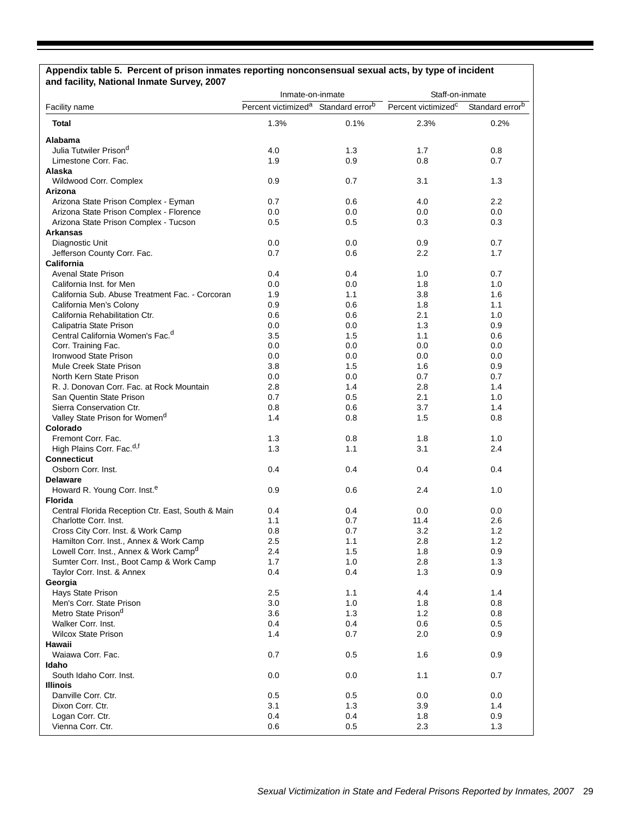#### **Appendix table 5. Percent of prison inmates reporting nonconsensual sexual acts, by type of incident and facility, National Inmate Survey, 2007**

| <b>HANAHAI HIIIKKA</b>                                                            | Inmate-on-inmate                                            |      | Staff-on-inmate                 |                             |
|-----------------------------------------------------------------------------------|-------------------------------------------------------------|------|---------------------------------|-----------------------------|
| Facility name                                                                     | Percent victimized <sup>a</sup> Standard error <sup>b</sup> |      | Percent victimized <sup>c</sup> | Standard error <sup>b</sup> |
| Total                                                                             | 1.3%                                                        | 0.1% | 2.3%                            | 0.2%                        |
| Alabama                                                                           |                                                             |      |                                 |                             |
| Julia Tutwiler Prison <sup>d</sup>                                                | 4.0                                                         | 1.3  | 1.7                             | 0.8                         |
| Limestone Corr. Fac.                                                              | 1.9                                                         | 0.9  | 0.8                             | 0.7                         |
| Alaska                                                                            |                                                             |      |                                 |                             |
| Wildwood Corr. Complex                                                            | 0.9                                                         | 0.7  | 3.1                             | 1.3                         |
| Arizona                                                                           |                                                             |      |                                 |                             |
| Arizona State Prison Complex - Eyman                                              | 0.7                                                         | 0.6  | 4.0                             | $2.2\,$                     |
| Arizona State Prison Complex - Florence                                           | 0.0                                                         | 0.0  | 0.0                             | $0.0\,$                     |
| Arizona State Prison Complex - Tucson                                             | 0.5                                                         | 0.5  | 0.3                             | 0.3                         |
| <b>Arkansas</b>                                                                   |                                                             |      |                                 |                             |
| Diagnostic Unit                                                                   | 0.0                                                         | 0.0  | 0.9                             | 0.7                         |
| Jefferson County Corr. Fac.                                                       | 0.7                                                         | 0.6  | 2.2                             | 1.7                         |
| California                                                                        |                                                             |      |                                 |                             |
| <b>Avenal State Prison</b>                                                        | 0.4                                                         | 0.4  | 1.0                             | 0.7                         |
| California Inst. for Men                                                          | 0.0                                                         | 0.0  | 1.8                             | 1.0                         |
| California Sub. Abuse Treatment Fac. - Corcoran                                   | 1.9                                                         | 1.1  | 3.8                             | 1.6                         |
| California Men's Colony                                                           | 0.9                                                         | 0.6  | 1.8                             | 1.1                         |
| California Rehabilitation Ctr.                                                    | 0.6                                                         | 0.6  | 2.1                             | 1.0                         |
| Calipatria State Prison                                                           | 0.0                                                         | 0.0  | 1.3                             | 0.9                         |
| Central California Women's Fac. <sup>d</sup>                                      | 3.5                                                         | 1.5  | 1.1                             | 0.6                         |
| Corr. Training Fac.                                                               | 0.0                                                         | 0.0  | 0.0                             | 0.0                         |
| <b>Ironwood State Prison</b>                                                      | 0.0                                                         | 0.0  | 0.0                             | 0.0                         |
| Mule Creek State Prison                                                           | 3.8                                                         | 1.5  | 1.6                             | 0.9                         |
| North Kern State Prison                                                           | 0.0                                                         | 0.0  | 0.7                             | 0.7                         |
| R. J. Donovan Corr. Fac. at Rock Mountain                                         | 2.8                                                         | 1.4  | 2.8                             | 1.4                         |
| San Quentin State Prison                                                          | 0.7                                                         | 0.5  | 2.1                             | 1.0                         |
| Sierra Conservation Ctr.                                                          | 0.8                                                         | 0.6  | 3.7                             | 1.4                         |
| Valley State Prison for Women <sup>d</sup>                                        | 1.4                                                         | 0.8  | 1.5                             | 0.8                         |
| Colorado                                                                          |                                                             |      |                                 |                             |
| Fremont Corr. Fac.                                                                | 1.3                                                         | 0.8  | 1.8                             | 1.0                         |
| High Plains Corr. Fac. <sup>d,f</sup>                                             | 1.3                                                         | 1.1  | 3.1                             | $2.4\,$                     |
| <b>Connecticut</b>                                                                |                                                             |      |                                 |                             |
| Osborn Corr. Inst.                                                                | 0.4                                                         | 0.4  | 0.4                             | 0.4                         |
|                                                                                   |                                                             |      |                                 |                             |
| <b>Delaware</b>                                                                   |                                                             |      |                                 |                             |
| Howard R. Young Corr. Inst. <sup>e</sup>                                          | 0.9                                                         | 0.6  | 2.4                             | 1.0                         |
| <b>Florida</b>                                                                    |                                                             |      |                                 |                             |
| Central Florida Reception Ctr. East, South & Main                                 | 0.4                                                         | 0.4  | 0.0                             | 0.0                         |
| Charlotte Corr. Inst.                                                             | 1.1                                                         | 0.7  | 11.4                            | 2.6                         |
| Cross City Corr. Inst. & Work Camp                                                | 0.8                                                         | 0.7  | 3.2                             | 1.2                         |
| Hamilton Corr. Inst., Annex & Work Camp<br>Lowell Corr. Inst., Annex & Work Campd | 2.5                                                         | 1.1  | 2.8                             | 1.2                         |
|                                                                                   | 2.4                                                         | 1.5  | 1.8                             | 0.9                         |
| Sumter Corr. Inst., Boot Camp & Work Camp                                         | 1.7                                                         | 1.0  | 2.8                             | 1.3                         |
| Taylor Corr. Inst. & Annex                                                        | 0.4                                                         | 0.4  | 1.3                             | 0.9                         |
| Georgia                                                                           |                                                             |      |                                 |                             |
| Hays State Prison                                                                 | 2.5                                                         | 1.1  | 4.4                             | 1.4                         |
| Men's Corr. State Prison                                                          | 3.0                                                         | 1.0  | 1.8                             | 0.8                         |
| Metro State Prison <sup>d</sup>                                                   | 3.6                                                         | 1.3  | 1.2                             | 0.8                         |
| Walker Corr. Inst.                                                                | 0.4                                                         | 0.4  | 0.6                             | 0.5                         |
| <b>Wilcox State Prison</b>                                                        | 1.4                                                         | 0.7  | 2.0                             | 0.9                         |
| Hawaii                                                                            |                                                             |      |                                 |                             |
| Waiawa Corr. Fac.                                                                 | 0.7                                                         | 0.5  | 1.6                             | 0.9                         |
| Idaho                                                                             |                                                             |      |                                 |                             |
| South Idaho Corr. Inst.                                                           | 0.0                                                         | 0.0  | 1.1                             | 0.7                         |
| <b>Illinois</b>                                                                   |                                                             |      |                                 |                             |
| Danville Corr. Ctr.                                                               | 0.5                                                         | 0.5  | 0.0                             | 0.0                         |
| Dixon Corr. Ctr.                                                                  | 3.1                                                         | 1.3  | 3.9                             | 1.4                         |
| Logan Corr. Ctr.                                                                  | 0.4                                                         | 0.4  | 1.8                             | 0.9                         |
| Vienna Corr. Ctr.                                                                 | 0.6                                                         | 0.5  | 2.3                             | 1.3                         |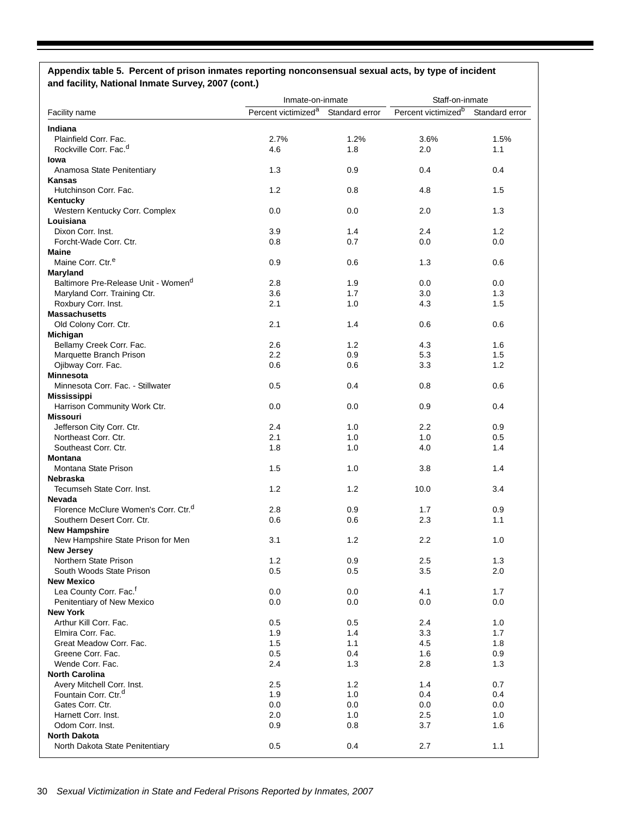#### **Appendix table 5. Percent of prison inmates reporting nonconsensual sexual acts, by type of incident and facility, National Inmate Survey, 2007 (cont.)**

|                                                            | Inmate-on-inmate                |                | Staff-on-inmate                 |                |
|------------------------------------------------------------|---------------------------------|----------------|---------------------------------|----------------|
| Facility name                                              | Percent victimized <sup>a</sup> | Standard error | Percent victimized <sup>b</sup> | Standard error |
|                                                            |                                 |                |                                 |                |
| Indiana<br>Plainfield Corr. Fac.                           | 2.7%                            | 1.2%           | 3.6%                            | 1.5%           |
| Rockville Corr, Fac. <sup>d</sup>                          | 4.6                             | 1.8            | 2.0                             | 1.1            |
| lowa                                                       |                                 |                |                                 |                |
| Anamosa State Penitentiary                                 | 1.3                             | 0.9            | 0.4                             | 0.4            |
| <b>Kansas</b>                                              |                                 |                |                                 |                |
| Hutchinson Corr. Fac.                                      | 1.2                             | 0.8            | 4.8                             | 1.5            |
| Kentucky                                                   |                                 |                |                                 |                |
| Western Kentucky Corr. Complex                             | 0.0                             | 0.0            | 2.0                             | 1.3            |
| Louisiana                                                  |                                 |                |                                 |                |
| Dixon Corr. Inst.                                          | 3.9                             | 1.4            | 2.4                             | 1.2            |
| Forcht-Wade Corr. Ctr.                                     | 0.8                             | 0.7            | 0.0                             | 0.0            |
| <b>Maine</b>                                               |                                 |                |                                 |                |
| Maine Corr. Ctr. <sup>e</sup>                              | 0.9                             | 0.6            | 1.3                             | 0.6            |
| Maryland                                                   |                                 |                |                                 |                |
| Baltimore Pre-Release Unit - Women <sup>d</sup>            | 2.8<br>3.6                      | 1.9<br>1.7     | 0.0<br>3.0                      | 0.0<br>1.3     |
| Maryland Corr. Training Ctr.<br>Roxbury Corr. Inst.        | 2.1                             | 1.0            | 4.3                             | 1.5            |
| <b>Massachusetts</b>                                       |                                 |                |                                 |                |
| Old Colony Corr. Ctr.                                      | 2.1                             | 1.4            | 0.6                             | 0.6            |
| Michigan                                                   |                                 |                |                                 |                |
| Bellamy Creek Corr. Fac.                                   | 2.6                             | 1.2            | 4.3                             | 1.6            |
| Marquette Branch Prison                                    | 2.2                             | 0.9            | 5.3                             | 1.5            |
| Ojibway Corr. Fac.                                         | 0.6                             | 0.6            | 3.3                             | 1.2            |
| <b>Minnesota</b>                                           |                                 |                |                                 |                |
| Minnesota Corr. Fac. - Stillwater                          | 0.5                             | 0.4            | 0.8                             | 0.6            |
| <b>Mississippi</b>                                         |                                 |                |                                 |                |
| Harrison Community Work Ctr.                               | 0.0                             | 0.0            | 0.9                             | 0.4            |
| <b>Missouri</b>                                            |                                 |                |                                 |                |
| Jefferson City Corr. Ctr.                                  | 2.4                             | 1.0            | $2.2\phantom{0}$                | 0.9            |
| Northeast Corr. Ctr.                                       | 2.1                             | 1.0            | 1.0                             | 0.5            |
| Southeast Corr. Ctr.                                       | 1.8                             | 1.0            | 4.0                             | 1.4            |
| <b>Montana</b>                                             |                                 |                |                                 |                |
| Montana State Prison                                       | 1.5                             | 1.0            | 3.8                             | 1.4            |
| <b>Nebraska</b>                                            |                                 |                |                                 |                |
| Tecumseh State Corr. Inst.                                 | 1.2                             | 1.2            | 10.0                            | 3.4            |
| Nevada<br>Florence McClure Women's Corr. Ctr. <sup>d</sup> | 2.8                             | 0.9            | 1.7                             | 0.9            |
| Southern Desert Corr. Ctr.                                 | 0.6                             | 0.6            | 2.3                             | 1.1            |
| <b>New Hampshire</b>                                       |                                 |                |                                 |                |
| New Hampshire State Prison for Men                         | 3.1                             | 1.2            | 2.2                             | 1.0            |
| New Jersey                                                 |                                 |                |                                 |                |
| Northern State Prison                                      | 1.2                             | 0.9            | 2.5                             | 1.3            |
| South Woods State Prison                                   | 0.5                             | 0.5            | 3.5                             | 2.0            |
| <b>New Mexico</b>                                          |                                 |                |                                 |                |
| Lea County Corr. Fac. <sup>f</sup>                         | 0.0                             | 0.0            | 4.1                             | 1.7            |
| Penitentiary of New Mexico                                 | 0.0                             | 0.0            | 0.0                             | 0.0            |
| <b>New York</b>                                            |                                 |                |                                 |                |
| Arthur Kill Corr. Fac.                                     | 0.5                             | 0.5            | 2.4                             | 1.0            |
| Elmira Corr. Fac.                                          | 1.9                             | 1.4            | 3.3                             | 1.7            |
| Great Meadow Corr. Fac.                                    | 1.5                             | 1.1            | 4.5                             | 1.8            |
| Greene Corr. Fac.                                          | 0.5                             | 0.4            | 1.6                             | 0.9            |
| Wende Corr. Fac.                                           | 2.4                             | 1.3            | 2.8                             | 1.3            |
| <b>North Carolina</b>                                      |                                 |                |                                 |                |
| Avery Mitchell Corr. Inst.                                 | 2.5                             | 1.2            | 1.4                             | 0.7            |
| Fountain Corr. Ctr. <sup>d</sup>                           | 1.9                             | 1.0            | 0.4                             | 0.4            |
| Gates Corr. Ctr.<br>Harnett Corr. Inst.                    | 0.0<br>2.0                      | 0.0<br>1.0     | 0.0<br>2.5                      | 0.0<br>1.0     |
| Odom Corr. Inst.                                           | 0.9                             | 0.8            | 3.7                             | 1.6            |
| <b>North Dakota</b>                                        |                                 |                |                                 |                |
| North Dakota State Penitentiary                            | 0.5                             | 0.4            | 2.7                             | 1.1            |
|                                                            |                                 |                |                                 |                |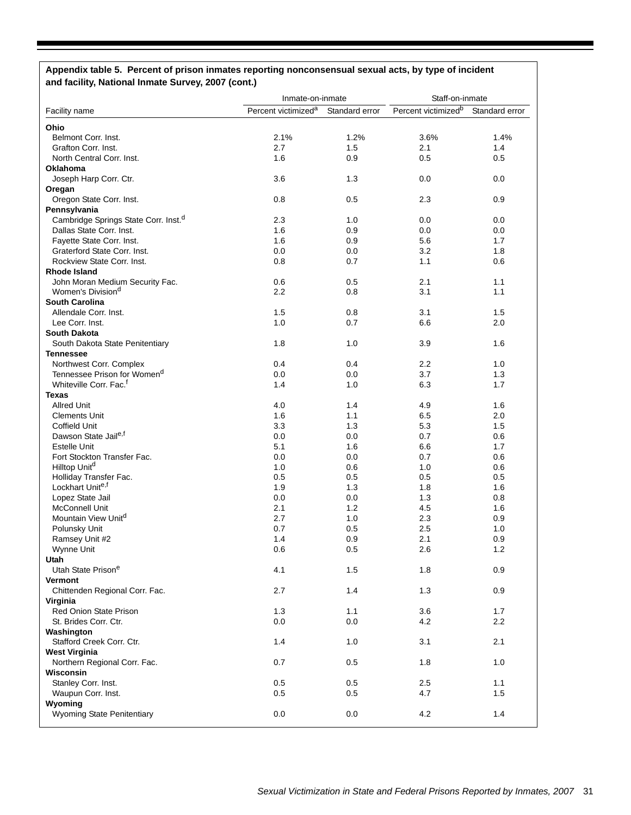# **Appendix table 5. Percent of prison inmates reporting nonconsensual sexual acts, by type of incident and facility, National Inmate Survey, 2007 (cont.)**

|                                                  | Inmate-on-inmate                |                | Staff-on-inmate                 |                |  |
|--------------------------------------------------|---------------------------------|----------------|---------------------------------|----------------|--|
| Facility name                                    | Percent victimized <sup>a</sup> | Standard error | Percent victimized <sup>b</sup> | Standard error |  |
| Ohio                                             |                                 |                |                                 |                |  |
| Belmont Corr. Inst.                              | 2.1%                            | 1.2%           | 3.6%                            | 1.4%           |  |
| Grafton Corr. Inst.                              | 2.7                             | 1.5            | 2.1                             | 1.4            |  |
| North Central Corr. Inst.                        | 1.6                             | 0.9            | 0.5                             | 0.5            |  |
| Oklahoma                                         |                                 |                |                                 |                |  |
| Joseph Harp Corr. Ctr.                           | 3.6                             | 1.3            | 0.0                             | 0.0            |  |
| Oregan                                           |                                 |                |                                 |                |  |
| Oregon State Corr. Inst.                         | 0.8                             | 0.5            | 2.3                             | 0.9            |  |
|                                                  |                                 |                |                                 |                |  |
| Pennsylvania                                     |                                 |                |                                 |                |  |
| Cambridge Springs State Corr. Inst. <sup>d</sup> | 2.3                             | 1.0            | 0.0                             | 0.0            |  |
| Dallas State Corr. Inst.                         | 1.6                             | 0.9            | 0.0                             | 0.0            |  |
| Fayette State Corr. Inst.                        | 1.6                             | 0.9            | 5.6                             | 1.7            |  |
| Graterford State Corr. Inst.                     | 0.0                             | 0.0            | 3.2                             | 1.8            |  |
| Rockview State Corr. Inst.                       | 0.8                             | 0.7            | 1.1                             | 0.6            |  |
| <b>Rhode Island</b>                              |                                 |                |                                 |                |  |
| John Moran Medium Security Fac.                  | 0.6                             | 0.5            | 2.1                             | 1.1            |  |
| Women's Division <sup>d</sup>                    | 2.2                             | 0.8            | 3.1                             | 1.1            |  |
| <b>South Carolina</b>                            |                                 |                |                                 |                |  |
| Allendale Corr. Inst.                            | 1.5                             | 0.8            | 3.1                             | 1.5            |  |
| Lee Corr. Inst.                                  | 1.0                             | 0.7            | 6.6                             | 2.0            |  |
| <b>South Dakota</b>                              |                                 |                |                                 |                |  |
| South Dakota State Penitentiary                  | 1.8                             | 1.0            | 3.9                             | 1.6            |  |
| <b>Tennessee</b>                                 |                                 |                |                                 |                |  |
| Northwest Corr. Complex                          | 0.4                             | 0.4            | 2.2                             | 1.0            |  |
| Tennessee Prison for Women <sup>d</sup>          | 0.0                             | 0.0            | 3.7                             | 1.3            |  |
| Whiteville Corr. Fac. <sup>f</sup>               | 1.4                             | 1.0            | 6.3                             | 1.7            |  |
| <b>Texas</b>                                     |                                 |                |                                 |                |  |
| <b>Allred Unit</b>                               | 4.0                             | 1.4            | 4.9                             | 1.6            |  |
| <b>Clements Unit</b>                             | 1.6                             | 1.1            | 6.5                             | 2.0            |  |
| <b>Coffield Unit</b>                             |                                 |                |                                 |                |  |
| Dawson State Jaile,f                             | 3.3                             | 1.3            | 5.3                             | 1.5            |  |
|                                                  | 0.0                             | 0.0            | 0.7                             | 0.6            |  |
| <b>Estelle Unit</b>                              | 5.1                             | 1.6            | 6.6                             | 1.7            |  |
| Fort Stockton Transfer Fac.                      | 0.0                             | 0.0            | 0.7                             | 0.6            |  |
| Hilltop Unit <sup>d</sup>                        | 1.0                             | 0.6            | 1.0                             | 0.6            |  |
| Holliday Transfer Fac.                           | 0.5                             | 0.5            | 0.5                             | 0.5            |  |
| Lockhart Unite,f                                 | 1.9                             | 1.3            | 1.8                             | 1.6            |  |
| Lopez State Jail                                 | 0.0                             | 0.0            | 1.3                             | 0.8            |  |
| <b>McConnell Unit</b>                            | 2.1                             | 1.2            | 4.5                             | 1.6            |  |
| Mountain View Unit <sup>a</sup>                  | 2.7                             | 1.0            | 2.3                             | 0.9            |  |
| Polunsky Unit                                    | 0.7                             | 0.5            | 2.5                             | 1.0            |  |
| Ramsey Unit #2                                   | 1.4                             | 0.9            | 2.1                             | 0.9            |  |
| Wynne Unit                                       | 0.6                             | 0.5            | 2.6                             | 1.2            |  |
| Utah                                             |                                 |                |                                 |                |  |
| Utah State Prison <sup>e</sup>                   | 4.1                             | 1.5            | 1.8                             | 0.9            |  |
| <b>Vermont</b>                                   |                                 |                |                                 |                |  |
| Chittenden Regional Corr. Fac.                   | 2.7                             | 1.4            | 1.3                             | 0.9            |  |
| Virginia                                         |                                 |                |                                 |                |  |
| Red Onion State Prison                           | 1.3                             | 1.1            | 3.6                             | 1.7            |  |
| St. Brides Corr. Ctr.                            | 0.0                             | 0.0            | 4.2                             | 2.2            |  |
| Washington                                       |                                 |                |                                 |                |  |
| Stafford Creek Corr. Ctr.                        | 1.4                             | 1.0            | 3.1                             | 2.1            |  |
| <b>West Virginia</b>                             |                                 |                |                                 |                |  |
|                                                  | 0.7                             |                |                                 |                |  |
| Northern Regional Corr. Fac.                     |                                 | 0.5            | 1.8                             | 1.0            |  |
| Wisconsin                                        |                                 |                |                                 |                |  |
| Stanley Corr. Inst.                              | 0.5                             | 0.5            | 2.5                             | 1.1            |  |
| Waupun Corr. Inst.                               | 0.5                             | 0.5            | 4.7                             | 1.5            |  |
| Wyoming                                          |                                 |                |                                 |                |  |
| <b>Wyoming State Penitentiary</b>                | 0.0                             | 0.0            | 4.2                             | 1.4            |  |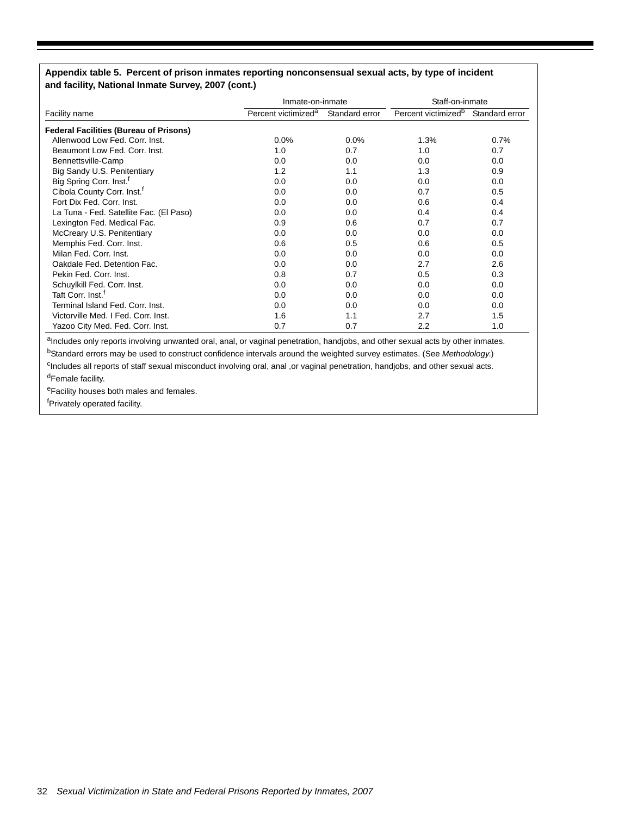#### **Appendix table 5. Percent of prison inmates reporting nonconsensual sexual acts, by type of incident and facility, National Inmate Survey, 2007 (cont.)**

|                                               | Inmate-on-inmate                |                | Staff-on-inmate                 |                |  |
|-----------------------------------------------|---------------------------------|----------------|---------------------------------|----------------|--|
| Facility name                                 | Percent victimized <sup>a</sup> | Standard error | Percent victimized <sup>b</sup> | Standard error |  |
| <b>Federal Facilities (Bureau of Prisons)</b> |                                 |                |                                 |                |  |
| Allenwood Low Fed. Corr. Inst.                | 0.0%                            | $0.0\%$        | 1.3%                            | 0.7%           |  |
| Beaumont Low Fed. Corr. Inst.                 | 1.0                             | 0.7            | 1.0                             | 0.7            |  |
| Bennettsville-Camp                            | 0.0                             | 0.0            | 0.0                             | 0.0            |  |
| Big Sandy U.S. Penitentiary                   | 1.2                             | 1.1            | 1.3                             | 0.9            |  |
| Big Spring Corr. Inst. <sup>f</sup>           | 0.0                             | 0.0            | 0.0                             | 0.0            |  |
| Cibola County Corr. Inst. <sup>†</sup>        | 0.0                             | 0.0            | 0.7                             | 0.5            |  |
| Fort Dix Fed. Corr. Inst.                     | 0.0                             | 0.0            | 0.6                             | 0.4            |  |
| La Tuna - Fed. Satellite Fac. (El Paso)       | 0.0                             | 0.0            | 0.4                             | 0.4            |  |
| Lexington Fed. Medical Fac.                   | 0.9                             | 0.6            | 0.7                             | 0.7            |  |
| McCreary U.S. Penitentiary                    | 0.0                             | 0.0            | 0.0                             | 0.0            |  |
| Memphis Fed. Corr. Inst.                      | 0.6                             | 0.5            | 0.6                             | 0.5            |  |
| Milan Fed. Corr. Inst.                        | 0.0                             | 0.0            | 0.0                             | 0.0            |  |
| Oakdale Fed. Detention Fac.                   | 0.0                             | 0.0            | 2.7                             | 2.6            |  |
| Pekin Fed. Corr. Inst.                        | 0.8                             | 0.7            | 0.5                             | 0.3            |  |
| Schuylkill Fed. Corr. Inst.                   | 0.0                             | 0.0            | 0.0                             | 0.0            |  |
| Taft Corr. Inst. <sup>1</sup>                 | 0.0                             | 0.0            | 0.0                             | 0.0            |  |
| Terminal Island Fed. Corr. Inst.              | 0.0                             | 0.0            | 0.0                             | 0.0            |  |
| Victorville Med. I Fed. Corr. Inst.           | 1.6                             | 1.1            | 2.7                             | 1.5            |  |
| Yazoo City Med. Fed. Corr. Inst.              | 0.7                             | 0.7            | 2.2                             | 1.0            |  |

aIncludes only reports involving unwanted oral, anal, or vaginal penetration, handjobs, and other sexual acts by other inmates. bStandard errors may be used to construct confidence intervals around the weighted survey estimates. (See *Methodology*.)

cIncludes all reports of staff sexual misconduct involving oral, anal ,or vaginal penetration, handjobs, and other sexual acts.

dFemale facility.

eFacility houses both males and females.

<sup>f</sup>Privately operated facility.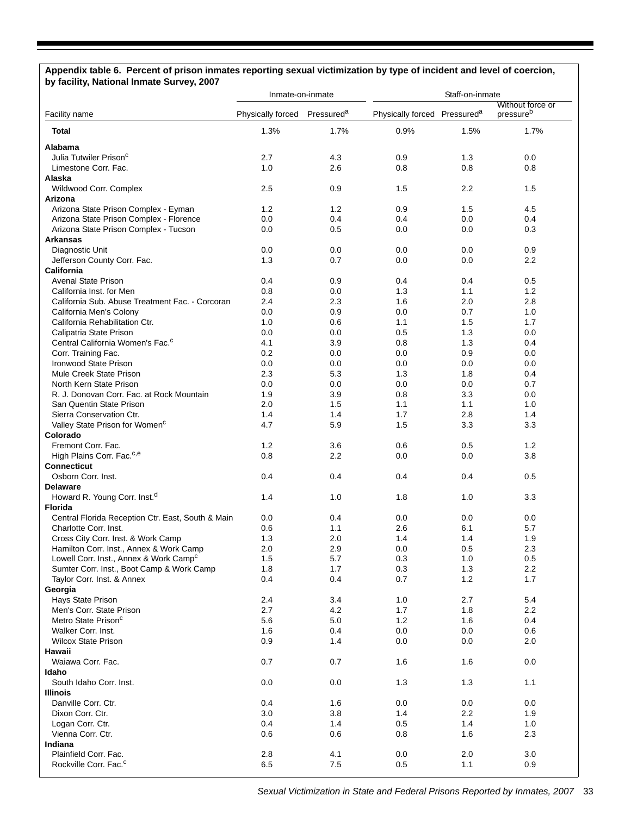#### **Appendix table 6. Percent of prison inmates reporting sexual victimization by type of incident and level of coercion, by facility, National Inmate Survey, 2007**

|                                                                        | Inmate-on-inmate  |                        | Staff-on-inmate                          |            |                               |  |
|------------------------------------------------------------------------|-------------------|------------------------|------------------------------------------|------------|-------------------------------|--|
| Facility name                                                          | Physically forced | Pressured <sup>a</sup> | Physically forced Pressured <sup>a</sup> |            | Without force or<br>pressureb |  |
| <b>Total</b>                                                           | 1.3%              | 1.7%                   | 0.9%                                     | 1.5%       | 1.7%                          |  |
| Alabama                                                                |                   |                        |                                          |            |                               |  |
| Julia Tutwiler Prison <sup>c</sup>                                     | 2.7               | 4.3                    | 0.9                                      | 1.3        | 0.0                           |  |
| Limestone Corr. Fac.                                                   | 1.0               | 2.6                    | 0.8                                      | 0.8        | 0.8                           |  |
| Alaska                                                                 |                   |                        |                                          |            |                               |  |
| Wildwood Corr. Complex                                                 | 2.5               | 0.9                    | 1.5                                      | 2.2        | 1.5                           |  |
| Arizona                                                                |                   |                        |                                          |            |                               |  |
| Arizona State Prison Complex - Eyman                                   | 1.2               | 1.2                    | 0.9                                      | 1.5        | 4.5                           |  |
| Arizona State Prison Complex - Florence                                | 0.0               | 0.4                    | 0.4                                      | 0.0        | 0.4                           |  |
| Arizona State Prison Complex - Tucson                                  | 0.0               | 0.5                    | 0.0                                      | 0.0        | 0.3                           |  |
| <b>Arkansas</b>                                                        |                   |                        |                                          |            |                               |  |
| Diagnostic Unit                                                        | 0.0               | 0.0                    | 0.0                                      | 0.0        | 0.9                           |  |
| Jefferson County Corr. Fac.                                            | 1.3               | 0.7                    | 0.0                                      | 0.0        | 2.2                           |  |
| California                                                             |                   |                        |                                          |            |                               |  |
| <b>Avenal State Prison</b>                                             | 0.4               | 0.9                    | 0.4                                      | 0.4        | 0.5                           |  |
| California Inst. for Men                                               | 0.8               | 0.0                    | 1.3                                      | 1.1        | 1.2                           |  |
| California Sub. Abuse Treatment Fac. - Corcoran                        | 2.4               | 2.3                    | 1.6                                      | 2.0        | 2.8                           |  |
| California Men's Colony                                                | 0.0               | 0.9                    | 0.0                                      | 0.7        | 1.0                           |  |
| California Rehabilitation Ctr.                                         | 1.0               | 0.6                    | 1.1                                      | 1.5        | 1.7                           |  |
| Calipatria State Prison                                                | 0.0               | 0.0                    | 0.5                                      | 1.3        | 0.0                           |  |
| Central California Women's Fac. <sup>c</sup>                           | 4.1               | 3.9                    | 0.8                                      | 1.3        | 0.4                           |  |
| Corr. Training Fac.                                                    | 0.2               | 0.0                    | 0.0                                      | 0.9        | 0.0                           |  |
| Ironwood State Prison                                                  | 0.0               | 0.0                    | 0.0                                      | 0.0        | 0.0                           |  |
| Mule Creek State Prison                                                | 2.3               | 5.3                    | 1.3                                      | 1.8        | 0.4                           |  |
| North Kern State Prison                                                | 0.0               | 0.0                    | 0.0                                      | 0.0        | 0.7                           |  |
| R. J. Donovan Corr. Fac. at Rock Mountain                              | 1.9<br>2.0        | 3.9                    | 0.8                                      | 3.3        | 0.0                           |  |
| San Quentin State Prison                                               | 1.4               | 1.5                    | 1.1<br>1.7                               | 1.1<br>2.8 | 1.0                           |  |
| Sierra Conservation Ctr.<br>Valley State Prison for Women <sup>c</sup> | 4.7               | 1.4<br>5.9             | 1.5                                      | 3.3        | 1.4<br>3.3                    |  |
| Colorado                                                               |                   |                        |                                          |            |                               |  |
| Fremont Corr. Fac.                                                     | 1.2               | 3.6                    | 0.6                                      | 0.5        | 1.2                           |  |
| High Plains Corr. Fac. <sup>c,e</sup>                                  | 0.8               | 2.2                    | 0.0                                      | 0.0        | 3.8                           |  |
| <b>Connecticut</b>                                                     |                   |                        |                                          |            |                               |  |
| Osborn Corr. Inst.                                                     | 0.4               | 0.4                    | 0.4                                      | 0.4        | 0.5                           |  |
| <b>Delaware</b>                                                        |                   |                        |                                          |            |                               |  |
| Howard R. Young Corr. Inst. <sup>d</sup>                               | 1.4               | 1.0                    | 1.8                                      | 1.0        | 3.3                           |  |
| <b>Florida</b>                                                         |                   |                        |                                          |            |                               |  |
| Central Florida Reception Ctr. East, South & Main                      | 0.0               | 0.4                    | 0.0                                      | 0.0        | 0.0                           |  |
| Charlotte Corr. Inst.                                                  | 0.6               | 1.1                    | 2.6                                      | 6.1        | 5.7                           |  |
| Cross City Corr. Inst. & Work Camp                                     | 1.3               | 2.0                    | 1.4                                      | 1.4        | 1.9                           |  |
| Hamilton Corr. Inst., Annex & Work Camp                                | 2.0               | 2.9                    | $0.0\,$                                  | $0.5\,$    | $2.3\,$                       |  |
| Lowell Corr. Inst., Annex & Work Camp <sup>c</sup>                     | 1.5               | 5.7                    | 0.3                                      | 1.0        | 0.5                           |  |
| Sumter Corr. Inst., Boot Camp & Work Camp                              | 1.8               | 1.7                    | 0.3                                      | 1.3        | 2.2                           |  |
| Taylor Corr. Inst. & Annex                                             | 0.4               | 0.4                    | 0.7                                      | 1.2        | 1.7                           |  |
| Georgia                                                                |                   |                        |                                          |            |                               |  |
| Hays State Prison                                                      | 2.4               | 3.4                    | 1.0                                      | 2.7        | 5.4                           |  |
| Men's Corr. State Prison                                               | 2.7               | 4.2                    | 1.7                                      | 1.8        | 2.2                           |  |
| Metro State Prison <sup>c</sup>                                        | 5.6               | 5.0                    | 1.2                                      | 1.6        | 0.4                           |  |
| Walker Corr. Inst.                                                     | 1.6               | 0.4                    | 0.0                                      | 0.0        | 0.6                           |  |
| <b>Wilcox State Prison</b>                                             | 0.9               | 1.4                    | 0.0                                      | 0.0        | 2.0                           |  |
| Hawaii                                                                 |                   |                        |                                          |            |                               |  |
| Waiawa Corr. Fac.                                                      | 0.7               | 0.7                    | 1.6                                      | 1.6        | 0.0                           |  |
| Idaho                                                                  |                   |                        |                                          |            |                               |  |
| South Idaho Corr. Inst.                                                | 0.0               | 0.0                    | 1.3                                      | 1.3        | 1.1                           |  |
| <b>Illinois</b>                                                        |                   |                        |                                          |            |                               |  |
| Danville Corr. Ctr.                                                    | 0.4               | 1.6                    | 0.0                                      | 0.0        | 0.0                           |  |
| Dixon Corr. Ctr.                                                       | 3.0               | 3.8                    | 1.4                                      | 2.2        | 1.9                           |  |
| Logan Corr. Ctr.                                                       | 0.4               | 1.4                    | 0.5                                      | 1.4        | 1.0                           |  |
| Vienna Corr. Ctr.                                                      | 0.6               | 0.6                    | 0.8                                      | 1.6        | 2.3                           |  |
| Indiana<br>Plainfield Corr. Fac.                                       |                   |                        |                                          |            |                               |  |
|                                                                        | 2.8               | 4.1                    | 0.0                                      | 2.0        | 3.0                           |  |
| Rockville Corr. Fac. <sup>c</sup>                                      | 6.5               | 7.5                    | 0.5                                      | 1.1        | 0.9                           |  |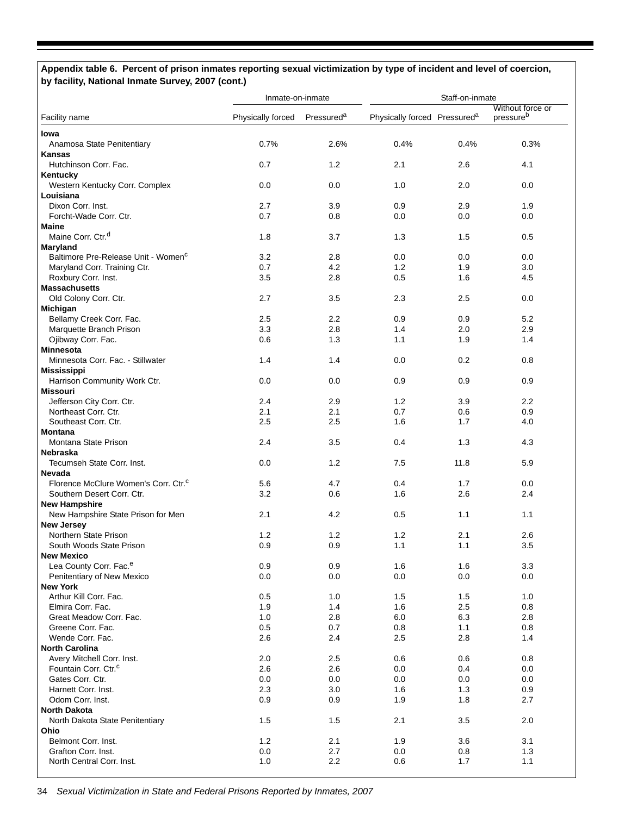# **Appendix table 6. Percent of prison inmates reporting sexual victimization by type of incident and level of coercion, by facility, National Inmate Survey, 2007 (cont.)**

|                                                   | Inmate-on-inmate  |                        | Staff-on-inmate                          |            |                               |  |
|---------------------------------------------------|-------------------|------------------------|------------------------------------------|------------|-------------------------------|--|
| Facility name                                     | Physically forced | Pressured <sup>a</sup> | Physically forced Pressured <sup>a</sup> |            | Without force or<br>pressureb |  |
| lowa                                              |                   |                        |                                          |            |                               |  |
| Anamosa State Penitentiary                        | 0.7%              | 2.6%                   | 0.4%                                     | 0.4%       | 0.3%                          |  |
| <b>Kansas</b>                                     |                   |                        |                                          |            |                               |  |
| Hutchinson Corr. Fac.                             | 0.7               | 1.2                    | 2.1                                      | 2.6        | 4.1                           |  |
| Kentucky                                          |                   |                        |                                          |            |                               |  |
| Western Kentucky Corr. Complex                    | 0.0               | 0.0                    | 1.0                                      | 2.0        | 0.0                           |  |
| Louisiana                                         |                   |                        |                                          |            |                               |  |
| Dixon Corr. Inst.                                 | 2.7               | 3.9                    | 0.9                                      | 2.9        | 1.9                           |  |
| Forcht-Wade Corr. Ctr.                            | 0.7               | 0.8                    | 0.0                                      | 0.0        | 0.0                           |  |
| <b>Maine</b>                                      |                   |                        |                                          |            |                               |  |
| Maine Corr. Ctr. <sup>d</sup>                     | 1.8               | 3.7                    | 1.3                                      | 1.5        | 0.5                           |  |
| Maryland                                          |                   |                        |                                          |            |                               |  |
| Baltimore Pre-Release Unit - Women <sup>c</sup>   | 3.2               | 2.8                    | 0.0                                      | 0.0        | 0.0                           |  |
| Maryland Corr. Training Ctr.                      | 0.7               | 4.2                    | 1.2                                      | 1.9        | 3.0                           |  |
| Roxbury Corr. Inst.                               | 3.5               | 2.8                    | 0.5                                      | 1.6        | 4.5                           |  |
| <b>Massachusetts</b>                              |                   |                        |                                          |            |                               |  |
| Old Colony Corr. Ctr.                             | 2.7               | 3.5                    | 2.3                                      | 2.5        | 0.0                           |  |
| Michigan                                          |                   |                        |                                          |            |                               |  |
| Bellamy Creek Corr. Fac.                          | 2.5               | $2.2\,$                | 0.9                                      | 0.9        | 5.2                           |  |
| Marquette Branch Prison                           | 3.3               | 2.8                    | 1.4                                      | 2.0        | 2.9                           |  |
| Ojibway Corr. Fac.                                | 0.6               | 1.3                    | 1.1                                      | 1.9        | 1.4                           |  |
| <b>Minnesota</b>                                  |                   |                        |                                          |            |                               |  |
| Minnesota Corr. Fac. - Stillwater                 | 1.4               | 1.4                    | 0.0                                      | 0.2        | 0.8                           |  |
| <b>Mississippi</b>                                |                   |                        |                                          |            |                               |  |
| Harrison Community Work Ctr.                      | 0.0               | 0.0                    | 0.9                                      | 0.9        | 0.9                           |  |
| <b>Missouri</b>                                   |                   |                        |                                          |            |                               |  |
| Jefferson City Corr. Ctr.<br>Northeast Corr. Ctr. | 2.4<br>2.1        | 2.9<br>2.1             | 1.2<br>0.7                               | 3.9        | 2.2                           |  |
|                                                   | 2.5               | 2.5                    |                                          | 0.6<br>1.7 | 0.9                           |  |
| Southeast Corr. Ctr.<br>Montana                   |                   |                        | 1.6                                      |            | 4.0                           |  |
| Montana State Prison                              | 2.4               | 3.5                    | 0.4                                      | 1.3        | 4.3                           |  |
| <b>Nebraska</b>                                   |                   |                        |                                          |            |                               |  |
| Tecumseh State Corr. Inst.                        | 0.0               | 1.2                    | 7.5                                      | 11.8       | 5.9                           |  |
| Nevada                                            |                   |                        |                                          |            |                               |  |
| Florence McClure Women's Corr. Ctr. <sup>c</sup>  | 5.6               | 4.7                    | 0.4                                      | 1.7        | 0.0                           |  |
| Southern Desert Corr. Ctr.                        | 3.2               | 0.6                    | 1.6                                      | 2.6        | 2.4                           |  |
| <b>New Hampshire</b>                              |                   |                        |                                          |            |                               |  |
| New Hampshire State Prison for Men                | 2.1               | 4.2                    | 0.5                                      | 1.1        | 1.1                           |  |
| <b>New Jersey</b>                                 |                   |                        |                                          |            |                               |  |
| Northern State Prison                             | 1.2               | 1.2                    | 1.2                                      | 2.1        | 2.6                           |  |
| South Woods State Prison                          | 0.9               | 0.9                    | 1.1                                      | 1.1        | 3.5                           |  |
| <b>New Mexico</b>                                 |                   |                        |                                          |            |                               |  |
| Lea County Corr. Fac. <sup>e</sup>                | 0.9               | 0.9                    | 1.6                                      | 1.6        | 3.3                           |  |
| Penitentiary of New Mexico                        | 0.0               | 0.0                    | 0.0                                      | 0.0        | 0.0                           |  |
| <b>New York</b>                                   |                   |                        |                                          |            |                               |  |
| Arthur Kill Corr. Fac.                            | 0.5               | 1.0                    | 1.5                                      | 1.5        | 1.0                           |  |
| Elmira Corr. Fac.                                 | 1.9               | 1.4                    | 1.6                                      | 2.5        | 0.8                           |  |
| Great Meadow Corr. Fac.                           | 1.0               | 2.8                    | 6.0                                      | 6.3        | 2.8                           |  |
| Greene Corr. Fac.                                 | 0.5               | 0.7                    | 0.8                                      | 1.1        | 0.8                           |  |
| Wende Corr. Fac.                                  | 2.6               | 2.4                    | 2.5                                      | 2.8        | 1.4                           |  |
| <b>North Carolina</b>                             |                   |                        |                                          |            |                               |  |
| Avery Mitchell Corr. Inst.                        | 2.0               | 2.5                    | 0.6                                      | 0.6        | 0.8                           |  |
| Fountain Corr. Ctr. <sup>c</sup>                  | 2.6               | 2.6                    | 0.0                                      | 0.4        | 0.0                           |  |
| Gates Corr. Ctr.                                  | 0.0               | 0.0                    | 0.0                                      | 0.0        | 0.0                           |  |
| Harnett Corr. Inst.                               | 2.3               | 3.0                    | 1.6                                      | 1.3        | 0.9                           |  |
| Odom Corr. Inst.                                  | 0.9               | 0.9                    | 1.9                                      | 1.8        | 2.7                           |  |
| <b>North Dakota</b>                               |                   |                        |                                          |            |                               |  |
| North Dakota State Penitentiary                   | 1.5               | 1.5                    | 2.1                                      | 3.5        | 2.0                           |  |
| Ohio                                              |                   |                        |                                          |            |                               |  |
| Belmont Corr. Inst.                               | 1.2               | 2.1                    | 1.9                                      | 3.6        | 3.1                           |  |
| Grafton Corr. Inst.                               | 0.0               | 2.7                    | 0.0                                      | 0.8        | 1.3                           |  |
| North Central Corr. Inst.                         | 1.0               | 2.2                    | 0.6                                      | 1.7        | 1.1                           |  |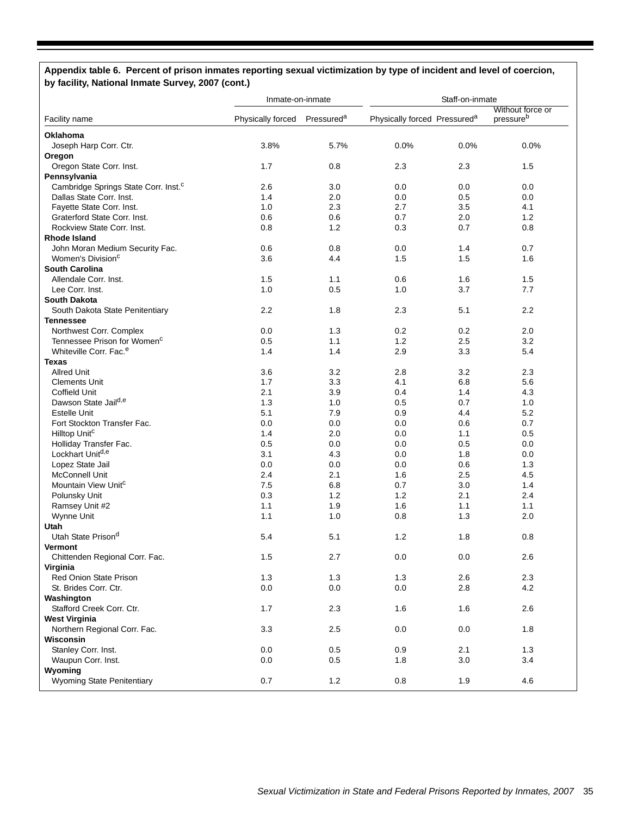#### **Appendix table 6. Percent of prison inmates reporting sexual victimization by type of incident and level of coercion, by facility, National Inmate Survey, 2007 (cont.)**

|                                                  | Inmate-on-inmate  |                        | Staff-on-inmate                          |            |                       |  |
|--------------------------------------------------|-------------------|------------------------|------------------------------------------|------------|-----------------------|--|
|                                                  |                   |                        |                                          |            | Without force or      |  |
| Facility name                                    | Physically forced | Pressured <sup>a</sup> | Physically forced Pressured <sup>a</sup> |            | pressure <sup>b</sup> |  |
| Oklahoma                                         |                   |                        |                                          |            |                       |  |
| Joseph Harp Corr. Ctr.                           | 3.8%              | 5.7%                   | 0.0%                                     | 0.0%       | 0.0%                  |  |
| Oregon                                           |                   |                        |                                          |            |                       |  |
| Oregon State Corr. Inst.                         | 1.7               | 0.8                    | 2.3                                      | 2.3        | 1.5                   |  |
| Pennsylvania                                     |                   |                        |                                          |            |                       |  |
| Cambridge Springs State Corr. Inst. <sup>c</sup> | 2.6               | 3.0                    | 0.0                                      | 0.0        | 0.0                   |  |
| Dallas State Corr. Inst.                         | 1.4               | 2.0                    | 0.0                                      | 0.5        | 0.0                   |  |
| Fayette State Corr. Inst.                        | 1.0               | 2.3                    | 2.7                                      | 3.5        | 4.1                   |  |
| Graterford State Corr. Inst.                     | 0.6               | 0.6                    | 0.7                                      | 2.0        | 1.2                   |  |
| Rockview State Corr. Inst.                       | 0.8               | 1.2                    | 0.3                                      | 0.7        | 0.8                   |  |
| <b>Rhode Island</b>                              |                   |                        |                                          |            |                       |  |
| John Moran Medium Security Fac.                  | 0.6               | 0.8                    | 0.0                                      | 1.4        | 0.7                   |  |
| Women's Division <sup>c</sup>                    | 3.6               | 4.4                    | 1.5                                      | 1.5        | 1.6                   |  |
| <b>South Carolina</b>                            |                   |                        |                                          |            |                       |  |
| Allendale Corr. Inst.                            | 1.5               | 1.1                    | 0.6                                      | 1.6        | 1.5                   |  |
| Lee Corr. Inst.                                  | 1.0               | 0.5                    | 1.0                                      | 3.7        | 7.7                   |  |
| <b>South Dakota</b>                              |                   |                        |                                          |            |                       |  |
| South Dakota State Penitentiary                  | 2.2               | 1.8                    | 2.3                                      | 5.1        | 2.2                   |  |
| <b>Tennessee</b>                                 |                   |                        |                                          |            |                       |  |
| Northwest Corr. Complex                          | 0.0               | 1.3                    | 0.2                                      | 0.2        | 2.0                   |  |
| Tennessee Prison for Women <sup>c</sup>          | 0.5               | 1.1                    | 1.2                                      | 2.5        | 3.2                   |  |
| Whiteville Corr. Fac. <sup>e</sup>               | 1.4               | 1.4                    | 2.9                                      | 3.3        | 5.4                   |  |
| <b>Texas</b>                                     |                   |                        |                                          |            |                       |  |
| <b>Allred Unit</b>                               | 3.6               | 3.2                    | 2.8                                      | 3.2        | 2.3                   |  |
| <b>Clements Unit</b>                             | 1.7               | 3.3                    | 4.1                                      | 6.8        | 5.6                   |  |
| <b>Coffield Unit</b>                             | 2.1               | 3.9                    | 0.4                                      | 1.4        | 4.3                   |  |
| Dawson State Jaild,e                             | 1.3               | 1.0                    | 0.5                                      | 0.7        | 1.0                   |  |
| <b>Estelle Unit</b>                              | 5.1               | 7.9                    | 0.9                                      | 4.4        | 5.2                   |  |
| Fort Stockton Transfer Fac.                      | 0.0               | 0.0                    | 0.0                                      | 0.6        | 0.7                   |  |
| Hilltop Unit <sup>c</sup>                        | 1.4               | 2.0                    | 0.0                                      | 1.1        | 0.5                   |  |
| Holliday Transfer Fac.                           | 0.5               | 0.0                    | 0.0                                      | 0.5        | 0.0                   |  |
| Lockhart Unitd,e                                 | 3.1               | 4.3                    | 0.0                                      | 1.8        | 0.0                   |  |
| Lopez State Jail                                 | 0.0               | 0.0                    | 0.0                                      | 0.6        | 1.3                   |  |
| McConnell Unit                                   | 2.4               | 2.1                    | 1.6                                      | 2.5        | 4.5                   |  |
| Mountain View Unit <sup>c</sup>                  | 7.5               | 6.8                    | 0.7                                      | 3.0        | 1.4                   |  |
| Polunsky Unit                                    | 0.3<br>1.1        | 1.2                    | 1.2                                      | 2.1        | 2.4                   |  |
| Ramsey Unit #2                                   | 1.1               | 1.9<br>1.0             | 1.6<br>0.8                               | 1.1<br>1.3 | 1.1<br>2.0            |  |
| Wynne Unit<br>Utah                               |                   |                        |                                          |            |                       |  |
| Utah State Prison <sup>d</sup>                   | 5.4               | 5.1                    | 1.2                                      | 1.8        | 0.8                   |  |
| <b>Vermont</b>                                   |                   |                        |                                          |            |                       |  |
| Chittenden Regional Corr. Fac.                   | 1.5               | 2.7                    | 0.0                                      | 0.0        | 2.6                   |  |
| Virginia                                         |                   |                        |                                          |            |                       |  |
| Red Onion State Prison                           | 1.3               | 1.3                    | 1.3                                      | 2.6        | 2.3                   |  |
| St. Brides Corr. Ctr.                            | 0.0               | 0.0                    | 0.0                                      | 2.8        | 4.2                   |  |
| Washington                                       |                   |                        |                                          |            |                       |  |
| Stafford Creek Corr. Ctr.                        | 1.7               | 2.3                    | 1.6                                      | 1.6        | 2.6                   |  |
| <b>West Virginia</b>                             |                   |                        |                                          |            |                       |  |
| Northern Regional Corr. Fac.                     | 3.3               | 2.5                    | 0.0                                      | 0.0        | 1.8                   |  |
| Wisconsin                                        |                   |                        |                                          |            |                       |  |
| Stanley Corr. Inst.                              | 0.0               | 0.5                    | 0.9                                      | 2.1        | 1.3                   |  |
| Waupun Corr. Inst.                               | 0.0               | 0.5                    | 1.8                                      | 3.0        | 3.4                   |  |
| Wyoming                                          |                   |                        |                                          |            |                       |  |
| <b>Wyoming State Penitentiary</b>                | 0.7               | 1.2                    | 0.8                                      | 1.9        | 4.6                   |  |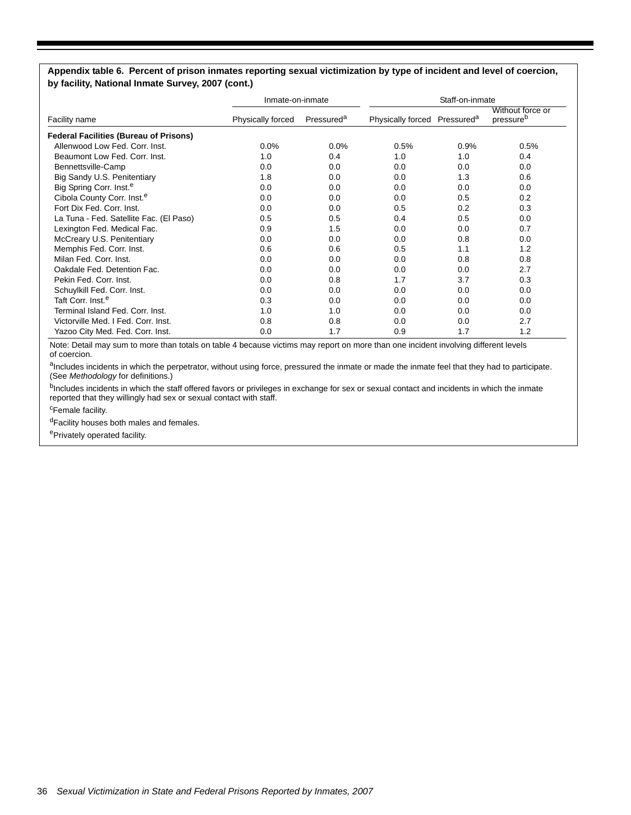#### **Appendix table 6. Percent of prison inmates reporting sexual victimization by type of incident and level of coercion, by facility, National Inmate Survey, 2007 (cont.)**

|                                               |                   | Inmate-on-inmate       |                                          | Staff-on-inmate |                               |  |  |
|-----------------------------------------------|-------------------|------------------------|------------------------------------------|-----------------|-------------------------------|--|--|
| Facility name                                 | Physically forced | Pressured <sup>a</sup> | Physically forced Pressured <sup>a</sup> |                 | Without force or<br>pressureb |  |  |
| <b>Federal Facilities (Bureau of Prisons)</b> |                   |                        |                                          |                 |                               |  |  |
| Allenwood Low Fed. Corr. Inst.                | $0.0\%$           | 0.0%                   | 0.5%                                     | 0.9%            | 0.5%                          |  |  |
| Beaumont Low Fed. Corr. Inst.                 | 1.0               | 0.4                    | 1.0                                      | 1.0             | 0.4                           |  |  |
| Bennettsville-Camp                            | 0.0               | 0.0                    | 0.0                                      | 0.0             | 0.0                           |  |  |
| Big Sandy U.S. Penitentiary                   | 1.8               | 0.0                    | 0.0                                      | 1.3             | 0.6                           |  |  |
| Big Spring Corr. Inst. <sup>e</sup>           | 0.0               | 0.0                    | 0.0                                      | 0.0             | 0.0                           |  |  |
| Cibola County Corr. Inst. <sup>e</sup>        | 0.0               | 0.0                    | 0.0                                      | 0.5             | 0.2                           |  |  |
| Fort Dix Fed. Corr. Inst.                     | 0.0               | 0.0                    | 0.5                                      | 0.2             | 0.3                           |  |  |
| La Tuna - Fed. Satellite Fac. (El Paso)       | 0.5               | 0.5                    | 0.4                                      | 0.5             | 0.0                           |  |  |
| Lexington Fed. Medical Fac.                   | 0.9               | 1.5                    | 0.0                                      | 0.0             | 0.7                           |  |  |
| McCreary U.S. Penitentiary                    | 0.0               | 0.0                    | 0.0                                      | 0.8             | 0.0                           |  |  |
| Memphis Fed. Corr. Inst.                      | 0.6               | 0.6                    | 0.5                                      | 1.1             | 1.2                           |  |  |
| Milan Fed. Corr. Inst.                        | 0.0               | 0.0                    | 0.0                                      | 0.8             | 0.8                           |  |  |
| Oakdale Fed. Detention Fac.                   | 0.0               | 0.0                    | 0.0                                      | 0.0             | 2.7                           |  |  |
| Pekin Fed. Corr. Inst.                        | 0.0               | 0.8                    | 1.7                                      | 3.7             | 0.3                           |  |  |
| Schuylkill Fed. Corr. Inst.                   | 0.0               | 0.0                    | 0.0                                      | 0.0             | 0.0                           |  |  |
| Taft Corr. Inst. <sup>e</sup>                 | 0.3               | 0.0                    | 0.0                                      | 0.0             | 0.0                           |  |  |
| Terminal Island Fed. Corr. Inst.              | 1.0               | 1.0                    | 0.0                                      | 0.0             | 0.0                           |  |  |
| Victorville Med. I Fed. Corr. Inst.           | 0.8               | 0.8                    | 0.0                                      | 0.0             | 2.7                           |  |  |
| Yazoo City Med. Fed. Corr. Inst.              | 0.0               | 1.7                    | 0.9                                      | 1.7             | 1.2                           |  |  |

Note: Detail may sum to more than totals on table 4 because victims may report on more than one incident involving different levels of coercion.

aIncludes incidents in which the perpetrator, without using force, pressured the inmate or made the inmate feel that they had to participate. (See *Methodology* for definitions.)

<sup>b</sup>Includes incidents in which the staff offered favors or privileges in exchange for sex or sexual contact and incidents in which the inmate reported that they willingly had sex or sexual contact with staff.

<sup>c</sup>Female facility.

dFacility houses both males and females.

ePrivately operated facility.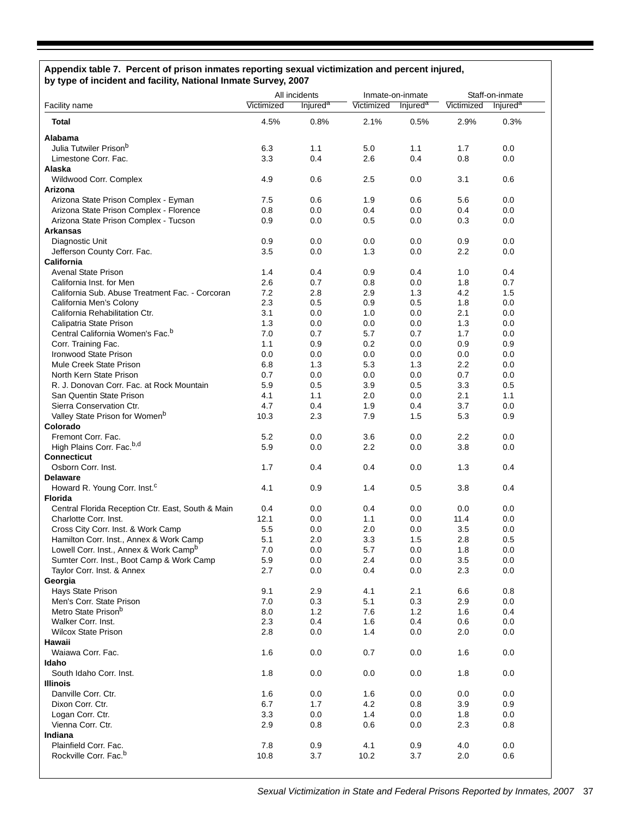#### **Appendix table 7. Percent of prison inmates reporting sexual victimization and percent injured, by type of incident and facility, National Inmate Survey, 2007**

|                                                                                                 | All incidents |                      | Inmate-on-inmate |                      | Staff-on-inmate |                      |  |
|-------------------------------------------------------------------------------------------------|---------------|----------------------|------------------|----------------------|-----------------|----------------------|--|
| Facility name                                                                                   | Victimized    | Injured <sup>a</sup> | Victimized       | Injured <sup>a</sup> | Victimized      | Injured <sup>a</sup> |  |
| <b>Total</b>                                                                                    | 4.5%          | 0.8%                 | 2.1%             | 0.5%                 | 2.9%            | 0.3%                 |  |
| <b>Alabama</b>                                                                                  |               |                      |                  |                      |                 |                      |  |
| Julia Tutwiler Prison <sup>b</sup>                                                              | 6.3           | 1.1                  | 5.0              | 1.1                  | 1.7             | 0.0                  |  |
| Limestone Corr. Fac.                                                                            | 3.3           | 0.4                  | 2.6              | 0.4                  | 0.8             | 0.0                  |  |
| Alaska                                                                                          |               |                      |                  |                      |                 |                      |  |
| Wildwood Corr. Complex                                                                          | 4.9           | 0.6                  | 2.5              | 0.0                  | 3.1             | 0.6                  |  |
| Arizona                                                                                         |               |                      |                  |                      |                 |                      |  |
| Arizona State Prison Complex - Eyman                                                            | 7.5           | 0.6                  | 1.9              | 0.6                  | 5.6             | 0.0                  |  |
| Arizona State Prison Complex - Florence                                                         | 0.8           | 0.0                  | 0.4              | 0.0                  | 0.4             | 0.0                  |  |
| Arizona State Prison Complex - Tucson                                                           | 0.9           | 0.0                  | 0.5              | 0.0                  | 0.3             | 0.0                  |  |
| <b>Arkansas</b>                                                                                 |               |                      |                  |                      |                 |                      |  |
| Diagnostic Unit                                                                                 | 0.9           | 0.0                  | 0.0              | 0.0                  | 0.9             | 0.0                  |  |
| Jefferson County Corr. Fac.                                                                     | 3.5           | 0.0                  | 1.3              | 0.0                  | 2.2             | 0.0                  |  |
| <b>California</b>                                                                               |               |                      |                  |                      |                 |                      |  |
| <b>Avenal State Prison</b>                                                                      | 1.4           | 0.4                  | 0.9              | 0.4                  | 1.0             | 0.4                  |  |
| California Inst. for Men                                                                        | 2.6           | 0.7                  | 0.8              | 0.0                  | 1.8             | 0.7                  |  |
| California Sub. Abuse Treatment Fac. - Corcoran                                                 | 7.2<br>2.3    | 2.8                  | 2.9              | 1.3                  | 4.2             | 1.5                  |  |
| California Men's Colony                                                                         | 3.1           | 0.5                  | 0.9<br>1.0       | 0.5<br>0.0           | 1.8<br>2.1      | 0.0<br>0.0           |  |
| California Rehabilitation Ctr.<br>Calipatria State Prison                                       | 1.3           | 0.0<br>0.0           | 0.0              | 0.0                  | 1.3             | 0.0                  |  |
| Central California Women's Fac. <sup>b</sup>                                                    | 7.0           | 0.7                  | 5.7              | 0.7                  | 1.7             | 0.0                  |  |
| Corr. Training Fac.                                                                             | 1.1           | 0.9                  | 0.2              | 0.0                  | 0.9             | 0.9                  |  |
| Ironwood State Prison                                                                           | 0.0           | 0.0                  | 0.0              | 0.0                  | 0.0             | 0.0                  |  |
| Mule Creek State Prison                                                                         | 6.8           | 1.3                  | 5.3              | 1.3                  | 2.2             | 0.0                  |  |
| North Kern State Prison                                                                         | 0.7           | 0.0                  | 0.0              | 0.0                  | 0.7             | 0.0                  |  |
| R. J. Donovan Corr. Fac. at Rock Mountain                                                       | 5.9           | 0.5                  | 3.9              | 0.5                  | 3.3             | 0.5                  |  |
| San Quentin State Prison                                                                        | 4.1           | 1.1                  | 2.0              | 0.0                  | 2.1             | 1.1                  |  |
| Sierra Conservation Ctr.                                                                        | 4.7           | 0.4                  | 1.9              | 0.4                  | 3.7             | 0.0                  |  |
| Valley State Prison for Women <sup>b</sup>                                                      | 10.3          | 2.3                  | 7.9              | 1.5                  | 5.3             | 0.9                  |  |
| Colorado                                                                                        |               |                      |                  |                      |                 |                      |  |
| Fremont Corr. Fac.                                                                              | 5.2           | 0.0                  | 3.6              | 0.0                  | 2.2             | 0.0                  |  |
| High Plains Corr. Fac. <sup>b,d</sup>                                                           | 5.9           | 0.0                  | 2.2              | 0.0                  | 3.8             | 0.0                  |  |
| <b>Connecticut</b>                                                                              |               |                      |                  |                      |                 |                      |  |
| Osborn Corr. Inst.                                                                              | 1.7           | 0.4                  | 0.4              | 0.0                  | 1.3             | 0.4                  |  |
| <b>Delaware</b>                                                                                 |               |                      |                  |                      |                 |                      |  |
| Howard R. Young Corr. Inst. <sup>c</sup>                                                        | 4.1           | 0.9                  | 1.4              | 0.5                  | 3.8             | 0.4                  |  |
| <b>Florida</b>                                                                                  |               |                      |                  |                      |                 |                      |  |
| Central Florida Reception Ctr. East, South & Main                                               | 0.4           | 0.0                  | 0.4              | 0.0                  | 0.0             | 0.0                  |  |
| Charlotte Corr. Inst.                                                                           | 12.1          | 0.0                  | 1.1              | 0.0                  | 11.4            | 0.0                  |  |
| Cross City Corr. Inst. & Work Camp                                                              | 5.5           | 0.0                  | 2.0              | 0.0                  | 3.5             | 0.0                  |  |
| Hamilton Corr. Inst., Annex & Work Camp                                                         | 5.1<br>7.0    | 2.0                  | 3.3              | 1.5                  | 2.8             | 0.5                  |  |
| Lowell Corr. Inst., Annex & Work Camp <sup>b</sup><br>Sumter Corr. Inst., Boot Camp & Work Camp | 5.9           | 0.0<br>0.0           | 5.7<br>2.4       | 0.0<br>0.0           | 1.8<br>3.5      | 0.0<br>0.0           |  |
| Taylor Corr. Inst. & Annex                                                                      | 2.7           | 0.0                  | 0.4              | 0.0                  | 2.3             | 0.0                  |  |
| Georgia                                                                                         |               |                      |                  |                      |                 |                      |  |
| Hays State Prison                                                                               | 9.1           | 2.9                  | 4.1              | 2.1                  | 6.6             | 0.8                  |  |
| Men's Corr. State Prison                                                                        | 7.0           | 0.3                  | 5.1              | 0.3                  | 2.9             | 0.0                  |  |
| Metro State Prison <sup>b</sup>                                                                 | 8.0           | 1.2                  | 7.6              | 1.2                  | 1.6             | 0.4                  |  |
| Walker Corr. Inst.                                                                              | 2.3           | 0.4                  | 1.6              | 0.4                  | 0.6             | 0.0                  |  |
| <b>Wilcox State Prison</b>                                                                      | 2.8           | 0.0                  | 1.4              | 0.0                  | 2.0             | 0.0                  |  |
| Hawaii                                                                                          |               |                      |                  |                      |                 |                      |  |
| Waiawa Corr. Fac.                                                                               | 1.6           | 0.0                  | 0.7              | 0.0                  | 1.6             | 0.0                  |  |
| Idaho                                                                                           |               |                      |                  |                      |                 |                      |  |
| South Idaho Corr. Inst.                                                                         | 1.8           | 0.0                  | 0.0              | 0.0                  | 1.8             | 0.0                  |  |
| <b>Illinois</b>                                                                                 |               |                      |                  |                      |                 |                      |  |
| Danville Corr. Ctr.                                                                             | 1.6           | 0.0                  | 1.6              | 0.0                  | 0.0             | 0.0                  |  |
| Dixon Corr. Ctr.                                                                                | 6.7           | 1.7                  | 4.2              | 0.8                  | 3.9             | 0.9                  |  |
| Logan Corr. Ctr.                                                                                | 3.3           | 0.0                  | 1.4              | 0.0                  | 1.8             | 0.0                  |  |
| Vienna Corr. Ctr.                                                                               | 2.9           | 0.8                  | 0.6              | 0.0                  | 2.3             | 0.8                  |  |
| Indiana                                                                                         |               |                      |                  |                      |                 |                      |  |
| Plainfield Corr. Fac.                                                                           | 7.8           | 0.9                  | 4.1              | 0.9                  | 4.0             | 0.0                  |  |
| Rockville Corr. Fac. <sup>b</sup>                                                               | 10.8          | 3.7                  | 10.2             | 3.7                  | 2.0             | 0.6                  |  |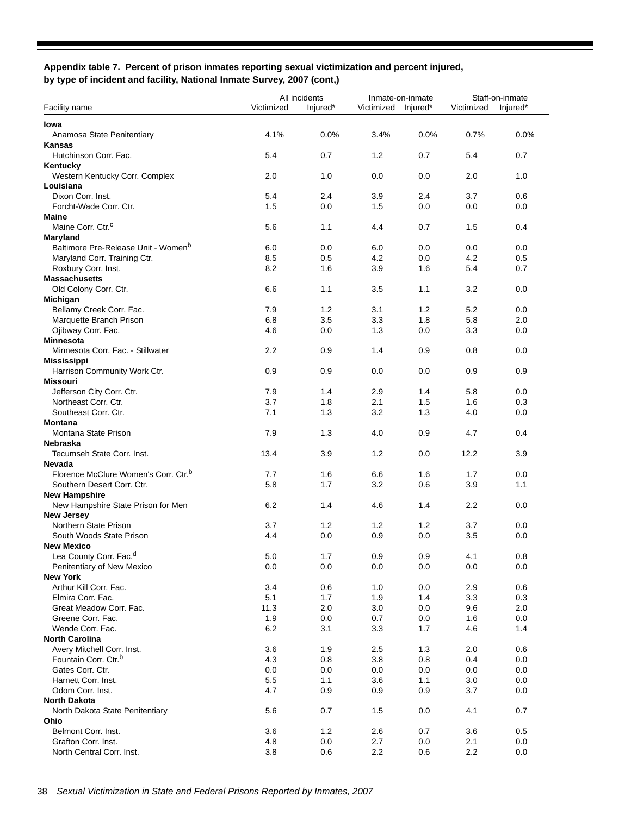# **Appendix table 7. Percent of prison inmates reporting sexual victimization and percent injured, by type of incident and facility, National Inmate Survey, 2007 (cont,)**

|                                                  |            | All incidents |            | Inmate-on-inmate |            | Staff-on-inmate |  |
|--------------------------------------------------|------------|---------------|------------|------------------|------------|-----------------|--|
| <b>Facility name</b>                             | Victimized | Injured*      | Victimized | Injured*         | Victimized | Injured*        |  |
| lowa                                             |            |               |            |                  |            |                 |  |
| Anamosa State Penitentiary                       | 4.1%       | 0.0%          | 3.4%       | 0.0%             | 0.7%       | 0.0%            |  |
| Kansas                                           |            |               |            |                  |            |                 |  |
| Hutchinson Corr. Fac.                            | 5.4        | 0.7           | 1.2        | 0.7              | 5.4        | 0.7             |  |
| Kentucky                                         |            |               |            |                  |            |                 |  |
| Western Kentucky Corr. Complex                   | 2.0        | 1.0           | 0.0        | 0.0              | 2.0        | 1.0             |  |
| Louisiana                                        |            |               |            |                  |            |                 |  |
| Dixon Corr. Inst.                                | 5.4        | 2.4           | 3.9        | 2.4              | 3.7        | 0.6             |  |
| Forcht-Wade Corr. Ctr.                           | 1.5        | 0.0           | 1.5        | 0.0              | 0.0        | 0.0             |  |
| <b>Maine</b>                                     |            |               |            |                  |            |                 |  |
| Maine Corr. Ctr. <sup>c</sup>                    | 5.6        | 1.1           | 4.4        | 0.7              | 1.5        | 0.4             |  |
| Maryland                                         |            |               |            |                  |            |                 |  |
| Baltimore Pre-Release Unit - Women <sup>D</sup>  | 6.0        | 0.0           | 6.0        | 0.0              | 0.0        | 0.0             |  |
| Maryland Corr. Training Ctr.                     | 8.5        | 0.5           | 4.2        | 0.0              | 4.2        | 0.5             |  |
|                                                  | 8.2        | 1.6           | 3.9        |                  | 5.4        | 0.7             |  |
| Roxbury Corr. Inst.                              |            |               |            | 1.6              |            |                 |  |
| <b>Massachusetts</b>                             |            |               |            |                  |            |                 |  |
| Old Colony Corr. Ctr.                            | 6.6        | 1.1           | 3.5        | 1.1              | 3.2        | 0.0             |  |
| Michigan                                         |            |               |            |                  |            |                 |  |
| Bellamy Creek Corr. Fac.                         | 7.9        | 1.2           | 3.1        | 1.2              | 5.2        | 0.0             |  |
| Marquette Branch Prison                          | 6.8        | 3.5           | 3.3        | 1.8              | 5.8        | 2.0             |  |
| Ojibway Corr. Fac.                               | 4.6        | 0.0           | 1.3        | 0.0              | 3.3        | 0.0             |  |
| <b>Minnesota</b>                                 |            |               |            |                  |            |                 |  |
| Minnesota Corr. Fac. - Stillwater                | 2.2        | 0.9           | 1.4        | 0.9              | 0.8        | 0.0             |  |
| <b>Mississippi</b>                               |            |               |            |                  |            |                 |  |
| Harrison Community Work Ctr.                     | 0.9        | 0.9           | 0.0        | 0.0              | 0.9        | 0.9             |  |
| <b>Missouri</b>                                  |            |               |            |                  |            |                 |  |
| Jefferson City Corr. Ctr.                        | 7.9        | 1.4           | 2.9        | 1.4              | 5.8        | 0.0             |  |
| Northeast Corr. Ctr.                             | 3.7        | 1.8           | 2.1        | 1.5              | 1.6        | 0.3             |  |
| Southeast Corr. Ctr.                             | 7.1        | 1.3           | 3.2        | 1.3              | 4.0        | 0.0             |  |
| Montana                                          |            |               |            |                  |            |                 |  |
| Montana State Prison                             | 7.9        | 1.3           | 4.0        | 0.9              | 4.7        | 0.4             |  |
| Nebraska                                         |            |               |            |                  |            |                 |  |
| Tecumseh State Corr. Inst.                       | 13.4       | 3.9           | 1.2        | 0.0              | 12.2       | 3.9             |  |
| Nevada                                           |            |               |            |                  |            |                 |  |
| Florence McClure Women's Corr. Ctr. <sup>b</sup> | 7.7        | 1.6           | 6.6        | 1.6              | 1.7        | 0.0             |  |
| Southern Desert Corr. Ctr.                       | 5.8        | 1.7           | 3.2        | 0.6              | 3.9        | 1.1             |  |
| <b>New Hampshire</b>                             |            |               |            |                  |            |                 |  |
| New Hampshire State Prison for Men               | 6.2        | 1.4           | 4.6        | 1.4              | 2.2        | 0.0             |  |
| <b>New Jersey</b>                                |            |               |            |                  |            |                 |  |
| Northern State Prison                            | 3.7        | 1.2           | $1.2$      | 1.2              | 3.7        | 0.0             |  |
| South Woods State Prison                         | 4.4        | 0.0           | 0.9        | 0.0              | 3.5        | 0.0             |  |
| <b>New Mexico</b>                                |            |               |            |                  |            |                 |  |
| Lea County Corr. Fac. <sup>d</sup>               |            |               |            |                  |            |                 |  |
|                                                  | 5.0        | 1.7           | 0.9        | 0.9              | 4.1        | 0.8             |  |
| Penitentiary of New Mexico                       | 0.0        | 0.0           | 0.0        | 0.0              | 0.0        | 0.0             |  |
| <b>New York</b>                                  |            |               |            |                  |            |                 |  |
| Arthur Kill Corr. Fac.                           | 3.4        | 0.6           | 1.0        | 0.0              | 2.9        | 0.6             |  |
| Elmira Corr. Fac.                                | 5.1        | 1.7           | 1.9        | 1.4              | 3.3        | 0.3             |  |
| Great Meadow Corr. Fac.                          | 11.3       | 2.0           | 3.0        | 0.0              | 9.6        | 2.0             |  |
| Greene Corr. Fac.                                | 1.9        | 0.0           | 0.7        | 0.0              | 1.6        | 0.0             |  |
| Wende Corr. Fac.                                 | 6.2        | 3.1           | 3.3        | 1.7              | 4.6        | 1.4             |  |
| <b>North Carolina</b>                            |            |               |            |                  |            |                 |  |
| Avery Mitchell Corr. Inst.                       | 3.6        | 1.9           | 2.5        | 1.3              | 2.0        | 0.6             |  |
| Fountain Corr. Ctr. <sup>b</sup>                 | 4.3        | 0.8           | 3.8        | 0.8              | 0.4        | 0.0             |  |
| Gates Corr. Ctr.                                 | 0.0        | 0.0           | 0.0        | 0.0              | 0.0        | 0.0             |  |
| Harnett Corr. Inst.                              | 5.5        | 1.1           | 3.6        | 1.1              | 3.0        | 0.0             |  |
| Odom Corr. Inst.                                 | 4.7        | 0.9           | 0.9        | 0.9              | 3.7        | 0.0             |  |
| <b>North Dakota</b>                              |            |               |            |                  |            |                 |  |
| North Dakota State Penitentiary                  | 5.6        | 0.7           | 1.5        | 0.0              | 4.1        | 0.7             |  |
| Ohio                                             |            |               |            |                  |            |                 |  |
| Belmont Corr. Inst.                              | 3.6        | 1.2           | 2.6        | 0.7              | 3.6        | 0.5             |  |
| Grafton Corr. Inst.                              | 4.8        | 0.0           | 2.7        | 0.0              | 2.1        | 0.0             |  |
| North Central Corr. Inst.                        | 3.8        | 0.6           | 2.2        | 0.6              | 2.2        | 0.0             |  |
|                                                  |            |               |            |                  |            |                 |  |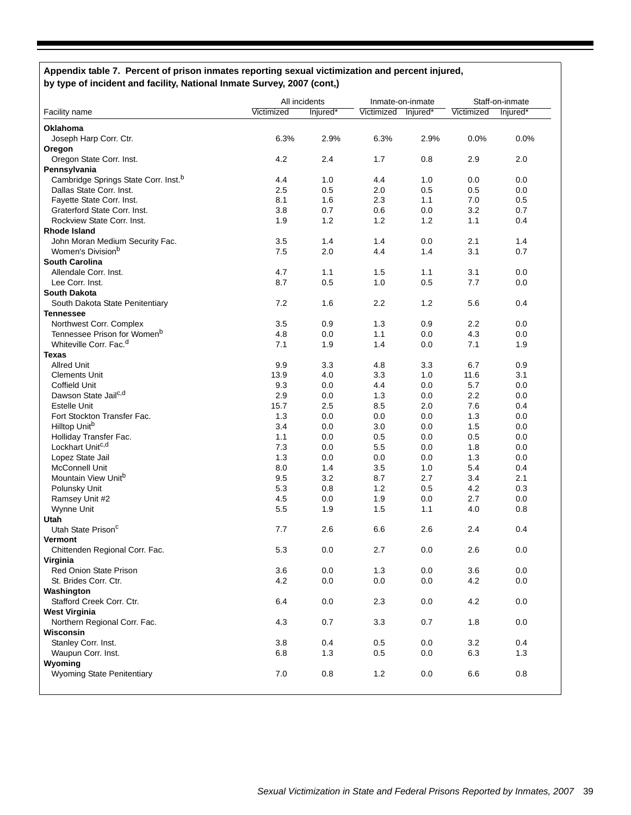### **Appendix table 7. Percent of prison inmates reporting sexual victimization and percent injured, by type of incident and facility, National Inmate Survey, 2007 (cont,)**

|                                                  |            | All incidents |            | Inmate-on-inmate | Staff-on-inmate |          |
|--------------------------------------------------|------------|---------------|------------|------------------|-----------------|----------|
| Facility name                                    | Victimized | Injured*      | Victimized | lnjured*         | Victimized      | Injured* |
| <b>Oklahoma</b>                                  |            |               |            |                  |                 |          |
| Joseph Harp Corr. Ctr.                           | 6.3%       | 2.9%          | 6.3%       | 2.9%             | 0.0%            | 0.0%     |
| Oregon                                           |            |               |            |                  |                 |          |
| Oregon State Corr. Inst.                         | 4.2        | 2.4           | 1.7        | 0.8              | 2.9             | 2.0      |
| Pennsylvania                                     |            |               |            |                  |                 |          |
| Cambridge Springs State Corr. Inst. <sup>b</sup> | 4.4        | 1.0           | 4.4        | 1.0              | 0.0             | 0.0      |
| Dallas State Corr. Inst.                         | 2.5        | 0.5           | 2.0        | 0.5              | 0.5             | 0.0      |
| Fayette State Corr. Inst.                        | 8.1        | 1.6           | 2.3        | 1.1              | 7.0             | 0.5      |
| Graterford State Corr. Inst.                     | 3.8        | 0.7           | 0.6        | 0.0              | 3.2             | 0.7      |
| Rockview State Corr. Inst.                       | 1.9        | 1.2           | 1.2        | 1.2              | 1.1             | 0.4      |
| <b>Rhode Island</b>                              |            |               |            |                  |                 |          |
| John Moran Medium Security Fac.                  | 3.5        | 1.4           | 1.4        | 0.0              | 2.1             | 1.4      |
| Women's Division <sup>b</sup>                    | 7.5        | 2.0           | 4.4        | 1.4              | 3.1             | 0.7      |
| <b>South Carolina</b>                            |            |               |            |                  |                 |          |
| Allendale Corr. Inst.                            | 4.7        | 1.1           | 1.5        | 1.1              | 3.1             | 0.0      |
| Lee Corr. Inst.                                  | 8.7        | 0.5           | 1.0        | 0.5              | 7.7             | 0.0      |
| South Dakota                                     |            |               |            |                  |                 |          |
| South Dakota State Penitentiary                  | 7.2        | 1.6           | 2.2        | 1.2              | 5.6             | 0.4      |
| <b>Tennessee</b>                                 |            |               |            |                  |                 |          |
| Northwest Corr. Complex                          | 3.5        | 0.9           | 1.3        | 0.9              | $2.2\,$         | 0.0      |
| Tennessee Prison for Women <sup>b</sup>          | 4.8        | 0.0           | 1.1        | 0.0              | 4.3             | 0.0      |
| Whiteville Corr. Fac. <sup>d</sup>               | 7.1        | 1.9           | 1.4        | 0.0              | 7.1             | 1.9      |
| <b>Texas</b>                                     |            |               |            |                  |                 |          |
| <b>Allred Unit</b>                               | 9.9        | 3.3           | 4.8        | 3.3              | 6.7             | 0.9      |
| <b>Clements Unit</b>                             | 13.9       | 4.0           | 3.3        | 1.0              | 11.6            | 3.1      |
| <b>Coffield Unit</b>                             | 9.3        | 0.0           | 4.4        | 0.0              | 5.7             | 0.0      |
| Dawson State Jail <sup>c,d</sup>                 | 2.9        | 0.0           | 1.3        | 0.0              | 2.2             | 0.0      |
| <b>Estelle Unit</b>                              | 15.7       | 2.5           | 8.5        | 2.0              | 7.6             | 0.4      |
| Fort Stockton Transfer Fac.                      | 1.3        | 0.0           | 0.0        | 0.0              | 1.3             | 0.0      |
| Hilltop Unit <sup>b</sup>                        | 3.4        | 0.0           | 3.0        | 0.0              | 1.5             | 0.0      |
| Holliday Transfer Fac.                           | 1.1        | 0.0           | 0.5        | 0.0              | 0.5             | 0.0      |
| Lockhart Unitc <sub>,d</sub>                     | 7.3        | 0.0           | 5.5        | 0.0              | 1.8             | 0.0      |
| Lopez State Jail                                 | 1.3        | 0.0           | 0.0        | 0.0              | 1.3             | 0.0      |
| McConnell Unit                                   | 8.0        | 1.4           | 3.5        | 1.0              | 5.4             | 0.4      |
| Mountain View Unit <sup>b</sup>                  | 9.5        | 3.2           | 8.7        | 2.7              | 3.4             | 2.1      |
| Polunsky Unit                                    | 5.3        | 0.8           | 1.2        | 0.5              | 4.2             | 0.3      |
| Ramsey Unit #2                                   | 4.5        | 0.0           | 1.9        | 0.0              | 2.7             | 0.0      |
| Wynne Unit                                       | 5.5        | 1.9           | 1.5        | 1.1              | 4.0             | 0.8      |
| Utah                                             |            |               |            |                  |                 |          |
| Utah State Prison <sup>c</sup>                   | 7.7        | 2.6           | 6.6        | 2.6              | 2.4             | 0.4      |
| Vermont                                          |            |               |            |                  |                 |          |
| Chittenden Regional Corr. Fac.                   | 5.3        | 0.0           | 2.7        | 0.0              | 2.6             | 0.0      |
| Virginia                                         |            |               |            |                  |                 |          |
| <b>Red Onion State Prison</b>                    | 3.6        | 0.0           | 1.3        | 0.0              | 3.6             | 0.0      |
| St. Brides Corr. Ctr.                            | 4.2        | 0.0           | 0.0        | 0.0              | 4.2             | 0.0      |
| Washington                                       |            |               |            |                  |                 |          |
| Stafford Creek Corr. Ctr.                        | 6.4        | 0.0           | 2.3        | 0.0              | 4.2             | 0.0      |
| <b>West Virginia</b>                             |            |               |            |                  |                 |          |
| Northern Regional Corr. Fac.                     | 4.3        | 0.7           | 3.3        | 0.7              | 1.8             | 0.0      |
| Wisconsin                                        |            |               |            |                  |                 |          |
| Stanley Corr. Inst.                              | 3.8        | 0.4           | 0.5        | 0.0              | 3.2             | 0.4      |
| Waupun Corr. Inst.                               | 6.8        | 1.3           | 0.5        | 0.0              | 6.3             | 1.3      |
| Wyoming                                          |            |               |            |                  |                 |          |
| Wyoming State Penitentiary                       | 7.0        | 0.8           | 1.2        | 0.0              | 6.6             | 0.8      |
|                                                  |            |               |            |                  |                 |          |
|                                                  |            |               |            |                  |                 |          |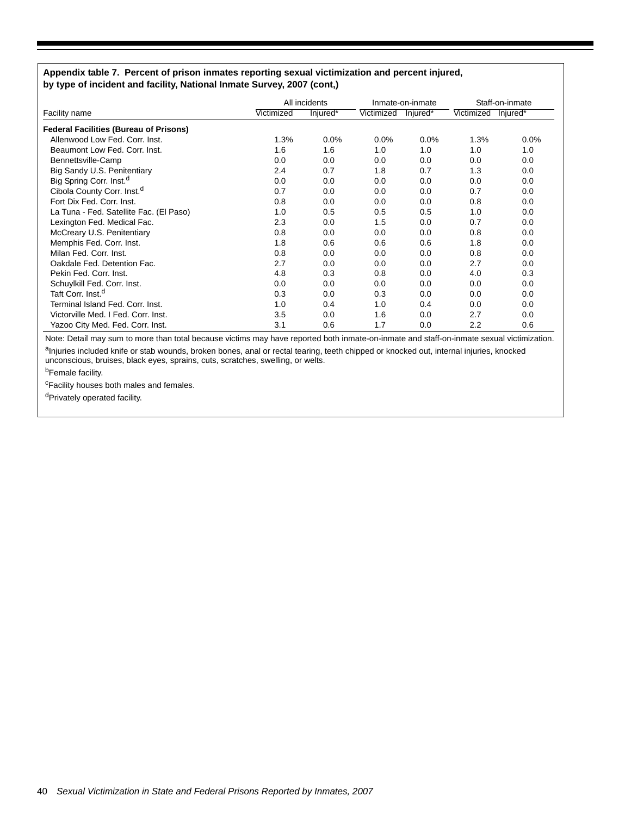### **Appendix table 7. Percent of prison inmates reporting sexual victimization and percent injured, by type of incident and facility, National Inmate Survey, 2007 (cont,)**

|                                               | All incidents |          | Inmate-on-inmate |          | Staff-on-inmate |          |
|-----------------------------------------------|---------------|----------|------------------|----------|-----------------|----------|
| Facility name                                 | Victimized    | Injured* | Victimized       | Injured* | Victimized      | Injured* |
| <b>Federal Facilities (Bureau of Prisons)</b> |               |          |                  |          |                 |          |
| Allenwood Low Fed. Corr. Inst.                | 1.3%          | 0.0%     | 0.0%             | 0.0%     | 1.3%            | 0.0%     |
| Beaumont Low Fed. Corr. Inst.                 | 1.6           | 1.6      | 1.0              | 1.0      | 1.0             | 1.0      |
| Bennettsville-Camp                            | 0.0           | 0.0      | 0.0              | 0.0      | 0.0             | 0.0      |
| Big Sandy U.S. Penitentiary                   | 2.4           | 0.7      | 1.8              | 0.7      | 1.3             | 0.0      |
| Big Spring Corr. Inst. <sup>d</sup>           | 0.0           | 0.0      | 0.0              | 0.0      | 0.0             | 0.0      |
| Cibola County Corr. Inst. <sup>d</sup>        | 0.7           | 0.0      | 0.0              | 0.0      | 0.7             | 0.0      |
| Fort Dix Fed. Corr. Inst.                     | 0.8           | 0.0      | 0.0              | 0.0      | 0.8             | 0.0      |
| La Tuna - Fed. Satellite Fac. (El Paso)       | 1.0           | 0.5      | 0.5              | 0.5      | 1.0             | 0.0      |
| Lexington Fed. Medical Fac.                   | 2.3           | 0.0      | 1.5              | 0.0      | 0.7             | 0.0      |
| McCreary U.S. Penitentiary                    | 0.8           | 0.0      | 0.0              | 0.0      | 0.8             | 0.0      |
| Memphis Fed. Corr. Inst.                      | 1.8           | 0.6      | 0.6              | 0.6      | 1.8             | 0.0      |
| Milan Fed. Corr. Inst.                        | 0.8           | 0.0      | 0.0              | 0.0      | 0.8             | 0.0      |
| Oakdale Fed. Detention Fac.                   | 2.7           | 0.0      | 0.0              | 0.0      | 2.7             | 0.0      |
| Pekin Fed. Corr. Inst.                        | 4.8           | 0.3      | 0.8              | 0.0      | 4.0             | 0.3      |
| Schuylkill Fed. Corr. Inst.                   | 0.0           | 0.0      | 0.0              | 0.0      | 0.0             | 0.0      |
| Taft Corr. Inst. <sup>d</sup>                 | 0.3           | 0.0      | 0.3              | 0.0      | 0.0             | 0.0      |
| Terminal Island Fed. Corr. Inst.              | 1.0           | 0.4      | 1.0              | 0.4      | 0.0             | 0.0      |
| Victorville Med. I Fed. Corr. Inst.           | 3.5           | 0.0      | 1.6              | 0.0      | 2.7             | 0.0      |
| Yazoo City Med. Fed. Corr. Inst.              | 3.1           | 0.6      | 1.7              | 0.0      | 2.2             | 0.6      |

Note: Detail may sum to more than total because victims may have reported both inmate-on-inmate and staff-on-inmate sexual victimization. aInjuries included knife or stab wounds, broken bones, anal or rectal tearing, teeth chipped or knocked out, internal injuries, knocked unconscious, bruises, black eyes, sprains, cuts, scratches, swelling, or welts.

b<sub>Female facility.</sub>

<sup>c</sup>Facility houses both males and females.

dPrivately operated facility.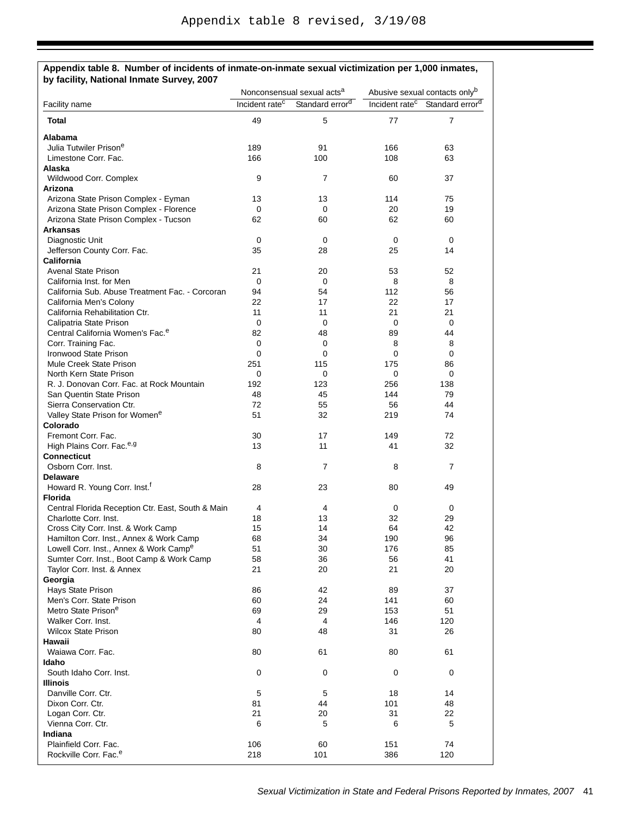| Facility name                                                                                   | Nonconsensual sexual acts <sup>a</sup><br>Incident rate <sup>c</sup><br>Standard error <sup>d</sup> |                | Abusive sexual contacts onlyb<br>Incident rate <sup>c</sup><br>Standard error <sup>d</sup> |                |  |
|-------------------------------------------------------------------------------------------------|-----------------------------------------------------------------------------------------------------|----------------|--------------------------------------------------------------------------------------------|----------------|--|
| Total                                                                                           | 49                                                                                                  | 5              | 77                                                                                         | $\overline{7}$ |  |
|                                                                                                 |                                                                                                     |                |                                                                                            |                |  |
| <b>Alabama</b>                                                                                  |                                                                                                     |                |                                                                                            |                |  |
| Julia Tutwiler Prisone                                                                          | 189                                                                                                 | 91             | 166                                                                                        | 63             |  |
| Limestone Corr. Fac.                                                                            | 166                                                                                                 | 100            | 108                                                                                        | 63             |  |
| Alaska                                                                                          | 9                                                                                                   | $\overline{7}$ | 60                                                                                         | 37             |  |
| Wildwood Corr. Complex<br>Arizona                                                               |                                                                                                     |                |                                                                                            |                |  |
| Arizona State Prison Complex - Eyman                                                            | 13                                                                                                  | 13             | 114                                                                                        | 75             |  |
| Arizona State Prison Complex - Florence                                                         | 0                                                                                                   | 0              | 20                                                                                         | 19             |  |
| Arizona State Prison Complex - Tucson                                                           | 62                                                                                                  | 60             | 62                                                                                         | 60             |  |
| <b>Arkansas</b>                                                                                 |                                                                                                     |                |                                                                                            |                |  |
| Diagnostic Unit                                                                                 | 0                                                                                                   | $\mathbf 0$    | $\mathbf 0$                                                                                | 0              |  |
| Jefferson County Corr. Fac.                                                                     | 35                                                                                                  | 28             | 25                                                                                         | 14             |  |
| <b>California</b>                                                                               |                                                                                                     |                |                                                                                            |                |  |
| <b>Avenal State Prison</b>                                                                      | 21                                                                                                  | 20             | 53                                                                                         | 52             |  |
| California Inst. for Men                                                                        | 0                                                                                                   | 0              | 8                                                                                          | 8              |  |
| California Sub. Abuse Treatment Fac. - Corcoran                                                 | 94                                                                                                  | 54             | 112                                                                                        | 56             |  |
| California Men's Colony                                                                         | 22                                                                                                  | 17             | 22                                                                                         | 17             |  |
| California Rehabilitation Ctr.                                                                  | 11                                                                                                  | 11             | 21                                                                                         | 21             |  |
| Calipatria State Prison                                                                         | 0                                                                                                   | 0              | 0                                                                                          | 0              |  |
| Central California Women's Fac. <sup>e</sup>                                                    | 82                                                                                                  | 48             | 89                                                                                         | 44             |  |
| Corr. Training Fac.                                                                             | 0                                                                                                   | 0              | 8                                                                                          | 8              |  |
| Ironwood State Prison                                                                           | 0                                                                                                   | $\Omega$       | 0                                                                                          | 0              |  |
| Mule Creek State Prison                                                                         | 251                                                                                                 | 115            | 175                                                                                        | 86             |  |
| North Kern State Prison                                                                         | 0                                                                                                   | 0              | 0                                                                                          | 0              |  |
| R. J. Donovan Corr. Fac. at Rock Mountain                                                       | 192                                                                                                 | 123            | 256                                                                                        | 138            |  |
| San Quentin State Prison                                                                        | 48                                                                                                  | 45             | 144                                                                                        | 79             |  |
| Sierra Conservation Ctr.                                                                        | 72                                                                                                  | 55             | 56                                                                                         | 44             |  |
| Valley State Prison for Women <sup>e</sup>                                                      | 51                                                                                                  | 32             | 219                                                                                        | 74             |  |
| Colorado                                                                                        |                                                                                                     |                |                                                                                            |                |  |
| Fremont Corr. Fac.                                                                              | 30                                                                                                  | 17             | 149                                                                                        | 72             |  |
| High Plains Corr. Fac. <sup>e,g</sup>                                                           | 13                                                                                                  | 11             | 41                                                                                         | 32             |  |
| <b>Connecticut</b>                                                                              |                                                                                                     |                |                                                                                            |                |  |
| Osborn Corr. Inst.                                                                              | 8                                                                                                   | $\overline{7}$ | 8                                                                                          | $\overline{7}$ |  |
| <b>Delaware</b>                                                                                 |                                                                                                     |                |                                                                                            |                |  |
| Howard R. Young Corr. Inst. <sup>f</sup>                                                        | 28                                                                                                  | 23             | 80                                                                                         | 49             |  |
| <b>Florida</b>                                                                                  |                                                                                                     |                |                                                                                            |                |  |
| Central Florida Reception Ctr. East, South & Main                                               | 4                                                                                                   | 4              | 0<br>32                                                                                    | 0              |  |
| Charlotte Corr. Inst.<br>Cross City Corr. Inst. & Work Camp                                     | 18                                                                                                  | 13             |                                                                                            | 29             |  |
| Hamilton Corr. Inst., Annex & Work Camp                                                         | 15<br>68                                                                                            | 14<br>34       | 64<br>190                                                                                  | 42<br>96       |  |
|                                                                                                 |                                                                                                     |                | 176                                                                                        |                |  |
| Lowell Corr. Inst., Annex & Work Camp <sup>e</sup><br>Sumter Corr. Inst., Boot Camp & Work Camp | 51<br>58                                                                                            | 30<br>36       | 56                                                                                         | 85<br>41       |  |
| Taylor Corr. Inst. & Annex                                                                      | 21                                                                                                  | 20             | 21                                                                                         | 20             |  |
| Georgia                                                                                         |                                                                                                     |                |                                                                                            |                |  |
| Hays State Prison                                                                               | 86                                                                                                  | 42             | 89                                                                                         | 37             |  |
| Men's Corr. State Prison                                                                        | 60                                                                                                  | 24             | 141                                                                                        | 60             |  |
| Metro State Prisone                                                                             | 69                                                                                                  | 29             | 153                                                                                        | 51             |  |
| Walker Corr. Inst.                                                                              | 4                                                                                                   | 4              | 146                                                                                        | 120            |  |
| <b>Wilcox State Prison</b>                                                                      | 80                                                                                                  | 48             | 31                                                                                         | 26             |  |
| Hawaii                                                                                          |                                                                                                     |                |                                                                                            |                |  |
| Waiawa Corr. Fac.                                                                               | 80                                                                                                  | 61             | 80                                                                                         | 61             |  |
| Idaho                                                                                           |                                                                                                     |                |                                                                                            |                |  |
| South Idaho Corr. Inst.                                                                         | 0                                                                                                   | 0              | 0                                                                                          | 0              |  |
| Illinois                                                                                        |                                                                                                     |                |                                                                                            |                |  |
| Danville Corr. Ctr.                                                                             | 5                                                                                                   | 5              | 18                                                                                         | 14             |  |
| Dixon Corr. Ctr.                                                                                | 81                                                                                                  | 44             | 101                                                                                        | 48             |  |
| Logan Corr. Ctr.                                                                                | 21                                                                                                  | 20             | 31                                                                                         | 22             |  |
| Vienna Corr. Ctr.                                                                               | 6                                                                                                   | 5              | 6                                                                                          | 5              |  |
| Indiana                                                                                         |                                                                                                     |                |                                                                                            |                |  |
| Plainfield Corr. Fac.                                                                           | 106                                                                                                 | 60             | 151                                                                                        | 74             |  |
| Rockville Corr. Fac. <sup>e</sup>                                                               | 218                                                                                                 | 101            | 386                                                                                        | 120            |  |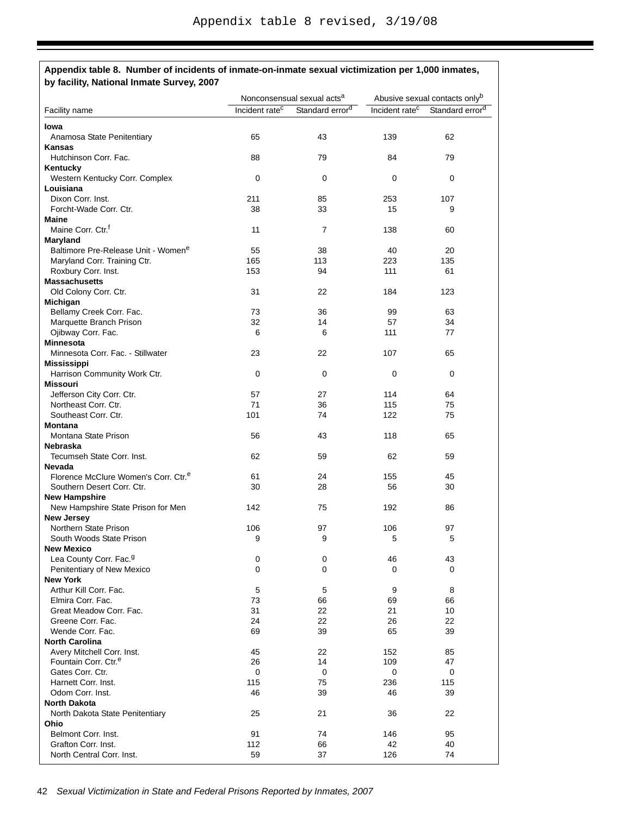|                                                  |                            | Nonconsensual sexual acts <sup>a</sup> | Abusive sexual contacts onlyb |                             |  |
|--------------------------------------------------|----------------------------|----------------------------------------|-------------------------------|-----------------------------|--|
| Facility name                                    | Incident rate <sup>c</sup> | Standard error <sup>d</sup>            | Incident rate <sup>c</sup>    | Standard error <sup>d</sup> |  |
| lowa                                             |                            |                                        |                               |                             |  |
| Anamosa State Penitentiary                       | 65                         | 43                                     | 139                           | 62                          |  |
| <b>Kansas</b>                                    |                            |                                        |                               |                             |  |
| Hutchinson Corr. Fac.                            | 88                         | 79                                     | 84                            | 79                          |  |
| Kentucky                                         |                            |                                        |                               |                             |  |
| Western Kentucky Corr. Complex                   | 0                          | 0                                      | 0                             | 0                           |  |
| Louisiana                                        |                            |                                        |                               |                             |  |
| Dixon Corr. Inst.                                | 211                        | 85                                     | 253                           | 107                         |  |
| Forcht-Wade Corr. Ctr.                           | 38                         | 33                                     | 15                            | 9                           |  |
| Maine                                            |                            |                                        |                               |                             |  |
| Maine Corr. Ctr. <sup>f</sup>                    | 11                         | 7                                      | 138                           | 60                          |  |
| Maryland                                         |                            |                                        |                               |                             |  |
| Baltimore Pre-Release Unit - Womene              | 55                         | 38                                     | 40                            | 20                          |  |
| Maryland Corr. Training Ctr.                     | 165                        | 113                                    | 223                           | 135                         |  |
| Roxbury Corr. Inst.                              | 153                        | 94                                     | 111                           | 61                          |  |
| <b>Massachusetts</b>                             |                            |                                        |                               |                             |  |
| Old Colony Corr. Ctr.                            | 31                         | 22                                     | 184                           | 123                         |  |
| Michigan                                         |                            |                                        |                               |                             |  |
| Bellamy Creek Corr. Fac.                         | 73                         | 36                                     | 99                            | 63                          |  |
| Marquette Branch Prison                          | 32                         | 14                                     | 57                            | 34                          |  |
| Ojibway Corr. Fac.                               | 6                          | 6                                      | 111                           | 77                          |  |
| <b>Minnesota</b>                                 |                            |                                        |                               |                             |  |
| Minnesota Corr. Fac. - Stillwater                | 23                         | 22                                     | 107                           | 65                          |  |
| <b>Mississippi</b>                               |                            |                                        |                               |                             |  |
| Harrison Community Work Ctr.                     | 0                          | 0                                      | 0                             | 0                           |  |
| Missouri                                         |                            |                                        |                               |                             |  |
| Jefferson City Corr. Ctr.                        | 57                         | 27                                     | 114                           | 64                          |  |
| Northeast Corr. Ctr.                             | 71                         | 36                                     | 115                           | 75                          |  |
| Southeast Corr. Ctr.                             | 101                        | 74                                     | 122                           | 75                          |  |
| <b>Montana</b>                                   |                            |                                        |                               |                             |  |
| Montana State Prison                             | 56                         | 43                                     | 118                           | 65                          |  |
| Nebraska                                         |                            |                                        |                               |                             |  |
| Tecumseh State Corr. Inst.                       | 62                         | 59                                     | 62                            | 59                          |  |
| <b>Nevada</b>                                    |                            |                                        |                               |                             |  |
| Florence McClure Women's Corr. Ctr. <sup>e</sup> | 61                         | 24                                     | 155                           | 45                          |  |
| Southern Desert Corr. Ctr.                       | 30                         | 28                                     | 56                            | 30                          |  |
| <b>New Hampshire</b>                             |                            |                                        |                               |                             |  |
| New Hampshire State Prison for Men               | 142                        | 75                                     | 192                           | 86                          |  |
| <b>New Jersey</b>                                |                            |                                        |                               |                             |  |
| Northern State Prison                            | 106                        | 97                                     | 106                           | 97                          |  |
| South Woods State Prison                         | 9                          | 9                                      | 5                             | 5                           |  |
| <b>New Mexico</b>                                |                            |                                        |                               |                             |  |
| Lea County Corr. Fac. <sup>9</sup>               | 0                          | $\pmb{0}$                              | 46                            | 43                          |  |
| Penitentiary of New Mexico                       | 0                          | 0                                      | 0                             | 0                           |  |
| <b>New York</b>                                  |                            |                                        |                               |                             |  |
| Arthur Kill Corr. Fac.                           | 5                          | 5                                      | 9                             | 8                           |  |
| Elmira Corr. Fac.                                | 73                         | 66                                     | 69                            | 66                          |  |
| Great Meadow Corr. Fac.                          | 31                         | 22                                     | 21                            | 10                          |  |
| Greene Corr. Fac.                                | 24                         | 22                                     | 26                            | 22                          |  |
| Wende Corr. Fac.                                 | 69                         | 39                                     | 65                            | 39                          |  |
| <b>North Carolina</b>                            |                            |                                        |                               |                             |  |
| Avery Mitchell Corr. Inst.                       | 45                         | 22                                     | 152                           | 85                          |  |
| Fountain Corr. Ctr. <sup>e</sup>                 | 26                         | 14                                     | 109                           | 47                          |  |
| Gates Corr. Ctr.                                 | 0                          | 0                                      | 0                             | 0                           |  |
| Harnett Corr. Inst.                              | 115                        | 75                                     | 236                           | 115                         |  |
| Odom Corr. Inst.                                 | 46                         | 39                                     | 46                            | 39                          |  |
| North Dakota                                     |                            |                                        |                               |                             |  |
| North Dakota State Penitentiary                  | 25                         | 21                                     | 36                            | 22                          |  |
| Ohio                                             |                            |                                        |                               |                             |  |
| Belmont Corr. Inst.                              | 91                         | 74                                     | 146                           | 95                          |  |
| Grafton Corr. Inst.<br>North Central Corr. Inst. | 112<br>59                  | 66                                     | 42                            | 40<br>74                    |  |
|                                                  |                            | 37                                     | 126                           |                             |  |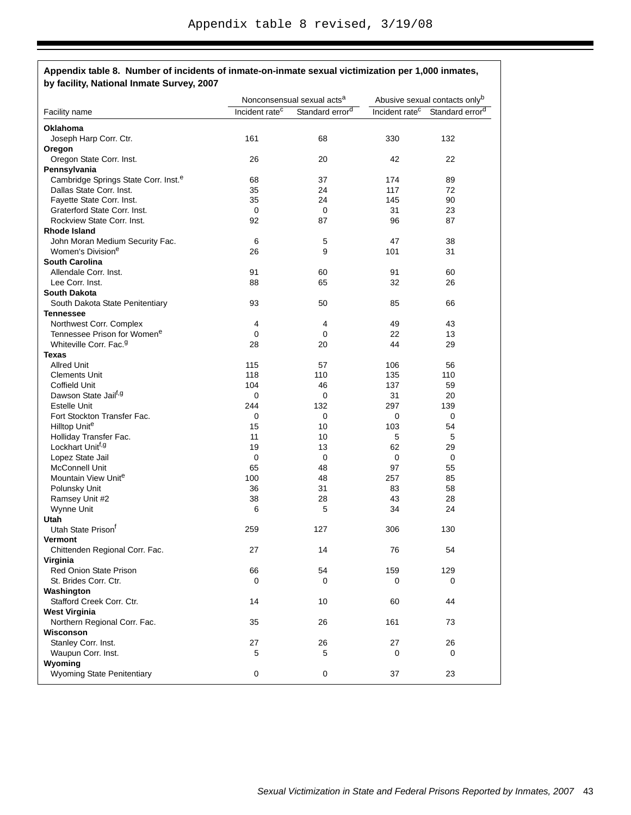|                                                  | Nonconsensual sexual acts <sup>a</sup> |                             | Abusive sexual contacts onlyb |                             |
|--------------------------------------------------|----------------------------------------|-----------------------------|-------------------------------|-----------------------------|
| Facility name                                    | Incident rate <sup>c</sup>             | Standard error <sup>d</sup> | Incident rate <sup>c</sup>    | Standard error <sup>d</sup> |
| Oklahoma                                         |                                        |                             |                               |                             |
| Joseph Harp Corr. Ctr.                           | 161                                    | 68                          | 330                           | 132                         |
| Oregon                                           |                                        |                             |                               |                             |
| Oregon State Corr. Inst.                         | 26                                     | 20                          | 42                            | 22                          |
| Pennsylvania                                     |                                        |                             |                               |                             |
| Cambridge Springs State Corr. Inst. <sup>e</sup> | 68                                     | 37                          | 174                           | 89                          |
| Dallas State Corr. Inst.                         | 35                                     | 24                          | 117                           | 72                          |
| Fayette State Corr. Inst.                        | 35                                     | 24                          | 145                           | 90                          |
| Graterford State Corr. Inst.                     | 0                                      | 0                           | 31                            | 23                          |
| Rockview State Corr. Inst.                       | 92                                     | 87                          | 96                            | 87                          |
| <b>Rhode Island</b>                              |                                        |                             |                               |                             |
|                                                  |                                        |                             |                               |                             |
| John Moran Medium Security Fac.                  | 6                                      | 5                           | 47                            | 38                          |
| Women's Division <sup>e</sup>                    | 26                                     | 9                           | 101                           | 31                          |
| <b>South Carolina</b>                            |                                        |                             |                               |                             |
| Allendale Corr. Inst.                            | 91                                     | 60                          | 91                            | 60                          |
| Lee Corr. Inst.                                  | 88                                     | 65                          | 32                            | 26                          |
| <b>South Dakota</b>                              |                                        |                             |                               |                             |
| South Dakota State Penitentiary                  | 93                                     | 50                          | 85                            | 66                          |
| <b>Tennessee</b>                                 |                                        |                             |                               |                             |
| Northwest Corr. Complex                          | 4                                      | 4                           | 49                            | 43                          |
| Tennessee Prison for Women <sup>e</sup>          | 0                                      | 0                           | 22                            | 13                          |
| Whiteville Corr. Fac. <sup>9</sup>               | 28                                     | 20                          | 44                            | 29                          |
| <b>Texas</b>                                     |                                        |                             |                               |                             |
| <b>Allred Unit</b>                               | 115                                    | 57                          | 106                           | 56                          |
| <b>Clements Unit</b>                             | 118                                    | 110                         | 135                           | 110                         |
| Coffield Unit                                    | 104                                    | 46                          | 137                           | 59                          |
| Dawson State Jailf, 9                            | 0                                      | 0                           | 31                            | 20                          |
| <b>Estelle Unit</b>                              | 244                                    | 132                         | 297                           | 139                         |
| Fort Stockton Transfer Fac.                      | 0                                      | 0                           | 0                             | 0                           |
| Hilltop Unite                                    | 15                                     | 10                          | 103                           | 54                          |
| Holliday Transfer Fac.                           | 11                                     | 10                          | 5                             | 5                           |
| Lockhart Unit <sup>f,g</sup>                     | 19                                     | 13                          | 62                            | 29                          |
| Lopez State Jail                                 | 0                                      | 0                           | 0                             | 0                           |
| McConnell Unit                                   | 65                                     |                             | 97                            | 55                          |
|                                                  |                                        | 48                          |                               |                             |
| Mountain View Unite                              | 100                                    | 48                          | 257                           | 85                          |
| Polunsky Unit                                    | 36                                     | 31                          | 83                            | 58                          |
| Ramsey Unit #2                                   | 38                                     | 28                          | 43                            | 28                          |
| Wynne Unit                                       | 6                                      | 5                           | 34                            | 24                          |
| Utah                                             |                                        |                             |                               |                             |
| Utah State Prison <sup>t</sup>                   | 259                                    | 127                         | 306                           | 130                         |
| <b>Vermont</b>                                   |                                        |                             |                               |                             |
| Chittenden Regional Corr. Fac.                   | 27                                     | 14                          | 76                            | 54                          |
| Virginia                                         |                                        |                             |                               |                             |
| <b>Red Onion State Prison</b>                    | 66                                     | 54                          | 159                           | 129                         |
| St. Brides Corr. Ctr.                            | 0                                      | 0                           | 0                             | 0                           |
| Washington                                       |                                        |                             |                               |                             |
| Stafford Creek Corr. Ctr.                        | 14                                     | 10                          | 60                            | 44                          |
| <b>West Virginia</b>                             |                                        |                             |                               |                             |
| Northern Regional Corr. Fac.                     | 35                                     | 26                          | 161                           | 73                          |
| Wisconson                                        |                                        |                             |                               |                             |
| Stanley Corr. Inst.                              | 27                                     | 26                          | 27                            | 26                          |
| Waupun Corr. Inst.                               | 5                                      | 5                           | 0                             | 0                           |
| Wyoming                                          |                                        |                             |                               |                             |
| <b>Wyoming State Penitentiary</b>                | 0                                      | 0                           | 37                            | 23                          |
|                                                  |                                        |                             |                               |                             |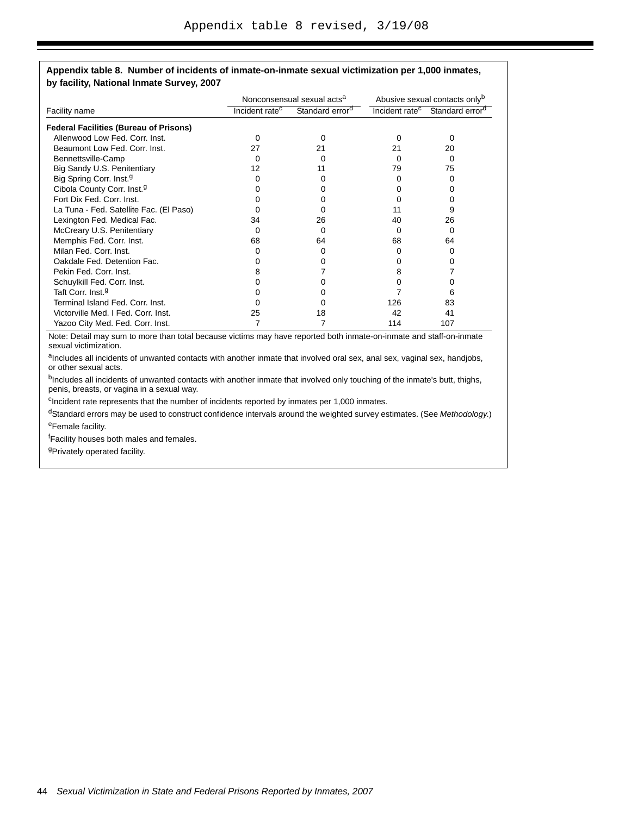|                                               |                              | Nonconsensual sexual acts <sup>a</sup> | Abusive sexual contacts only <sup>b</sup> |                             |
|-----------------------------------------------|------------------------------|----------------------------------------|-------------------------------------------|-----------------------------|
| Facility name                                 | Incident rate $\overline{c}$ | Standard error <sup>d</sup>            | Incident rate <sup>c</sup>                | Standard error <sup>d</sup> |
| <b>Federal Facilities (Bureau of Prisons)</b> |                              |                                        |                                           |                             |
| Allenwood Low Fed. Corr. Inst.                | 0                            | 0                                      | 0                                         | 0                           |
| Beaumont Low Fed. Corr. Inst.                 | 27                           | 21                                     | 21                                        | 20                          |
| Bennettsville-Camp                            | O                            | 0                                      | 0                                         | 0                           |
| Big Sandy U.S. Penitentiary                   | 12                           | 11                                     | 79                                        | 75                          |
| Big Spring Corr. Inst. <sup>9</sup>           |                              |                                        |                                           | $\Omega$                    |
| Cibola County Corr. Inst. <sup>9</sup>        |                              | n                                      |                                           |                             |
| Fort Dix Fed. Corr. Inst.                     |                              |                                        |                                           |                             |
| La Tuna - Fed. Satellite Fac. (El Paso)       |                              |                                        | 11                                        | 9                           |
| Lexington Fed. Medical Fac.                   | 34                           | 26                                     | 40                                        | 26                          |
| McCreary U.S. Penitentiary                    | Ω                            | 0                                      | 0                                         | 0                           |
| Memphis Fed. Corr. Inst.                      | 68                           | 64                                     | 68                                        | 64                          |
| Milan Fed. Corr. Inst.                        |                              | 0                                      |                                           | $\Omega$                    |
| Oakdale Fed. Detention Fac.                   |                              | 0                                      |                                           |                             |
| Pekin Fed. Corr. Inst.                        | 8                            |                                        | 8                                         |                             |
| Schuylkill Fed. Corr. Inst.                   |                              |                                        | 0                                         |                             |
| Taft Corr. Inst. <sup>g</sup>                 |                              |                                        |                                           | 6                           |
| Terminal Island Fed. Corr. Inst.              |                              |                                        | 126                                       | 83                          |
| Victorville Med. I Fed. Corr. Inst.           | 25                           | 18                                     | 42                                        | 41                          |
| Yazoo City Med. Fed. Corr. Inst.              |                              |                                        | 114                                       | 107                         |

Note: Detail may sum to more than total because victims may have reported both inmate-on-inmate and staff-on-inmate sexual victimization.

aIncludes all incidents of unwanted contacts with another inmate that involved oral sex, anal sex, vaginal sex, handjobs, or other sexual acts.

bIncludes all incidents of unwanted contacts with another inmate that involved only touching of the inmate's butt, thighs, penis, breasts, or vagina in a sexual way.

<sup>c</sup>Incident rate represents that the number of incidents reported by inmates per 1,000 inmates.

dStandard errors may be used to construct confidence intervals around the weighted survey estimates. (See *Methodology*.)

eFemale facility.

<sup>f</sup>Facility houses both males and females.

<sup>g</sup>Privately operated facility.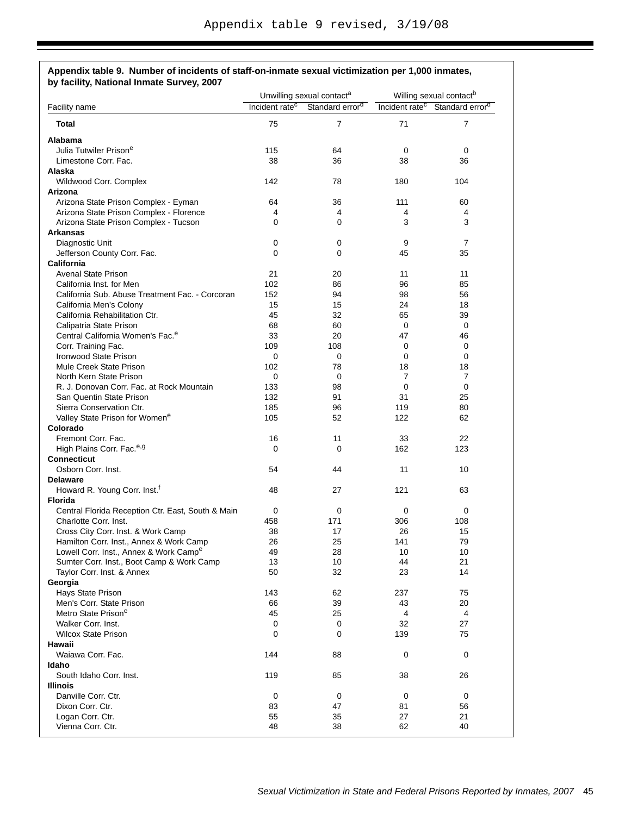| by facility, National Inmate Survey, 2007                                        |                                                                                                    |                |                                                                                               |                |
|----------------------------------------------------------------------------------|----------------------------------------------------------------------------------------------------|----------------|-----------------------------------------------------------------------------------------------|----------------|
| Facility name                                                                    | Unwilling sexual contact <sup>a</sup><br>Incident rate <sup>c</sup><br>Standard error <sup>d</sup> |                | Willing sexual contact <sup>b</sup><br>Incident rate <sup>c</sup> Standard error <sup>d</sup> |                |
|                                                                                  |                                                                                                    |                |                                                                                               |                |
| <b>Total</b>                                                                     | 75                                                                                                 | $\overline{7}$ | 71                                                                                            | $\overline{7}$ |
| Alabama                                                                          |                                                                                                    |                |                                                                                               |                |
| Julia Tutwiler Prison <sup>e</sup>                                               | 115                                                                                                | 64             | 0                                                                                             | 0              |
| Limestone Corr. Fac.                                                             | 38                                                                                                 | 36             | 38                                                                                            | 36             |
| Alaska                                                                           |                                                                                                    |                |                                                                                               |                |
| Wildwood Corr. Complex                                                           | 142                                                                                                | 78             | 180                                                                                           | 104            |
| Arizona                                                                          |                                                                                                    |                |                                                                                               |                |
| Arizona State Prison Complex - Eyman                                             | 64                                                                                                 | 36             | 111                                                                                           | 60             |
| Arizona State Prison Complex - Florence<br>Arizona State Prison Complex - Tucson | 4<br>$\Omega$                                                                                      | 4<br>0         | 4<br>3                                                                                        | 4<br>3         |
| <b>Arkansas</b>                                                                  |                                                                                                    |                |                                                                                               |                |
| Diagnostic Unit                                                                  | 0                                                                                                  | 0              | 9                                                                                             | $\overline{7}$ |
| Jefferson County Corr. Fac.                                                      | $\Omega$                                                                                           | 0              | 45                                                                                            | 35             |
| <b>California</b>                                                                |                                                                                                    |                |                                                                                               |                |
| <b>Avenal State Prison</b>                                                       | 21                                                                                                 | 20             | 11                                                                                            | 11             |
| California Inst. for Men                                                         | 102                                                                                                | 86             | 96                                                                                            | 85             |
| California Sub. Abuse Treatment Fac. - Corcoran                                  | 152                                                                                                | 94             | 98                                                                                            | 56             |
| California Men's Colony                                                          | 15                                                                                                 | 15             | 24                                                                                            | 18             |
| California Rehabilitation Ctr.                                                   | 45                                                                                                 | 32             | 65                                                                                            | 39             |
| Calipatria State Prison                                                          | 68                                                                                                 | 60             | 0                                                                                             | 0              |
| Central California Women's Fac. <sup>e</sup>                                     | 33                                                                                                 | 20             | 47                                                                                            | 46             |
| Corr. Training Fac.                                                              | 109                                                                                                | 108            | 0                                                                                             | 0              |
| Ironwood State Prison                                                            | 0                                                                                                  | 0              | 0                                                                                             | 0              |
| Mule Creek State Prison                                                          | 102                                                                                                | 78             | 18                                                                                            | 18             |
| North Kern State Prison                                                          | 0                                                                                                  | 0              | 7                                                                                             | 7              |
| R. J. Donovan Corr. Fac. at Rock Mountain                                        | 133                                                                                                | 98             | 0                                                                                             | 0              |
| San Quentin State Prison                                                         | 132                                                                                                | 91             | 31                                                                                            | 25             |
| Sierra Conservation Ctr.                                                         | 185                                                                                                | 96             | 119                                                                                           | 80             |
| Valley State Prison for Women <sup>e</sup>                                       | 105                                                                                                | 52             | 122                                                                                           | 62             |
| Colorado                                                                         |                                                                                                    |                |                                                                                               |                |
| Fremont Corr. Fac.                                                               | 16                                                                                                 | 11             | 33                                                                                            | 22             |
| High Plains Corr. Fac. <sup>e,g</sup>                                            | 0                                                                                                  | 0              | 162                                                                                           | 123            |
| <b>Connecticut</b>                                                               |                                                                                                    |                |                                                                                               |                |
| Osborn Corr. Inst.                                                               | 54                                                                                                 | 44             | 11                                                                                            | 10             |
| <b>Delaware</b>                                                                  |                                                                                                    |                |                                                                                               |                |
| Howard R. Young Corr. Inst. <sup>f</sup>                                         | 48                                                                                                 | 27             | 121                                                                                           | 63             |
| <b>Florida</b><br>Central Florida Reception Ctr. East, South & Main              |                                                                                                    | 0              |                                                                                               |                |
| Charlotte Corr. Inst.                                                            | 0<br>458                                                                                           | 171            | 0<br>306                                                                                      | 0<br>108       |
| Cross City Corr. Inst. & Work Camp                                               | 38                                                                                                 | 17             | 26                                                                                            | 15             |
| Hamilton Corr. Inst., Annex & Work Camp                                          | 26                                                                                                 | 25             | 141                                                                                           | 79             |
| Lowell Corr. Inst., Annex & Work Camp <sup>e</sup>                               | 49                                                                                                 | 28             | 10                                                                                            | 10             |
| Sumter Corr. Inst., Boot Camp & Work Camp                                        | 13                                                                                                 | 10             | 44                                                                                            | 21             |
| Taylor Corr. Inst. & Annex                                                       | 50                                                                                                 | 32             | 23                                                                                            | 14             |
| Georgia                                                                          |                                                                                                    |                |                                                                                               |                |
| Hays State Prison                                                                | 143                                                                                                | 62             | 237                                                                                           | 75             |
| Men's Corr. State Prison                                                         | 66                                                                                                 | 39             | 43                                                                                            | 20             |
| Metro State Prison <sup>e</sup>                                                  | 45                                                                                                 | 25             | 4                                                                                             | 4              |
| Walker Corr. Inst.                                                               | 0                                                                                                  | 0              | 32                                                                                            | 27             |
| <b>Wilcox State Prison</b>                                                       | 0                                                                                                  | 0              | 139                                                                                           | 75             |
| Hawaii                                                                           |                                                                                                    |                |                                                                                               |                |
| Waiawa Corr. Fac.                                                                | 144                                                                                                | 88             | 0                                                                                             | 0              |
| Idaho                                                                            |                                                                                                    |                |                                                                                               |                |
| South Idaho Corr. Inst.                                                          | 119                                                                                                | 85             | 38                                                                                            | 26             |
| Illinois                                                                         |                                                                                                    |                |                                                                                               |                |
| Danville Corr. Ctr.                                                              | 0                                                                                                  | 0              | 0                                                                                             | 0              |
| Dixon Corr. Ctr.                                                                 | 83                                                                                                 | 47             | 81                                                                                            | 56             |
| Logan Corr. Ctr.                                                                 | 55                                                                                                 | 35             | 27                                                                                            | 21             |
| Vienna Corr. Ctr.                                                                | 48                                                                                                 | 38             | 62                                                                                            | 40             |

# **Appendix table 9. Number of incidents of staff-on-inmate sexual victimization per 1,000 inmates,**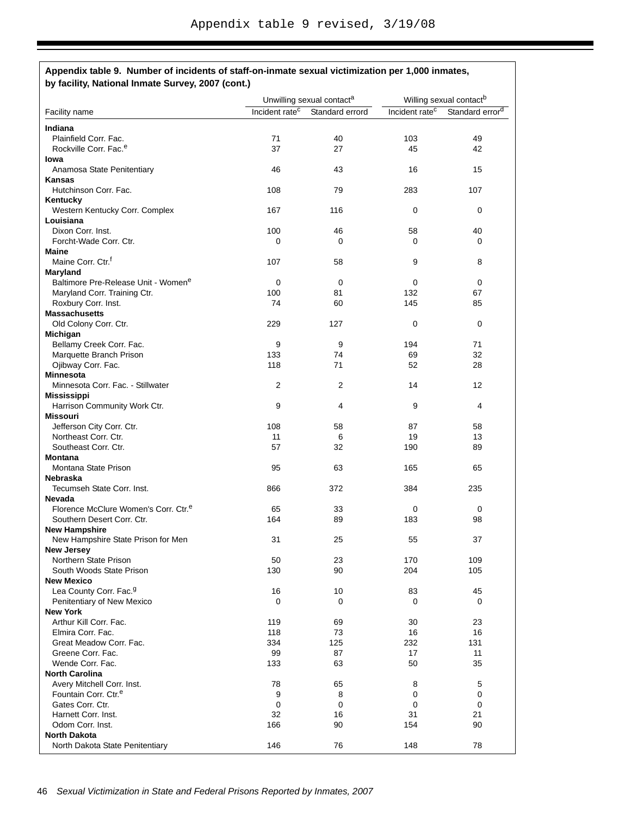|                                                   | Unwilling sexual contact <sup>a</sup> |                                            | Willing sexual contact <sup>b</sup> |                             |
|---------------------------------------------------|---------------------------------------|--------------------------------------------|-------------------------------------|-----------------------------|
| Facility name                                     |                                       | Incident rate <sup>c</sup> Standard errord | Incident rate <sup>c</sup>          | Standard error <sup>d</sup> |
| Indiana                                           |                                       |                                            |                                     |                             |
| Plainfield Corr. Fac.                             | 71                                    | 40                                         | 103                                 | 49                          |
| Rockville Corr. Fac. <sup>e</sup>                 | 37                                    | 27                                         | 45                                  | 42                          |
| lowa                                              |                                       |                                            |                                     |                             |
| Anamosa State Penitentiary                        | 46                                    | 43                                         | 16                                  | 15                          |
| Kansas                                            |                                       |                                            |                                     |                             |
| Hutchinson Corr. Fac.                             | 108                                   | 79                                         | 283                                 | 107                         |
| Kentucky                                          |                                       |                                            |                                     |                             |
| Western Kentucky Corr. Complex                    | 167                                   | 116                                        | 0                                   | 0                           |
| Louisiana                                         |                                       |                                            |                                     |                             |
| Dixon Corr. Inst.                                 | 100                                   | 46                                         | 58                                  | 40                          |
| Forcht-Wade Corr. Ctr.                            | 0                                     | $\Omega$                                   | 0                                   | 0                           |
| <b>Maine</b><br>Maine Corr. Ctr. <sup>1</sup>     |                                       |                                            | 9                                   | 8                           |
| Maryland                                          | 107                                   | 58                                         |                                     |                             |
| Baltimore Pre-Release Unit - Women <sup>e</sup>   | 0                                     | $\mathbf 0$                                | 0                                   | 0                           |
| Maryland Corr. Training Ctr.                      | 100                                   | 81                                         | 132                                 | 67                          |
| Roxbury Corr. Inst.                               | 74                                    | 60                                         | 145                                 | 85                          |
| <b>Massachusetts</b>                              |                                       |                                            |                                     |                             |
| Old Colony Corr. Ctr.                             | 229                                   | 127                                        | 0                                   | 0                           |
| Michigan                                          |                                       |                                            |                                     |                             |
| Bellamy Creek Corr. Fac.                          | 9                                     | 9                                          | 194                                 | 71                          |
| Marquette Branch Prison                           | 133                                   | 74                                         | 69                                  | 32                          |
| Ojibway Corr. Fac.                                | 118                                   | 71                                         | 52                                  | 28                          |
| <b>Minnesota</b>                                  |                                       |                                            |                                     |                             |
| Minnesota Corr. Fac. - Stillwater                 | 2                                     | 2                                          | 14                                  | 12                          |
| <b>Mississippi</b>                                |                                       |                                            |                                     |                             |
| Harrison Community Work Ctr.                      | 9                                     | 4                                          | 9                                   | 4                           |
| <b>Missouri</b>                                   |                                       |                                            |                                     | 58                          |
| Jefferson City Corr. Ctr.<br>Northeast Corr. Ctr. | 108<br>11                             | 58<br>6                                    | 87<br>19                            | 13                          |
| Southeast Corr. Ctr.                              | 57                                    | 32                                         | 190                                 | 89                          |
| <b>Montana</b>                                    |                                       |                                            |                                     |                             |
| Montana State Prison                              | 95                                    | 63                                         | 165                                 | 65                          |
| <b>Nebraska</b>                                   |                                       |                                            |                                     |                             |
| Tecumseh State Corr. Inst.                        | 866                                   | 372                                        | 384                                 | 235                         |
| Nevada                                            |                                       |                                            |                                     |                             |
| Florence McClure Women's Corr. Ctr. <sup>e</sup>  | 65                                    | 33                                         | 0                                   | 0                           |
| Southern Desert Corr. Ctr.                        | 164                                   | 89                                         | 183                                 | 98                          |
| <b>New Hampshire</b>                              |                                       |                                            |                                     |                             |
| New Hampshire State Prison for Men                | 31                                    | 25                                         | 55                                  | 37                          |
| <b>New Jersey</b>                                 |                                       |                                            |                                     |                             |
| Northern State Prison                             | 50                                    | 23                                         | 170                                 | 109                         |
| South Woods State Prison                          | 130                                   | 90                                         | 204                                 | 105                         |
| <b>New Mexico</b>                                 |                                       |                                            |                                     |                             |
| Lea County Corr. Fac. <sup>9</sup>                | 16<br>$\mathbf 0$                     | 10<br>0                                    | 83<br>0                             | 45<br>0                     |
| Penitentiary of New Mexico<br><b>New York</b>     |                                       |                                            |                                     |                             |
| Arthur Kill Corr. Fac.                            | 119                                   | 69                                         | 30                                  | 23                          |
| Elmira Corr. Fac.                                 | 118                                   | 73                                         | 16                                  | 16                          |
| Great Meadow Corr. Fac.                           | 334                                   | 125                                        | 232                                 | 131                         |
| Greene Corr. Fac.                                 | 99                                    | 87                                         | 17                                  | 11                          |
| Wende Corr. Fac.                                  | 133                                   | 63                                         | 50                                  | 35                          |
| <b>North Carolina</b>                             |                                       |                                            |                                     |                             |
| Avery Mitchell Corr. Inst.                        | 78                                    | 65                                         | 8                                   | 5                           |
| Fountain Corr. Ctr. <sup>e</sup>                  | 9                                     | 8                                          | 0                                   | 0                           |
| Gates Corr. Ctr.                                  | 0                                     | 0                                          | 0                                   | 0                           |
| Harnett Corr. Inst.                               | 32                                    | 16                                         | 31                                  | 21                          |
| Odom Corr. Inst.                                  | 166                                   | 90                                         | 154                                 | 90                          |
| <b>North Dakota</b>                               |                                       |                                            |                                     |                             |
| North Dakota State Penitentiary                   | 146                                   | 76                                         | 148                                 | 78                          |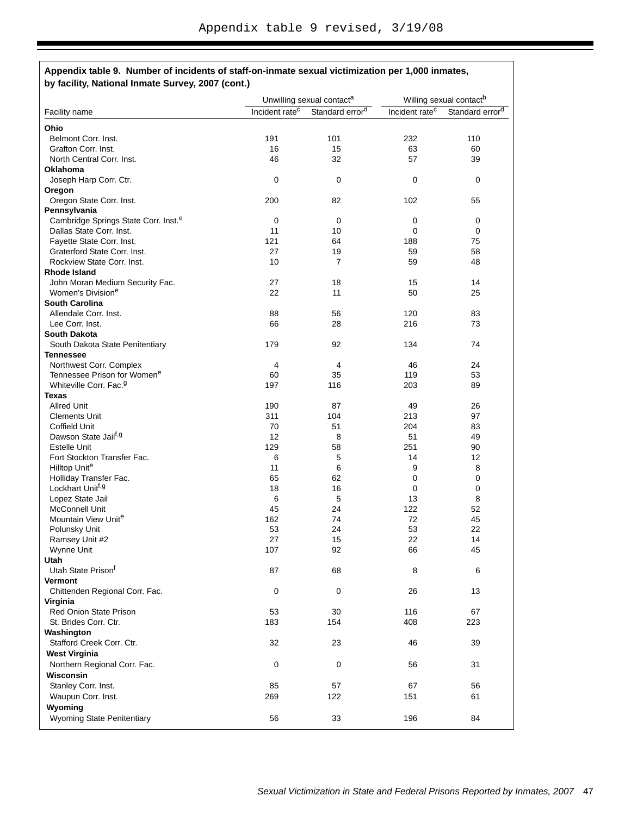|                                                                    | Unwilling sexual contact <sup>a</sup> |                             |                            | Willing sexual contact <sup>b</sup> |
|--------------------------------------------------------------------|---------------------------------------|-----------------------------|----------------------------|-------------------------------------|
| Facility name                                                      | Incident rate <sup>c</sup>            | Standard error <sup>d</sup> | Incident rate <sup>c</sup> | Standard error <sup>d</sup>         |
| Ohio                                                               |                                       |                             |                            |                                     |
| Belmont Corr. Inst.                                                | 191                                   | 101                         | 232                        | 110                                 |
| Grafton Corr. Inst.                                                | 16                                    | 15                          | 63                         | 60                                  |
| North Central Corr. Inst.                                          | 46                                    | 32                          | 57                         | 39                                  |
| <b>Oklahoma</b>                                                    |                                       |                             |                            |                                     |
| Joseph Harp Corr. Ctr.                                             | 0                                     | 0                           | 0                          | 0                                   |
| Oregon                                                             |                                       |                             |                            |                                     |
| Oregon State Corr. Inst.                                           | 200                                   | 82                          | 102                        | 55                                  |
| Pennsylvania                                                       |                                       |                             |                            |                                     |
| Cambridge Springs State Corr. Inst. <sup>e</sup>                   | $\mathbf 0$                           | 0                           | 0                          | 0                                   |
| Dallas State Corr. Inst.                                           | 11                                    | 10                          | 0                          | 0                                   |
| Fayette State Corr. Inst.                                          | 121                                   | 64                          | 188                        | 75                                  |
| Graterford State Corr. Inst.                                       | 27                                    | 19                          | 59                         | 58                                  |
| Rockview State Corr. Inst.                                         | 10                                    | $\overline{7}$              | 59                         | 48                                  |
| Rhode Island                                                       |                                       |                             |                            |                                     |
| John Moran Medium Security Fac.                                    | 27                                    | 18                          | 15                         | 14                                  |
| Women's Division <sup>e</sup>                                      | 22                                    | 11                          | 50                         | 25                                  |
| <b>South Carolina</b>                                              |                                       |                             |                            |                                     |
| Allendale Corr. Inst.                                              | 88                                    | 56                          | 120                        | 83                                  |
| Lee Corr. Inst.                                                    | 66                                    | 28                          | 216                        | 73                                  |
| <b>South Dakota</b>                                                |                                       |                             |                            |                                     |
| South Dakota State Penitentiary                                    | 179                                   | 92                          | 134                        | 74                                  |
| <b>Tennessee</b>                                                   |                                       |                             |                            | 24                                  |
| Northwest Corr. Complex<br>Tennessee Prison for Women <sup>e</sup> | 4<br>60                               | 4<br>35                     | 46<br>119                  | 53                                  |
| Whiteville Corr. Fac. <sup>9</sup>                                 | 197                                   | 116                         | 203                        | 89                                  |
| <b>Texas</b>                                                       |                                       |                             |                            |                                     |
| <b>Allred Unit</b>                                                 | 190                                   | 87                          | 49                         | 26                                  |
| <b>Clements Unit</b>                                               | 311                                   | 104                         | 213                        | 97                                  |
| Coffield Unit                                                      | 70                                    | 51                          | 204                        | 83                                  |
| Dawson State Jail <sup>t, g</sup>                                  | 12                                    | 8                           | 51                         | 49                                  |
| <b>Estelle Unit</b>                                                | 129                                   | 58                          | 251                        | 90                                  |
| Fort Stockton Transfer Fac.                                        | 6                                     | 5                           | 14                         | 12                                  |
| Hilltop Unite                                                      | 11                                    | 6                           | 9                          | 8                                   |
| Holliday Transfer Fac.                                             | 65                                    | 62                          | 0                          | 0                                   |
| Lockhart Unit <sup>f, g</sup>                                      | 18                                    | 16                          | 0                          | $\pmb{0}$                           |
| Lopez State Jail                                                   | 6                                     | 5                           | 13                         | 8                                   |
| <b>McConnell Unit</b>                                              | 45                                    | 24                          | 122                        | 52                                  |
| Mountain View Unite                                                | 162                                   | 74                          | 72                         | 45                                  |
| Polunsky Unit                                                      | 53                                    | 24                          | 53                         | 22                                  |
| Ramsey Unit #2                                                     | 27                                    | 15                          | 22                         | 14                                  |
| Wynne Unit                                                         | 107                                   | 92                          | 66                         | 45                                  |
| Utah                                                               |                                       |                             |                            |                                     |
| Utah State Prison <sup>t</sup>                                     | 87                                    | 68                          | 8                          | 6                                   |
| <b>Vermont</b>                                                     |                                       |                             |                            |                                     |
| Chittenden Regional Corr. Fac.<br>Virginia                         | 0                                     | 0                           | 26                         | 13                                  |
| <b>Red Onion State Prison</b>                                      | 53                                    | 30                          | 116                        | 67                                  |
| St. Brides Corr. Ctr.                                              | 183                                   | 154                         | 408                        | 223                                 |
| Washington                                                         |                                       |                             |                            |                                     |
| Stafford Creek Corr. Ctr.                                          | 32                                    | 23                          | 46                         | 39                                  |
| <b>West Virginia</b>                                               |                                       |                             |                            |                                     |
| Northern Regional Corr. Fac.                                       | 0                                     | 0                           | 56                         | 31                                  |
| Wisconsin                                                          |                                       |                             |                            |                                     |
| Stanley Corr. Inst.                                                | 85                                    | 57                          | 67                         | 56                                  |
|                                                                    |                                       |                             |                            |                                     |
| Waupun Corr. Inst.                                                 | 269                                   | 122                         | 151                        | 61                                  |
| Wyoming                                                            |                                       |                             |                            |                                     |
| Wyoming State Penitentiary                                         | 56                                    | 33                          | 196                        | 84                                  |